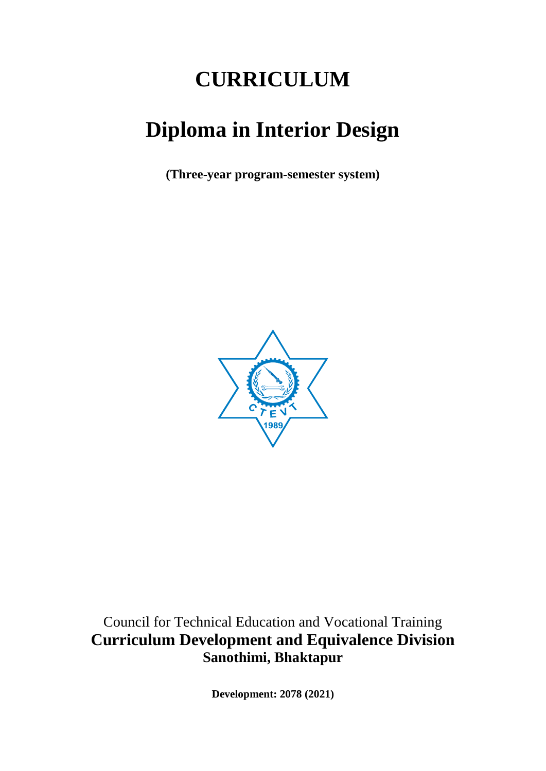# **CURRICULUM**

# **Diploma in Interior Design**

**(Three-year program-semester system)**



Council for Technical Education and Vocational Training **Curriculum Development and Equivalence Division Sanothimi, Bhaktapur**

**Development: 2078 (2021)**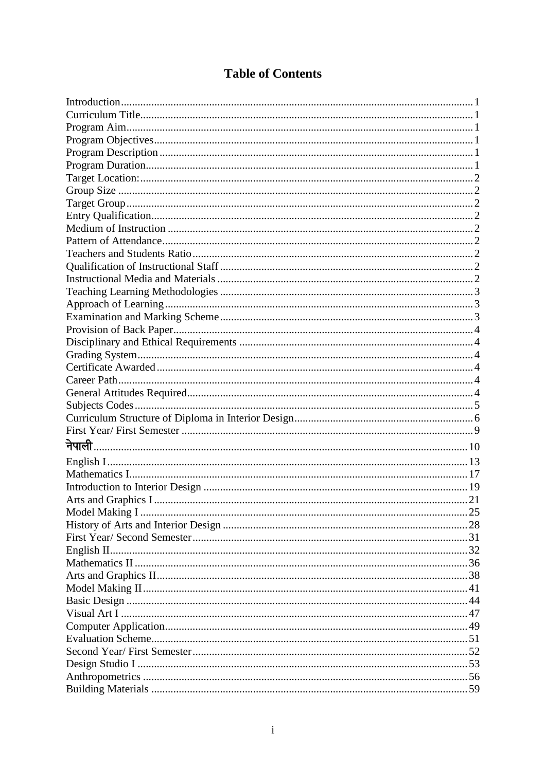# **Table of Contents**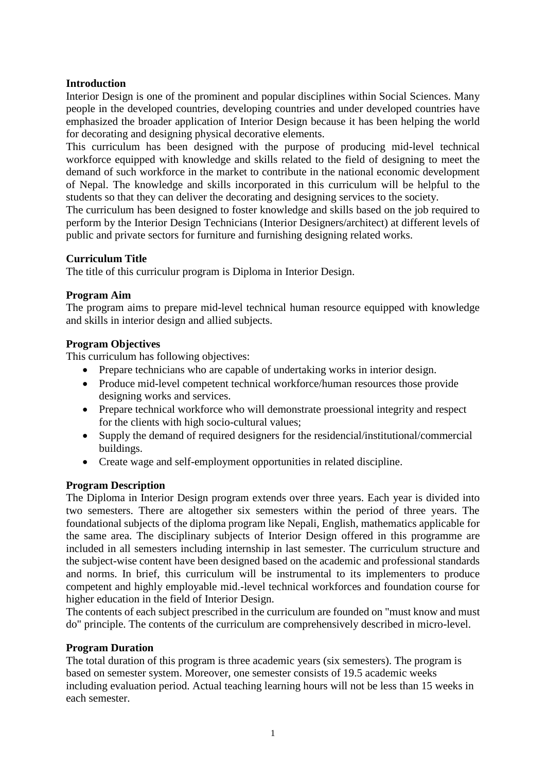### <span id="page-3-0"></span>**Introduction**

Interior Design is one of the prominent and popular disciplines within Social Sciences. Many people in the developed countries, developing countries and under developed countries have emphasized the broader application of Interior Design because it has been helping the world for decorating and designing physical decorative elements.

This curriculum has been designed with the purpose of producing mid-level technical workforce equipped with knowledge and skills related to the field of designing to meet the demand of such workforce in the market to contribute in the national economic development of Nepal. The knowledge and skills incorporated in this curriculum will be helpful to the students so that they can deliver the decorating and designing services to the society.

The curriculum has been designed to foster knowledge and skills based on the job required to perform by the Interior Design Technicians (Interior Designers/architect) at different levels of public and private sectors for furniture and furnishing designing related works.

#### <span id="page-3-1"></span>**Curriculum Title**

The title of this curriculur program is Diploma in Interior Design.

### <span id="page-3-2"></span>**Program Aim**

The program aims to prepare mid-level technical human resource equipped with knowledge and skills in interior design and allied subjects.

### <span id="page-3-3"></span>**Program Objectives**

This curriculum has following objectives:

- Prepare technicians who are capable of undertaking works in interior design.
- Produce mid-level competent technical workforce/human resources those provide designing works and services.
- Prepare technical workforce who will demonstrate proessional integrity and respect for the clients with high socio-cultural values;
- Supply the demand of required designers for the residencial/institutional/commercial buildings.
- Create wage and self-employment opportunities in related discipline.

# <span id="page-3-4"></span>**Program Description**

The Diploma in Interior Design program extends over three years. Each year is divided into two semesters. There are altogether six semesters within the period of three years. The foundational subjects of the diploma program like Nepali, English, mathematics applicable for the same area. The disciplinary subjects of Interior Design offered in this programme are included in all semesters including internship in last semester. The curriculum structure and the subject-wise content have been designed based on the academic and professional standards and norms. In brief, this curriculum will be instrumental to its implementers to produce competent and highly employable mid.-level technical workforces and foundation course for higher education in the field of Interior Design.

The contents of each subject prescribed in the curriculum are founded on "must know and must do" principle. The contents of the curriculum are comprehensively described in micro-level.

# <span id="page-3-5"></span>**Program Duration**

The total duration of this program is three academic years (six semesters). The program is based on semester system. Moreover, one semester consists of 19.5 academic weeks including evaluation period. Actual teaching learning hours will not be less than 15 weeks in each semester.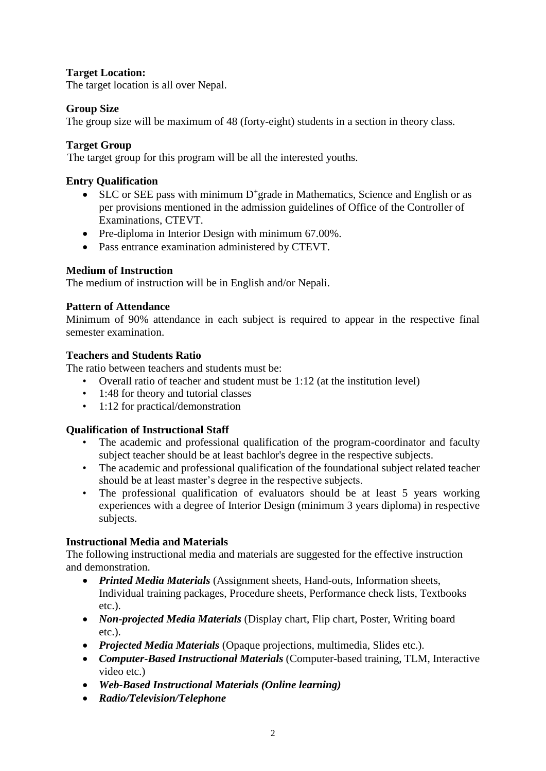# <span id="page-4-0"></span>**Target Location:**

The target location is all over Nepal.

# <span id="page-4-1"></span>**Group Size**

The group size will be maximum of 48 (forty-eight) students in a section in theory class.

# <span id="page-4-2"></span>**Target Group**

The target group for this program will be all the interested youths.

# <span id="page-4-3"></span>**Entry Qualification**

- SLC or SEE pass with minimum D<sup>+</sup>grade in Mathematics, Science and English or as per provisions mentioned in the admission guidelines of Office of the Controller of Examinations, CTEVT.
- Pre-diploma in Interior Design with minimum 67.00%.
- Pass entrance examination administered by CTEVT.

# <span id="page-4-4"></span>**Medium of Instruction**

The medium of instruction will be in English and/or Nepali.

# <span id="page-4-5"></span>**Pattern of Attendance**

Minimum of 90% attendance in each subject is required to appear in the respective final semester examination.

# <span id="page-4-6"></span>**Teachers and Students Ratio**

The ratio between teachers and students must be:

- Overall ratio of teacher and student must be 1:12 (at the institution level)
- 1:48 for theory and tutorial classes
- 1:12 for practical/demonstration

# <span id="page-4-7"></span>**Qualification of Instructional Staff**

- The academic and professional qualification of the program-coordinator and faculty subject teacher should be at least bachlor's degree in the respective subjects.
- The academic and professional qualification of the foundational subject related teacher should be at least master's degree in the respective subjects.
- The professional qualification of evaluators should be at least 5 years working experiences with a degree of Interior Design (minimum 3 years diploma) in respective subjects.

# <span id="page-4-8"></span>**Instructional Media and Materials**

The following instructional media and materials are suggested for the effective instruction and demonstration.

- *Printed Media Materials* (Assignment sheets, Hand-outs, Information sheets, Individual training packages, Procedure sheets, Performance check lists, Textbooks etc.).
- *Non-projected Media Materials* (Display chart, Flip chart, Poster, Writing board etc.).
- *Projected Media Materials* (Opaque projections, multimedia, Slides etc.).
- *Computer-Based Instructional Materials* (Computer-based training, TLM, Interactive video etc.)
- *Web-Based Instructional Materials (Online learning)*
- *Radio/Television/Telephone*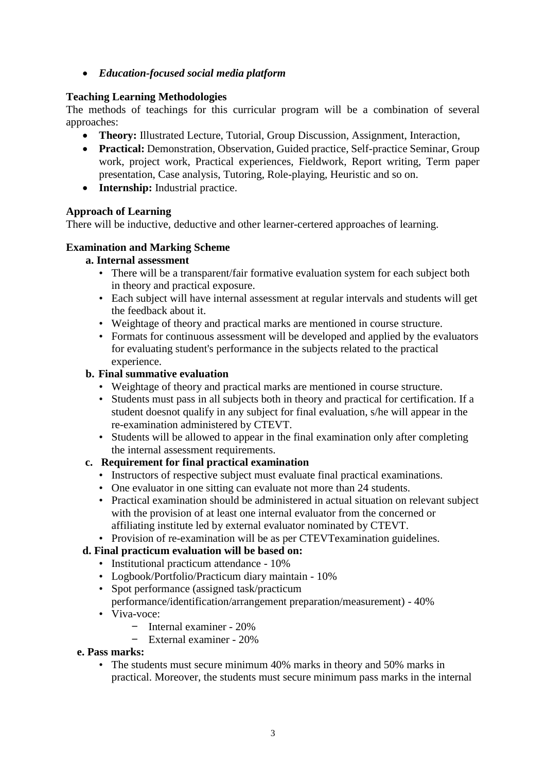• *Education-focused social media platform*

# <span id="page-5-0"></span>**Teaching Learning Methodologies**

The methods of teachings for this curricular program will be a combination of several approaches:

- **Theory:** Illustrated Lecture, Tutorial, Group Discussion, Assignment, Interaction,
- **Practical:** Demonstration, Observation, Guided practice, Self-practice Seminar, Group work, project work, Practical experiences, Fieldwork, Report writing, Term paper presentation, Case analysis, Tutoring, Role-playing, Heuristic and so on.
- **Internship:** Industrial practice.

# <span id="page-5-1"></span>**Approach of Learning**

There will be inductive, deductive and other learner-certered approaches of learning.

# <span id="page-5-2"></span>**Examination and Marking Scheme**

# **a. Internal assessment**

- There will be a transparent/fair formative evaluation system for each subject both in theory and practical exposure.
- Each subject will have internal assessment at regular intervals and students will get the feedback about it.
- Weightage of theory and practical marks are mentioned in course structure.
- Formats for continuous assessment will be developed and applied by the evaluators for evaluating student's performance in the subjects related to the practical experience.

# **b. Final summative evaluation**

- Weightage of theory and practical marks are mentioned in course structure.
- Students must pass in all subjects both in theory and practical for certification. If a student doesnot qualify in any subject for final evaluation, s/he will appear in the re-examination administered by CTEVT.
- Students will be allowed to appear in the final examination only after completing the internal assessment requirements.

# **c. Requirement for final practical examination**

- Instructors of respective subject must evaluate final practical examinations.
- One evaluator in one sitting can evaluate not more than 24 students.
- Practical examination should be administered in actual situation on relevant subject with the provision of at least one internal evaluator from the concerned or affiliating institute led by external evaluator nominated by CTEVT.
- Provision of re-examination will be as per CTEVTexamination guidelines.

# **d. Final practicum evaluation will be based on:**

- Institutional practicum attendance 10%
- Logbook/Portfolio/Practicum diary maintain 10%
- Spot performance (assigned task/practicum

# performance/identification/arrangement preparation/measurement) - 40%

- Viva-voce:
	- Internal examiner 20%
	- External examiner 20%

# **e. Pass marks:**

• The students must secure minimum 40% marks in theory and 50% marks in practical. Moreover, the students must secure minimum pass marks in the internal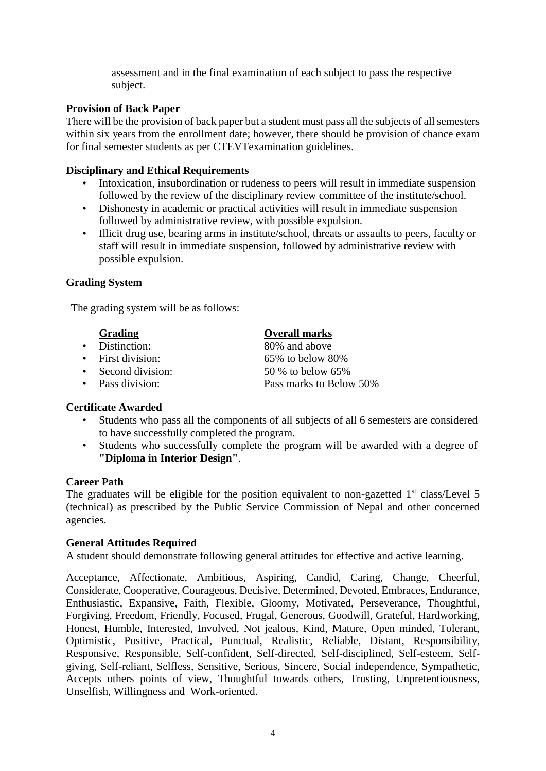assessment and in the final examination of each subject to pass the respective subject.

# <span id="page-6-0"></span>**Provision of Back Paper**

There will be the provision of back paper but a student must pass all the subjects of all semesters within six years from the enrollment date; however, there should be provision of chance exam for final semester students as per CTEVTexamination guidelines.

# <span id="page-6-1"></span>**Disciplinary and Ethical Requirements**

- Intoxication, insubordination or rudeness to peers will result in immediate suspension followed by the review of the disciplinary review committee of the institute/school.
- Dishonesty in academic or practical activities will result in immediate suspension followed by administrative review, with possible expulsion.
- Illicit drug use, bearing arms in institute/school, threats or assaults to peers, faculty or staff will result in immediate suspension, followed by administrative review with possible expulsion.

# <span id="page-6-2"></span>**Grading System**

The grading system will be as follows:

# **Grading Overall marks**

- 
- 
- 
- 

# <span id="page-6-3"></span>**Certificate Awarded**

- Students who pass all the components of all subjects of all 6 semesters are considered to have successfully completed the program.
- Students who successfully complete the program will be awarded with a degree of **"Diploma in Interior Design"**.

# <span id="page-6-4"></span>**Career Path**

The graduates will be eligible for the position equivalent to non-gazetted  $1<sup>st</sup>$  class/Level 5 (technical) as prescribed by the Public Service Commission of Nepal and other concerned agencies.

# <span id="page-6-5"></span>**General Attitudes Required**

A student should demonstrate following general attitudes for effective and active learning.

Acceptance, Affectionate, Ambitious, Aspiring, Candid, Caring, Change, Cheerful, Considerate, Cooperative, Courageous, Decisive, Determined, Devoted, Embraces, Endurance, Enthusiastic, Expansive, Faith, Flexible, Gloomy, Motivated, Perseverance, Thoughtful, Forgiving, Freedom, Friendly, Focused, Frugal, Generous, Goodwill, Grateful, Hardworking, Honest, Humble, Interested, Involved, Not jealous, Kind, Mature, Open minded, Tolerant, Optimistic, Positive, Practical, Punctual, Realistic, Reliable, Distant, Responsibility, Responsive, Responsible, Self-confident, Self-directed, Self-disciplined, Self-esteem, Selfgiving, Self-reliant, Selfless, Sensitive, Serious, Sincere, Social independence, Sympathetic, Accepts others points of view, Thoughtful towards others, Trusting, Unpretentiousness, Unselfish, Willingness and Work-oriented.

• Distinction: 80% and above • First division: 65% to below 80% • Second division: 50 % to below 65% • Pass division: Pass marks to Below 50%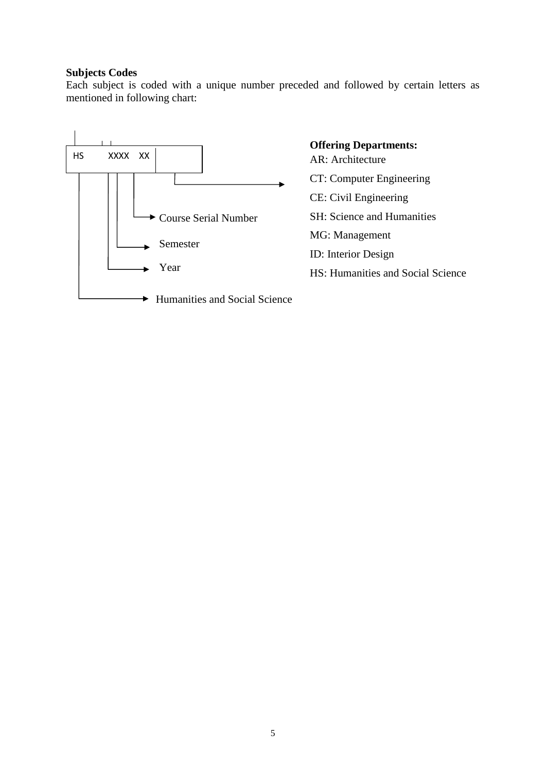#### <span id="page-7-0"></span>**Subjects Codes**

Each subject is coded with a unique number preceded and followed by certain letters as mentioned in following chart:



# **Offering Departments:** AR: Architecture CT: Computer Engineering CE: Civil Engineering SH: Science and Humanities MG: Management ID: Interior Design HS: Humanities and Social Science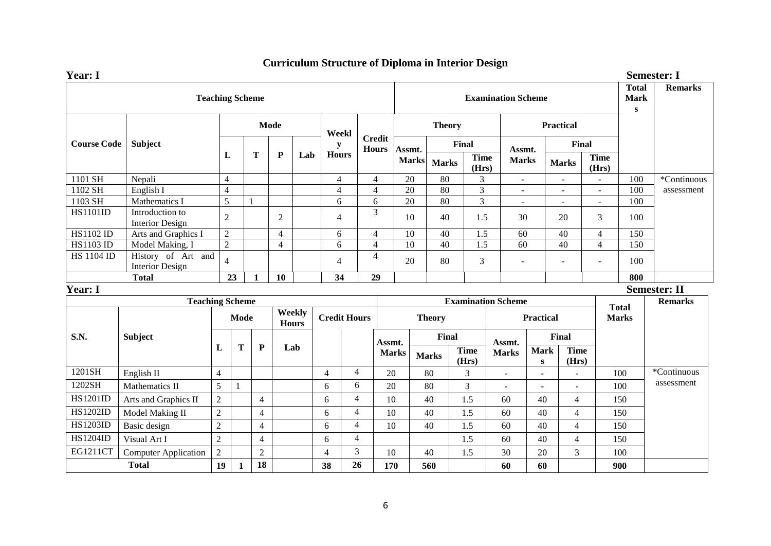# **Curriculum Structure of Diploma in Interior Design**

<span id="page-8-0"></span>

| Year: I           |                                              |                |                                       |                |                |                     |                |                |                                   |                 |                 |                      |                           |                              |                      |                      | <b>Semester: I</b>                       |                     |
|-------------------|----------------------------------------------|----------------|---------------------------------------|----------------|----------------|---------------------|----------------|----------------|-----------------------------------|-----------------|-----------------|----------------------|---------------------------|------------------------------|----------------------|----------------------|------------------------------------------|---------------------|
|                   |                                              |                | <b>Teaching Scheme</b>                |                |                |                     |                |                |                                   |                 |                 |                      | <b>Examination Scheme</b> |                              |                      |                      | <b>Total</b><br><b>Mark</b><br>${\bf S}$ | <b>Remarks</b>      |
|                   |                                              |                |                                       |                | <b>Mode</b>    |                     | Weekl          |                |                                   | <b>Theory</b>   |                 |                      |                           | <b>Practical</b>             |                      |                      |                                          |                     |
|                   | <b>Course Code</b><br>Subject                |                |                                       |                |                |                     | ${\bf y}$      |                | <b>Credit</b><br><b>Hours</b>     | Assmt.          |                 | <b>Final</b>         |                           | Assmt.                       | Final                |                      |                                          |                     |
|                   |                                              | L              |                                       | T              | ${\bf P}$      | Lab                 | <b>Hours</b>   |                |                                   | <b>Marks</b>    | <b>Marks</b>    |                      | <b>Time</b><br>(Hrs)      | <b>Marks</b>                 | <b>Marks</b>         | <b>Time</b><br>(Hrs) |                                          |                     |
| 1101 SH           | Nepali                                       | $\overline{4}$ |                                       |                |                |                     | $\overline{4}$ |                | 4                                 | 20              | 80              |                      | $\mathfrak{Z}$            | $\omega$                     | $\blacksquare$       |                      | 100                                      | *Continuous         |
| 1102 SH           | English I                                    | $\overline{4}$ |                                       |                |                |                     | $\overline{4}$ |                | $\overline{4}$                    | $\overline{20}$ | $\overline{80}$ |                      | $\overline{3}$            | $\sim$                       | $\overline{a}$       | $\sim$               | 100                                      | assessment          |
| 1103 SH           | Mathematics I                                | $\overline{5}$ |                                       | $\mathbf{1}$   |                |                     | 6              |                | 6                                 | $\overline{20}$ | 80              |                      | $\overline{3}$            | $\sim$                       | $\overline{a}$       |                      | 100                                      |                     |
| <b>HS1101ID</b>   | Introduction to<br><b>Interior Design</b>    | $\overline{2}$ |                                       |                | 2              |                     | $\overline{4}$ |                | 3                                 | 10              | 40              |                      | 1.5                       | 30                           | 20                   | 3                    | 100                                      |                     |
| <b>HS1102 ID</b>  | Arts and Graphics I                          | $\overline{c}$ |                                       |                | $\overline{4}$ |                     | 6              |                | $\overline{4}$                    | 10              | 40              |                      | 1.5                       | 60                           | 40                   | $\overline{4}$       | 150                                      |                     |
| <b>HS1103 ID</b>  | Model Making, I                              | $\overline{2}$ |                                       |                | $\overline{4}$ |                     | 6              |                | $\overline{4}$                    | $\overline{10}$ | $\overline{40}$ |                      | $\overline{1.5}$          | $\overline{60}$              | $\overline{40}$      | $\overline{4}$       | $\overline{150}$                         |                     |
| <b>HS 1104 ID</b> | History of Art and<br><b>Interior Design</b> | $\overline{4}$ |                                       |                |                |                     | $\overline{4}$ |                | $\overline{4}$                    | 20              | 80              |                      | 3                         |                              | $\blacksquare$       |                      | 100                                      |                     |
| <b>Total</b>      |                                              |                | 23                                    |                | 10             |                     | 34             |                | 29                                |                 |                 |                      |                           |                              |                      |                      | 800                                      |                     |
| <b>Year: I</b>    |                                              |                |                                       |                |                |                     |                |                |                                   |                 |                 |                      |                           |                              |                      |                      |                                          | <b>Semester: II</b> |
|                   | <b>Teaching Scheme</b>                       |                |                                       |                |                |                     |                |                |                                   |                 |                 |                      | <b>Examination Scheme</b> |                              |                      |                      |                                          | <b>Remarks</b>      |
|                   |                                              |                | Weekly<br><b>Mode</b><br><b>Hours</b> |                |                | <b>Credit Hours</b> |                |                | <b>Theory</b><br><b>Practical</b> |                 |                 |                      |                           | <b>Total</b><br><b>Marks</b> |                      |                      |                                          |                     |
| S.N.              | <b>Subject</b>                               |                |                                       |                |                |                     |                |                | Assmt.                            | Final           |                 |                      | Assmt.                    |                              | Final                |                      |                                          |                     |
|                   |                                              | L              | Т                                     | $\mathbf{P}$   | Lab            |                     |                |                | <b>Marks</b>                      |                 | <b>Marks</b>    | <b>Time</b><br>(Hrs) | <b>Marks</b>              | <b>Mark</b><br>$\mathbf{s}$  | <b>Time</b><br>(Hrs) |                      |                                          |                     |
| 1201SH            | English II                                   | 4              |                                       |                |                |                     | $\overline{4}$ | $\overline{4}$ | 20                                |                 | 80              | 3                    | $\overline{\phantom{a}}$  | $\blacksquare$               | ÷,                   |                      | 100                                      | *Continuous         |
| 1202SH            | Mathematics II                               | 5              | 1                                     |                |                |                     | 6              | 6              | 20                                |                 | 80              | $\mathfrak{Z}$       | $\overline{\phantom{a}}$  | $\overline{\phantom{a}}$     |                      |                      | 100                                      | assessment          |
| <b>HS1201ID</b>   | Arts and Graphics II                         | $\overline{2}$ |                                       | $\overline{4}$ |                |                     | 6              | $\overline{4}$ | 10                                |                 | 40              | 1.5                  | 60                        | 40                           | $\overline{4}$       |                      | 150                                      |                     |
| <b>HS1202ID</b>   | Model Making II                              | $\overline{2}$ |                                       | $\overline{4}$ |                |                     | 6              | $\overline{4}$ | 10                                |                 | 40              | 1.5                  | 60                        | 40                           | $\overline{4}$       |                      | 150                                      |                     |
| <b>HS1203ID</b>   | Basic design                                 | $\overline{2}$ |                                       | $\overline{4}$ |                |                     | 6              | $\overline{4}$ | 10                                |                 | 40              | 1.5                  | 60                        | 40                           | $\overline{4}$       |                      | 150                                      |                     |
| <b>HS1204ID</b>   | Visual Art I                                 | $\overline{2}$ |                                       | $\overline{4}$ |                |                     | 6              | $\overline{4}$ |                                   |                 |                 | 1.5                  | 60                        | 40                           | $\overline{4}$       |                      | 150                                      |                     |
| <b>EG1211CT</b>   | <b>Computer Application</b>                  | $\overline{c}$ |                                       | $\overline{2}$ |                |                     | $\overline{4}$ | 3              | 10                                |                 | 40              | 1.5                  | 30                        | 20                           | 3                    |                      | 100                                      |                     |
|                   | <b>Total</b>                                 | 19             | 1                                     | 18             |                |                     | 38             | 26             | 170                               |                 | 560             |                      | 60                        | 60                           |                      |                      | 900                                      |                     |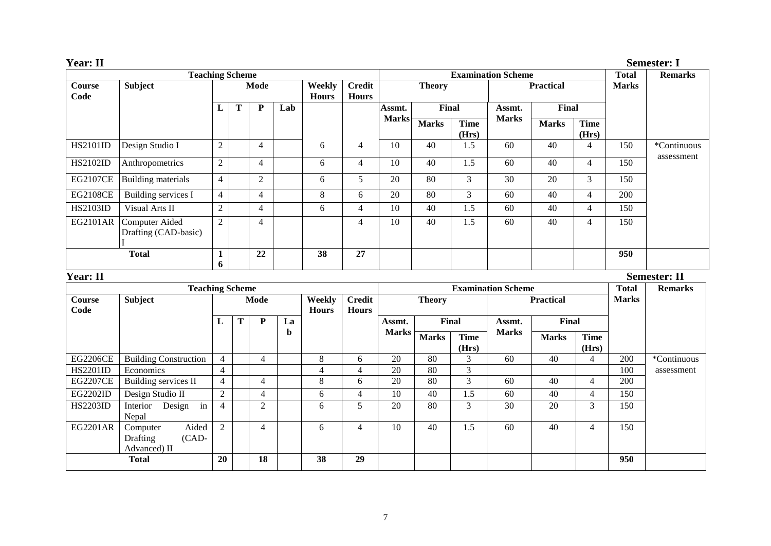| Year: II              |                                                           |                   |             |                |             |                        |                               |                 |               |                      |                           |                  |                      |                  | <b>Semester: I</b>  |
|-----------------------|-----------------------------------------------------------|-------------------|-------------|----------------|-------------|------------------------|-------------------------------|-----------------|---------------|----------------------|---------------------------|------------------|----------------------|------------------|---------------------|
|                       | <b>Teaching Scheme</b>                                    |                   |             |                |             |                        |                               |                 |               |                      | <b>Examination Scheme</b> |                  |                      | <b>Total</b>     | <b>Remarks</b>      |
| <b>Course</b><br>Code | <b>Subject</b>                                            | <b>Mode</b>       |             |                |             | Weekly<br><b>Hours</b> | <b>Credit</b><br><b>Hours</b> |                 | <b>Theory</b> |                      |                           | <b>Practical</b> |                      | <b>Marks</b>     |                     |
|                       |                                                           | L                 | $\mathbf T$ | $\mathbf{P}$   | Lab         |                        |                               | Assmt.          | Final         |                      | Assmt.                    | Final            |                      |                  |                     |
|                       |                                                           |                   |             |                |             |                        |                               | <b>Marks</b>    | <b>Marks</b>  | <b>Time</b><br>(Hrs) | <b>Marks</b>              | <b>Marks</b>     | <b>Time</b><br>(Hrs) |                  |                     |
| <b>HS2101ID</b>       | Design Studio I                                           | $\overline{2}$    |             | $\overline{4}$ |             | 6                      | $\overline{4}$                | 10              | 40            | 1.5                  | 60                        | 40               | $\overline{4}$       | 150              | *Continuous         |
| <b>HS2102ID</b>       | Anthropometrics                                           | $\overline{2}$    |             | $\overline{4}$ |             | 6                      | $\overline{4}$                | 10              | 40            | 1.5                  | 60                        | 40               | $\overline{4}$       | 150              | assessment          |
| <b>EG2107CE</b>       | <b>Building materials</b>                                 | $\overline{4}$    |             | $\overline{2}$ |             | 6                      | 5                             | 20              | 80            | $\overline{3}$       | $\overline{30}$           | 20               | 3                    | 150              |                     |
| <b>EG2108CE</b>       | <b>Building services I</b>                                | $\overline{4}$    |             | $\overline{4}$ |             | $\,8\,$                | 6                             | 20              | 80            | $\overline{3}$       | $\overline{60}$           | 40               | $\overline{4}$       | 200              |                     |
| <b>HS2103ID</b>       | Visual Arts II                                            | $\sqrt{2}$        |             | $\overline{4}$ |             | 6                      | $\overline{4}$                | 10              | 40            | 1.5                  | 60                        | 40               | $\overline{4}$       | 150              |                     |
| EG2101AR              | Computer Aided<br>Drafting (CAD-basic)                    | $\overline{2}$    |             | $\overline{4}$ |             |                        | $\overline{4}$                | 10              | 40            | 1.5                  | 60                        | 40               | $\overline{4}$       | 150              |                     |
|                       | <b>Total</b>                                              | $\mathbf{1}$<br>6 |             | 22             |             | 38                     | 27                            |                 |               |                      |                           |                  |                      | 950              |                     |
| <b>Year: II</b>       |                                                           |                   |             |                |             |                        |                               |                 |               |                      |                           |                  |                      |                  | <b>Semester: II</b> |
|                       | <b>Teaching Scheme</b>                                    |                   |             |                |             |                        |                               |                 |               |                      | <b>Examination Scheme</b> |                  |                      | <b>Total</b>     | <b>Remarks</b>      |
| <b>Course</b><br>Code | <b>Subject</b>                                            |                   |             | <b>Mode</b>    |             | Weekly<br>Hours        | <b>Credit</b><br><b>Hours</b> |                 | <b>Theory</b> |                      |                           | <b>Practical</b> |                      | <b>Marks</b>     |                     |
|                       |                                                           | L                 | T           | $\mathbf{P}$   | La          |                        |                               | Assmt.          |               | Final                | Assmt.                    | Final            |                      |                  |                     |
|                       |                                                           |                   |             |                | $\mathbf b$ |                        |                               | <b>Marks</b>    | <b>Marks</b>  | <b>Time</b><br>(Hrs) | <b>Marks</b>              | <b>Marks</b>     | <b>Time</b><br>(Hrs) |                  |                     |
| <b>EG2206CE</b>       | <b>Building Construction</b>                              | $\overline{4}$    |             | $\overline{4}$ |             | $8\,$                  | 6                             | 20              | 80            | $\mathfrak{Z}$       | 60                        | 40               | $\overline{4}$       | 200              | *Continuous         |
| <b>HS2201ID</b>       | Economics                                                 | $\overline{4}$    |             |                |             | $\overline{4}$         | $\overline{4}$                | 20              | 80            | 3                    |                           |                  |                      | 100              | assessment          |
| <b>EG2207CE</b>       | Building services II                                      | $\overline{4}$    |             | $\overline{4}$ |             | $\,8\,$                | 6                             | 20              | 80            | 3                    | 60                        | 40               | $\overline{4}$       | 200              |                     |
| EG2202ID              | Design Studio II                                          | $\overline{2}$    |             | $\overline{4}$ |             | $\sqrt{6}$             | $\overline{4}$                | 10              | 40            | 1.5                  | 60                        | 40               | $\overline{4}$       | 150              |                     |
| <b>HS2203ID</b>       | Interior Design<br>in<br>Nepal                            | $\overline{4}$    |             | $\overline{2}$ |             | 6                      | 5                             | 20              | 80            | $\overline{3}$       | 30                        | 20               | 3                    | 150              |                     |
| EG2201AR              | Aided<br>Computer<br>Drafting<br>$(CAD -$<br>Advanced) II | $\overline{2}$    |             | $\overline{4}$ |             | 6                      | $\overline{4}$                | $\overline{10}$ | 40            | $\overline{1.5}$     | 60                        | 40               | $\overline{4}$       | $\overline{150}$ |                     |
|                       | <b>Total</b>                                              | 20                |             | 18             |             | 38                     | 29                            |                 |               |                      |                           |                  |                      | 950              |                     |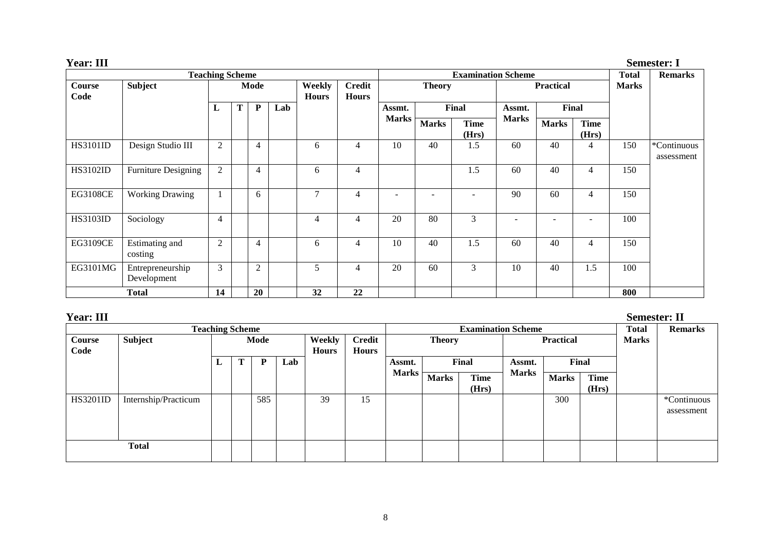| <b>Year: III</b>      |                                 |                        |   |                |     |                        |                               |                           |               |                      |              |                  |                      |              | <b>Semester: I</b>        |
|-----------------------|---------------------------------|------------------------|---|----------------|-----|------------------------|-------------------------------|---------------------------|---------------|----------------------|--------------|------------------|----------------------|--------------|---------------------------|
|                       |                                 | <b>Teaching Scheme</b> |   |                |     |                        |                               | <b>Examination Scheme</b> |               |                      |              |                  |                      | <b>Total</b> | <b>Remarks</b>            |
| <b>Course</b><br>Code | Subject                         |                        |   | Mode           |     | Weekly<br><b>Hours</b> | <b>Credit</b><br><b>Hours</b> |                           | <b>Theory</b> |                      |              | <b>Practical</b> |                      | <b>Marks</b> |                           |
|                       |                                 | L                      | T | ${\bf P}$      | Lab |                        |                               | Assmt.                    | Final         |                      | Assmt.       |                  | Final                |              |                           |
|                       |                                 |                        |   |                |     |                        |                               | <b>Marks</b>              | <b>Marks</b>  | <b>Time</b><br>(Hrs) | <b>Marks</b> | <b>Marks</b>     | <b>Time</b><br>(Hrs) |              |                           |
| HS3101ID              | Design Studio III               | $\overline{2}$         |   | $\overline{4}$ |     | 6                      | 4                             | 10                        | 40            | 1.5                  | 60           | 40               | 4                    | 150          | *Continuous<br>assessment |
| HS3102ID              | <b>Furniture Designing</b>      | $\mathbf{2}$           |   | $\overline{4}$ |     | 6                      | $\overline{4}$                |                           |               | 1.5                  | 60           | 40               | 4                    | 150          |                           |
| <b>EG3108CE</b>       | <b>Working Drawing</b>          |                        |   | 6              |     | $\tau$                 | $\overline{4}$                | $\overline{\phantom{a}}$  | ۳             | ۰                    | 90           | 60               | $\overline{4}$       | 150          |                           |
| <b>HS3103ID</b>       | Sociology                       | $\overline{4}$         |   |                |     | 4                      | 4                             | 20                        | 80            | 3                    |              |                  |                      | 100          |                           |
| <b>EG3109CE</b>       | Estimating and<br>costing       | $\overline{2}$         |   | 4              |     | 6                      | $\overline{4}$                | 10                        | 40            | 1.5                  | 60           | 40               | 4                    | 150          |                           |
| EG3101MG              | Entrepreneurship<br>Development | $\mathfrak{Z}$         |   | $\overline{2}$ |     | 5                      | $\overline{4}$                | 20                        | 60            | 3                    | 10           | 40               | 1.5                  | 100          |                           |
|                       | <b>Total</b>                    | 14                     |   | 20             |     | 32                     | 22                            |                           |               |                      |              |                  |                      | 800          |                           |

| <b>Year: III</b> |                      |      |                        |     |     |                        |                               |              |               |                           |                  |              |                      | <b>Semester: II</b> |                           |
|------------------|----------------------|------|------------------------|-----|-----|------------------------|-------------------------------|--------------|---------------|---------------------------|------------------|--------------|----------------------|---------------------|---------------------------|
|                  |                      |      | <b>Teaching Scheme</b> |     |     |                        |                               |              |               | <b>Examination Scheme</b> |                  |              |                      | <b>Total</b>        | <b>Remarks</b>            |
| Course<br>Code   | <b>Subject</b>       | Mode |                        |     |     | Weekly<br><b>Hours</b> | <b>Credit</b><br><b>Hours</b> |              | <b>Theory</b> |                           | <b>Practical</b> |              |                      | <b>Marks</b>        |                           |
|                  |                      | ⊥    | т                      |     | Lab |                        |                               | Assmt.       | Final         |                           | Final<br>Assmt.  |              |                      |                     |                           |
|                  |                      |      |                        |     |     |                        |                               | <b>Marks</b> | <b>Marks</b>  | <b>Time</b><br>(Hrs)      | <b>Marks</b>     | <b>Marks</b> | <b>Time</b><br>(Hrs) |                     |                           |
| <b>HS3201ID</b>  | Internship/Practicum |      |                        | 585 |     | 39                     | 15                            |              |               |                           |                  | 300          |                      |                     | *Continuous<br>assessment |
|                  | <b>Total</b>         |      |                        |     |     |                        |                               |              |               |                           |                  |              |                      |                     |                           |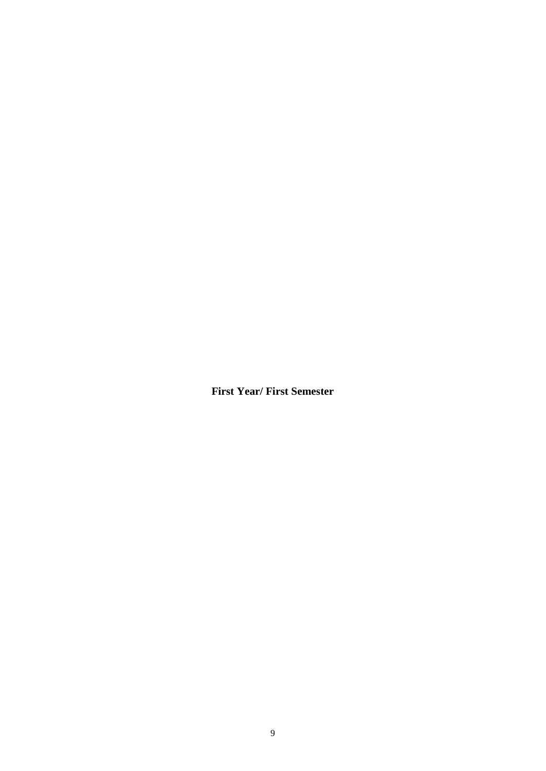<span id="page-11-0"></span>**First Year/ First Semester**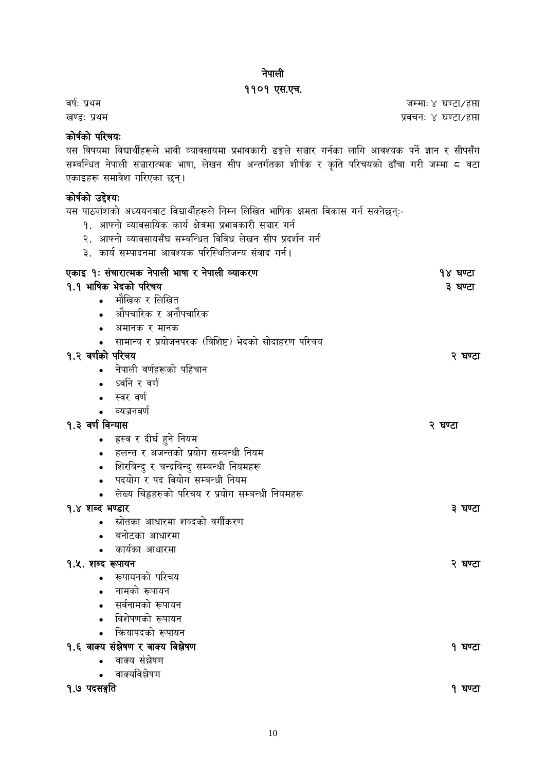# नेपाली

#### ११०१ एस.एच.

<span id="page-12-0"></span>वर्ष: प्रथम जम्मा: ४ घण्टा/हप्ता खण्ड: प्रथम प्रवचन: ४ घण्टा/हप्ता

# कोर्षको परिचय:

यस विषयमा विद्यार्थीहरूले भावी व्यावसायमा प्रभावकारी ढङ्गले सञ्चार गर्नका लागि आवश्यक पर्ने ज्ञान र सीपसँग सम्बन्धित नेपाली सञ्चारात्मक भाषा, लेखन सीप अन्तर्गतका शीर्षक र कृति परिचयको ढाँचा गरी जम्मा ८ वटा एकाइहरू समावेश गरिएका छन।्

# कोर्षको उद्देश्य:

यस पाठ्यांशको अध्ययनबाट विद्यार्थीहरूले निम्न लिखित भाषिक क्षमता विकास गर्न सक्नेछन्:-

- १. आफ्नो व्यावसायिक कार्य क्षेत्रमा प्रभावकारी सञ्चार गर्न
- २. आफ्नो व्यावसायसँघ सम्बन्धित विविध लेखन सीप प्रदर्शन गर्न
- ३. कार्य सम्पादनमा आवश्यक परिस्थितिजन्य संवाद गर्न।

| एकाइ १: संचारात्मक नेपाली भाषा र नेपाली व्याकरण    | १४ घण्टा |
|----------------------------------------------------|----------|
| १.१ भाषिक भेदको परिचय                              | ३ घण्टा  |
| मौखिक र लिखित                                      |          |
| औपचारिक र अनौपचारिक                                |          |
| अमानक र मानक                                       |          |
| सामान्य र प्रयोजनपरक (विशिष्ट) भेदको सोदाहरण परिचय |          |
| १.२ वर्णको परिचय                                   | २ घण्टा  |
| नेपाली वर्णहरूको पहिचान                            |          |
| ध्वनि र वर्ण                                       |          |
| स्वर वर्ण                                          |          |
| व्यञ्जनवर्ण                                        |          |
| १.३ वर्ण विन्यास                                   | २ घण्टा  |
| हस्व र दीर्घ हुने नियम                             |          |
| हलन्त र अजन्तको प्रयोग सम्बन्धी नियम               |          |
| शिरबिन्दु र चन्द्रबिन्दु सम्बन्धी नियमहरू          |          |
| पदयोग र पद वियोग सम्बन्धी नियम                     |          |
| लेख्य चिह्नहरुको परिचय र प्रयोग सम्बन्धी नियमहरू   |          |
| १.४ शब्द भण्डार                                    | ३ घण्टा  |
| स्रोतका आधारमा शब्दको वर्गीकरण                     |          |
| बनोटका आधारमा                                      |          |
| कार्यका आधारमा                                     |          |
| १.५. शब्द रूपायन                                   | २ घण्टा  |
| रूपायनको परिचय                                     |          |
| नामको रूपायन                                       |          |
| सर्वनामको रूपायन                                   |          |
| विशेषणको रूपायन                                    |          |
| कियापदको रूपायन                                    |          |
| १.६ वाक्य संस्नेषण र वाक्य विस्नेषण                | १ घण्टा  |
| वाक्य संश्लेषण                                     |          |
| वाक्यविश्लेषण                                      |          |
| १.७ पदसङ्गति                                       | १ घण्टा  |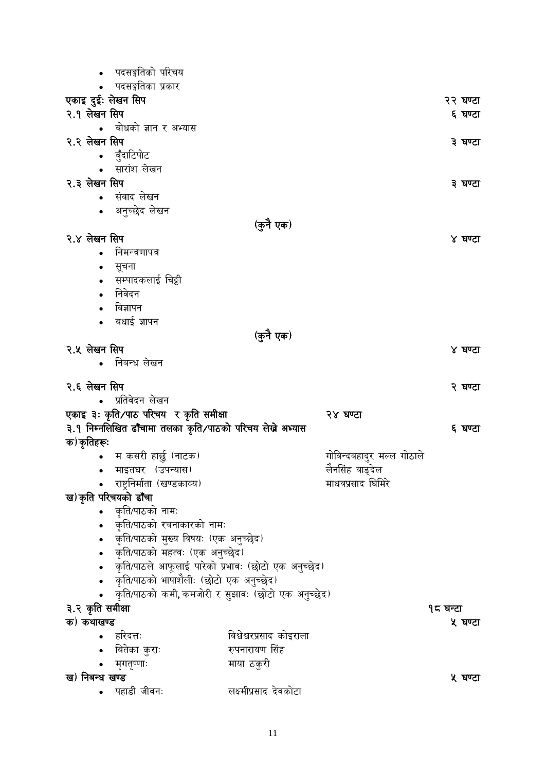|                    | पदसङ्गतिको परिचय                                         |                          |                           |          |          |
|--------------------|----------------------------------------------------------|--------------------------|---------------------------|----------|----------|
|                    | पदसङ्गतिका प्रकार                                        |                          |                           |          |          |
| एकाइ दुईः लेखन सिप |                                                          |                          |                           |          | २२ घण्टा |
| २.१ लेखन सिप       |                                                          |                          |                           |          | ६ घण्टा  |
|                    | • बोधको ज्ञान र अभ्यास                                   |                          |                           |          |          |
| २.२ लेखन सिप       |                                                          |                          |                           |          | ३ घण्टा  |
|                    | • बुँदाटिपोट                                             |                          |                           |          |          |
|                    | सारांश लेखन                                              |                          |                           |          |          |
| २.३ लेखन सिप       |                                                          |                          |                           |          | ३ घण्टा  |
|                    | संवाद लेखन                                               |                          |                           |          |          |
|                    | • अनुच्छेद लेखन                                          |                          |                           |          |          |
|                    |                                                          | (कुनै एक)                |                           |          |          |
| २.४ लेखन सिप       |                                                          |                          |                           |          | ४ घण्टा  |
|                    | निमन्त्रणापत्र                                           |                          |                           |          |          |
|                    |                                                          |                          |                           |          |          |
|                    | सूचना<br>सम्पादकलाई चिट्ठी                               |                          |                           |          |          |
|                    | निवेदन                                                   |                          |                           |          |          |
|                    |                                                          |                          |                           |          |          |
|                    | विज्ञापन                                                 |                          |                           |          |          |
|                    | बधाई ज्ञापन                                              |                          |                           |          |          |
|                    |                                                          | (कुनै एक)                |                           |          |          |
| २.५ लेखन सिप       |                                                          |                          |                           |          | ४ घण्टा  |
|                    | निबन्ध लेखन                                              |                          |                           |          |          |
| २.६ लेखन सिप       |                                                          |                          |                           |          | २ घण्टा  |
|                    | प्रतिवेदन लेखन                                           |                          |                           |          |          |
|                    | एकाइ ३ः कृति∕पाठ परिचय  र कृति समीक्षा                   |                          | २४ घण्टा                  |          |          |
|                    | ३.१ निम्नलिखित ढाँचामा तलका कृति/पाठको परिचय लेखे अभ्यास |                          |                           |          | ६ घण्टा  |
| क)कृतिहरूः         |                                                          |                          |                           |          |          |
|                    | • म कसरी हार्छु (नाटक)                                   |                          | गोविन्दबहादुर मल्ल गोठाले |          |          |
|                    | माइतघर (उपन्यास)                                         |                          | लैनसिंह वाङ्देल           |          |          |
|                    | राष्ट्रनिर्माता (खण्डकाव्य)                              |                          | माधवप्रसाद घिमिरे         |          |          |
|                    |                                                          |                          |                           |          |          |
|                    | ख)कृति परिचयको ढाँचा<br>कृति/पाठको नामः                  |                          |                           |          |          |
|                    |                                                          |                          |                           |          |          |
|                    | कृति/पाठको रचनाकारको नामः                                |                          |                           |          |          |
|                    | कृति/पाठको मुख्य विषयः (एक अनुच्छेद)                     |                          |                           |          |          |
|                    | कृति/पाठको महत्वः (एक अनुच्छेद)                          |                          |                           |          |          |
|                    | ्कृति/पाठले आफूलाई पारेको प्रभावः (छोटो एक अनुच्छेद)     |                          |                           |          |          |
|                    | कृति/पाठको भाषाशैलीः (छोटो एक अनुच्छेद)                  |                          |                           |          |          |
|                    | कृति/पाठको कमी, कमजोरी र सुझावः (छोटो एक अनुच्छेद)       |                          |                           |          |          |
| ३.२ कृति समीक्षा   |                                                          |                          |                           | १८ घन्टा |          |
| क) कथाखण्ड         |                                                          |                          |                           |          | ५ घण्टा  |
|                    | हरिदत्तः                                                 | विश्वेश्वरप्रसाद कोइराला |                           |          |          |
|                    | बितेका कुराः                                             | रुपनारायण सिंह           |                           |          |          |
|                    | मृगतॄष्णाः                                               | माया ठकुरी               |                           |          |          |
| ख) निबन्ध खण्ड     |                                                          |                          |                           |          | ५ घण्टा  |
|                    | पहाडी जीवनः                                              | लक्ष्मीप्रसाद देवकोटा    |                           |          |          |
|                    |                                                          |                          |                           |          |          |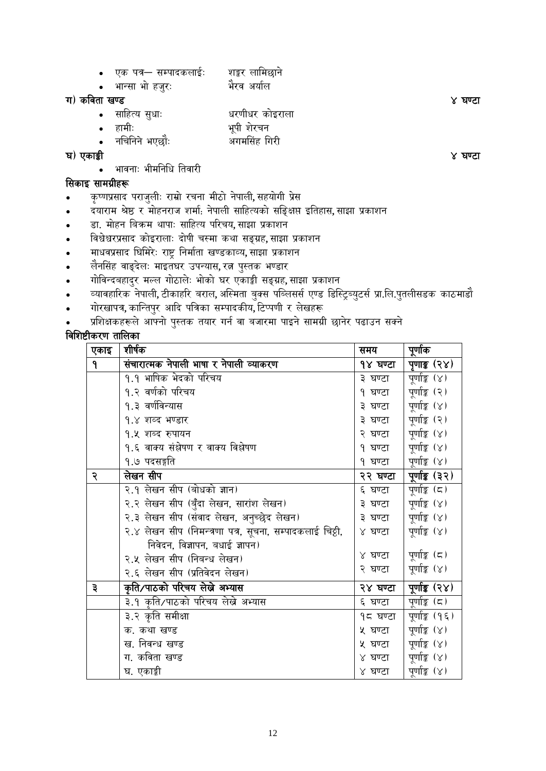- एक पत्र— सम्पादकलाईः शङ्कर लामिछाने
- भान्सा भो हजरः भैरव अर्याल

# ग) कववता खण्ड ४ घण्टा

- साहित्य सुधाः धरणीधर कोइराला
- हामीूः भपूी शेिचन
	- नन्चगननेभएछौूः अगमगसांह गगिी

# घ) एकाङ्की ४ घण्टा

भावनाः भीमनिधि तिवारी

# गसकाइ सामग्रीहरू

- कृष्णप्रसाद पिाजलुीूः िाम्रो िचना मीठो नेपाली**,** सहयोगी प्रसे
- दयािाम श्रेष्ठ ि मोहनिाज शमाष**:** नेपाली सावहत्यको सन्ङ्क्षप्त इगतहास**,** साझा प्रकाशन
- डा. मोहन गबिम थापाूः सावहत्य परिचय**,** साझा प्रकाशन
- ववश्वश्वे िप्रसाद कोइिालाूः दोर्ी चथमा कथा सङ्ग्रह**,** साझा प्रकाशन
- मािवप्रसाद न्घगमिेूः िाष्ट्र गनमाषता खण्डकाव्य**,** साझा प्रकाशन
- लैनगसांह वाङ्देलूः माइतघि उपधयास**,** ित्न पथुतक भण्डाि
- गोववधदबहादिु मल्ल गोठालेूः भोको घि एकाङ्की सङ्ग्रह**,** साझा प्रकाशन
- व्यावहारिक नेपाली**,** टीकाहरि बिाल**,** अन्थमता बक्ुस पन्ब्लससष एण्ड गडन्थिब्यटुसष प्रा.गल.पतुलीसडक काठमाडौ
- गोिखापत्र**,** कान्धतपिु आदद पगत्रका सम्पादकीय**,** वटप्पणी ि लेखहरू
- <u>प्रशिक्षकहरूले आफ्नो पुस्तक तयार गर्न वा बजारमा पाइने सामग्री छानेर पढाउन सक्ने</u>

# ववन्शष्टीकिण तागलका

| एकाइ         | शीर्षक                                                   | समय      | पूर्णाक        |
|--------------|----------------------------------------------------------|----------|----------------|
| $\mathbf{P}$ | संचारात्मक नेपाली भाषा र नेपाली व्याकरण                  | १४ घण्टा | पूणाङ्क (२४)   |
|              | १.१ भाषिक भेदको परिचय                                    | ३ घण्टा  | पूर्णाङ्क (४)  |
|              | १.२ वर्णको परिचय                                         | १ घण्टा  | पूर्णाङ्क (२)  |
|              | १.३ वर्णविन्यास                                          | ३ घण्टा  | पूर्णाङ्क (४)  |
|              | १.४ शव्द भण्डार                                          | ३ घण्टा  | पूर्णाङ्क (२)  |
|              | १.५ शब्द रुपायन                                          | २ घण्टा  | पूर्णाङ्क (४)  |
|              | १.६ वाक्य संस्नेषण र वाक्य विश्लेषण                      | १ घण्टा  | पूर्णाङ्क (४)  |
|              | १.७ पदसङ्गति                                             | १ घण्टा  | पूर्णाङ्क (४)  |
| २            | लेखन सीप                                                 | २२ घण्टा | पूर्णाङ्क (३२) |
|              | २.१ लेखन सीप (बोधको ज्ञान)                               | ६ घण्टा  | पूर्णाङ्क (८)  |
|              | २.२ लेखन सीप (बुँदा लेखन, सारांश लेखन)                   | ३ घण्टा  | पूर्णाङ्क (४)  |
|              | २.३ लेखन सीप (संवाद लेखन, अनुच्छेद लेखन)                 | ३ घण्टा  | पूर्णाङ्क (४)  |
|              | २.४ लेखन सीप (निमन्त्रणा पत्र, सूचना, सम्पादकलाई चिट्ठी, | ४ घण्टा  | पूर्णाङ्क (४)  |
|              | निवेदन, विज्ञापन, बधाई ज्ञापन)                           |          |                |
|              | २.५ लेखन सीप (निबन्ध लेखन)                               | ४ घण्टा  | पूर्णाङ्क (८)  |
|              | २.६ लेखन सीप (प्रतिवेदन लेखन)                            | २ घण्टा  | पूर्णाङ्क (४)  |
| ३            | कृति/पाठको परिचय लेखे अभ्यास                             | २४ घण्टा | पूर्णाङ्क (२४) |
|              | ३.१ कृति/पाठको परिचय लेखे अभ्यास                         | ६ घण्टा  | पूर्णाङ्क (८)  |
|              | ३.२ कृति समीक्षा                                         | १८ घण्टा | पूर्णाङ्क (१६) |
|              | क. कथा खण्ड                                              | ५ घण्टा  | पूर्णाङ्क (४)  |
|              | ख. निवन्ध खण्ड                                           | ५ घण्टा  | पूर्णाङ्क (४)  |
|              | ग. कविता खण्ड                                            | ४ घण्टा  | पूर्णाङ्क (४)  |
|              | घ. एकाङ्की                                               | ४ घण्टा  | पूर्णाङ्क (४)  |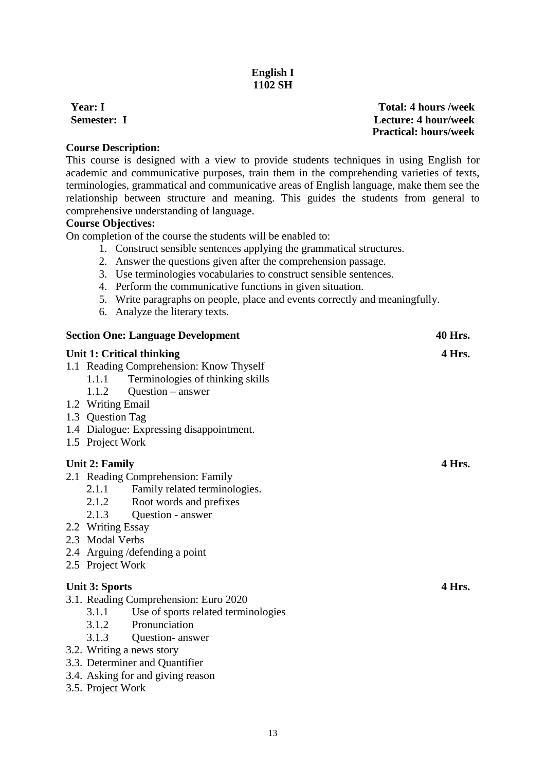# **English I 1102 SH**

<span id="page-15-0"></span>**Year: I Total: 4 hours /week Semester: I Lecture: 4 hour/week Practical: hours/week**

### **Course Description:**

This course is designed with a view to provide students techniques in using English for academic and communicative purposes, train them in the comprehending varieties of texts, terminologies, grammatical and communicative areas of English language, make them see the relationship between structure and meaning. This guides the students from general to comprehensive understanding of language.

# **Course Objectives:**

On completion of the course the students will be enabled to:

- 1. Construct sensible sentences applying the grammatical structures.
- 2. Answer the questions given after the comprehension passage.
- 3. Use terminologies vocabularies to construct sensible sentences.
- 4. Perform the communicative functions in given situation.
- 5. Write paragraphs on people, place and events correctly and meaningfully.
- 6. Analyze the literary texts.

|                                      | <b>Section One: Language Development</b> | 40 Hrs. |
|--------------------------------------|------------------------------------------|---------|
|                                      | Unit 1: Critical thinking                | 4 Hrs.  |
|                                      | 1.1 Reading Comprehension: Know Thyself  |         |
| 1.1.1                                | Terminologies of thinking skills         |         |
| 1.1.2                                | $Question - answer$                      |         |
| 1.2 Writing Email                    |                                          |         |
| 1.3 Question Tag                     |                                          |         |
|                                      | 1.4 Dialogue: Expressing disappointment. |         |
| 1.5 Project Work                     |                                          |         |
|                                      |                                          | 4 Hrs.  |
| <b>Unit 2: Family</b>                |                                          |         |
| 2.1.1                                | 2.1 Reading Comprehension: Family        |         |
| 2.1.2                                | Family related terminologies.            |         |
| 2.1.3                                | Root words and prefixes                  |         |
|                                      | Question - answer                        |         |
| 2.2 Writing Essay<br>2.3 Modal Verbs |                                          |         |
|                                      |                                          |         |
|                                      | 2.4 Arguing / defending a point          |         |
| 2.5 Project Work                     |                                          |         |
| <b>Unit 3: Sports</b>                |                                          | 4 Hrs.  |
|                                      | 3.1. Reading Comprehension: Euro 2020    |         |
| 3.1.1                                | Use of sports related terminologies      |         |
|                                      | 3.1.2 Pronunciation                      |         |
|                                      | 3.1.3 Question- answer                   |         |
|                                      | 3.2. Writing a news story                |         |
|                                      | 3.3. Determiner and Quantifier           |         |
|                                      | 2.4 Acking for and giving reason         |         |

- 3.4. Asking for and giving reason
- 3.5. Project Work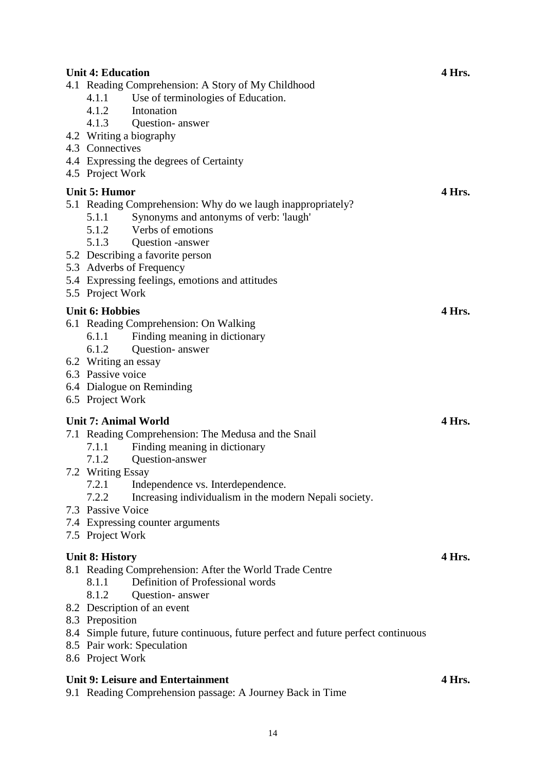| <b>Unit 4: Education</b>                                                                                       | 4 Hrs. |
|----------------------------------------------------------------------------------------------------------------|--------|
| 4.1 Reading Comprehension: A Story of My Childhood                                                             |        |
| Use of terminologies of Education.<br>4.1.1                                                                    |        |
| Intonation<br>4.1.2                                                                                            |        |
| 4.1.3 Question- answer                                                                                         |        |
| 4.2 Writing a biography                                                                                        |        |
| 4.3 Connectives                                                                                                |        |
| 4.4 Expressing the degrees of Certainty<br>4.5 Project Work                                                    |        |
|                                                                                                                |        |
| <b>Unit 5: Humor</b>                                                                                           | 4 Hrs. |
| 5.1 Reading Comprehension: Why do we laugh inappropriately?<br>Synonyms and antonyms of verb: 'laugh'<br>5.1.1 |        |
| 5.1.2 Verbs of emotions                                                                                        |        |
| 5.1.3 Question -answer                                                                                         |        |
| 5.2 Describing a favorite person                                                                               |        |
| 5.3 Adverbs of Frequency                                                                                       |        |
| 5.4 Expressing feelings, emotions and attitudes                                                                |        |
| 5.5 Project Work                                                                                               |        |
| <b>Unit 6: Hobbies</b>                                                                                         | 4 Hrs. |
| 6.1 Reading Comprehension: On Walking                                                                          |        |
| Finding meaning in dictionary<br>6.1.1                                                                         |        |
| Question- answer<br>6.1.2                                                                                      |        |
| 6.2 Writing an essay                                                                                           |        |
| 6.3 Passive voice                                                                                              |        |
| 6.4 Dialogue on Reminding                                                                                      |        |
| 6.5 Project Work                                                                                               |        |
| <b>Unit 7: Animal World</b>                                                                                    | 4 Hrs. |
| 7.1 Reading Comprehension: The Medusa and the Snail                                                            |        |
| 7.1.1<br>Finding meaning in dictionary                                                                         |        |
| Question-answer<br>7.1.2                                                                                       |        |
| 7.2 Writing Essay                                                                                              |        |
| 7.2.1<br>Independence vs. Interdependence.                                                                     |        |
| 7.2.2<br>Increasing individualism in the modern Nepali society.                                                |        |
| 7.3 Passive Voice                                                                                              |        |
| 7.4 Expressing counter arguments                                                                               |        |
| 7.5 Project Work                                                                                               |        |
| <b>Unit 8: History</b>                                                                                         | 4 Hrs. |
| 8.1 Reading Comprehension: After the World Trade Centre                                                        |        |
| Definition of Professional words<br>8.1.1                                                                      |        |
| 8.1.2<br>Question-answer                                                                                       |        |
| 8.2 Description of an event                                                                                    |        |
| 8.3 Preposition                                                                                                |        |
| 8.4 Simple future, future continuous, future perfect and future perfect continuous                             |        |
| 8.5 Pair work: Speculation                                                                                     |        |
| 8.6 Project Work                                                                                               |        |
| <b>Unit 9: Leisure and Entertainment</b>                                                                       | 4 Hrs. |
| 9.1 Reading Comprehension passage: A Journey Back in Time                                                      |        |
|                                                                                                                |        |
|                                                                                                                |        |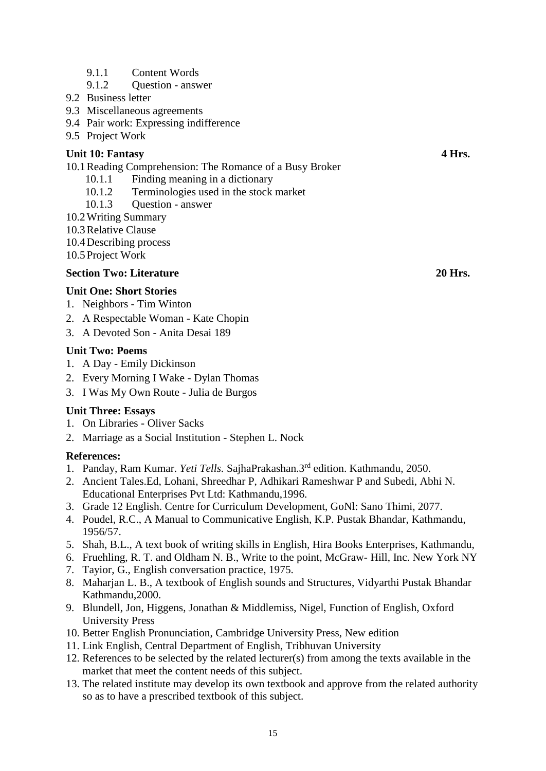- 9.1.1 Content Words
- 9.1.2 Question answer
- 9.2 Business letter
- 9.3 Miscellaneous agreements
- 9.4 Pair work: Expressing indifference
- 9.5 Project Work

#### **Unit 10: Fantasy 4 Hrs.**

10.1Reading Comprehension: The Romance of a Busy Broker

- 10.1.1 Finding meaning in a dictionary
- 10.1.2 Terminologies used in the stock market
- 10.1.3 Question answer
- 10.2Writing Summary
- 10.3Relative Clause
- 10.4Describing process

10.5Project Work

#### **Section Two: Literature 20 Hrs.**

#### **Unit One: Short Stories**

- 1. Neighbors Tim Winton
- 2. A Respectable Woman Kate Chopin
- 3. A Devoted Son Anita Desai 189

#### **Unit Two: Poems**

- 1. A Day Emily Dickinson
- 2. Every Morning I Wake Dylan Thomas
- 3. I Was My Own Route Julia de Burgos

#### **Unit Three: Essays**

- 1. On Libraries Oliver Sacks
- 2. Marriage as a Social Institution Stephen L. Nock

#### **References:**

- 1. Panday, Ram Kumar. *Yeti Tells.* SajhaPrakashan.3rd edition. Kathmandu, 2050.
- 2. Ancient Tales.Ed, Lohani, Shreedhar P, Adhikari Rameshwar P and Subedi, Abhi N. Educational Enterprises Pvt Ltd: Kathmandu,1996.
- 3. Grade 12 English. Centre for Curriculum Development, GoNl: Sano Thimi, 2077.
- 4. Poudel, R.C., A Manual to Communicative English, K.P. Pustak Bhandar, Kathmandu, 1956/57.
- 5. Shah, B.L., A text book of writing skills in English, Hira Books Enterprises, Kathmandu,
- 6. Fruehling, R. T. and Oldham N. B., Write to the point, McGraw- Hill, Inc. New York NY
- 7. Tayior, G., English conversation practice, 1975.
- 8. Maharjan L. B., A textbook of English sounds and Structures, Vidyarthi Pustak Bhandar Kathmandu,2000.
- 9. Blundell, Jon, Higgens, Jonathan & Middlemiss, Nigel, Function of English, Oxford University Press
- 10. Better English Pronunciation, Cambridge University Press, New edition
- 11. Link English, Central Department of English, Tribhuvan University
- 12. References to be selected by the related lecturer(s) from among the texts available in the market that meet the content needs of this subject.
- 13. The related institute may develop its own textbook and approve from the related authority so as to have a prescribed textbook of this subject.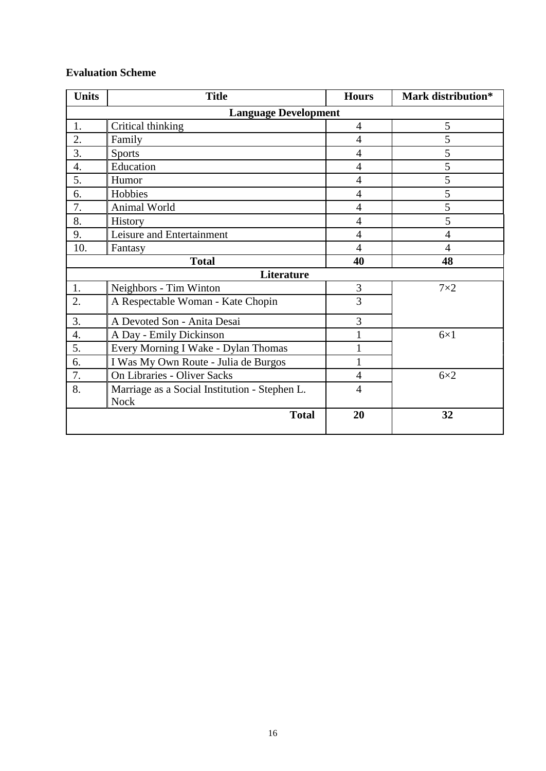# **Evaluation Scheme**

| <b>Units</b>     | <b>Title</b>                                  | <b>Hours</b>   | Mark distribution* |
|------------------|-----------------------------------------------|----------------|--------------------|
|                  | <b>Language Development</b>                   |                |                    |
| 1.               | Critical thinking                             | $\overline{4}$ | 5                  |
| 2.               | Family                                        | $\overline{4}$ | 5                  |
| 3.               | <b>Sports</b>                                 | $\overline{4}$ | 5                  |
| $\overline{4}$ . | Education                                     | $\overline{4}$ | 5                  |
| 5.               | Humor                                         | $\overline{4}$ | 5                  |
| 6.               | Hobbies                                       | $\overline{4}$ | 5                  |
| 7.               | Animal World                                  | $\overline{4}$ | 5                  |
| 8.               | History                                       | $\overline{4}$ | 5                  |
| 9.               | Leisure and Entertainment                     | $\overline{4}$ | $\overline{4}$     |
| 10.              | Fantasy                                       | $\overline{4}$ | $\overline{4}$     |
|                  | <b>Total</b>                                  | 40             | 48                 |
|                  | Literature                                    |                |                    |
| 1.               | Neighbors - Tim Winton                        | 3              | $7\times2$         |
| 2.               | A Respectable Woman - Kate Chopin             | 3              |                    |
| 3.               | A Devoted Son - Anita Desai                   | 3              |                    |
| $\overline{4}$ . | A Day - Emily Dickinson                       |                | $6\times1$         |
| 5.               | Every Morning I Wake - Dylan Thomas           |                |                    |
| 6.               | I Was My Own Route - Julia de Burgos          | 1              |                    |
| 7.               | On Libraries - Oliver Sacks                   | $\overline{4}$ | $6\times2$         |
| 8.               | Marriage as a Social Institution - Stephen L. | $\overline{4}$ |                    |
|                  | <b>Nock</b>                                   |                |                    |
|                  | <b>Total</b>                                  | 20             | 32                 |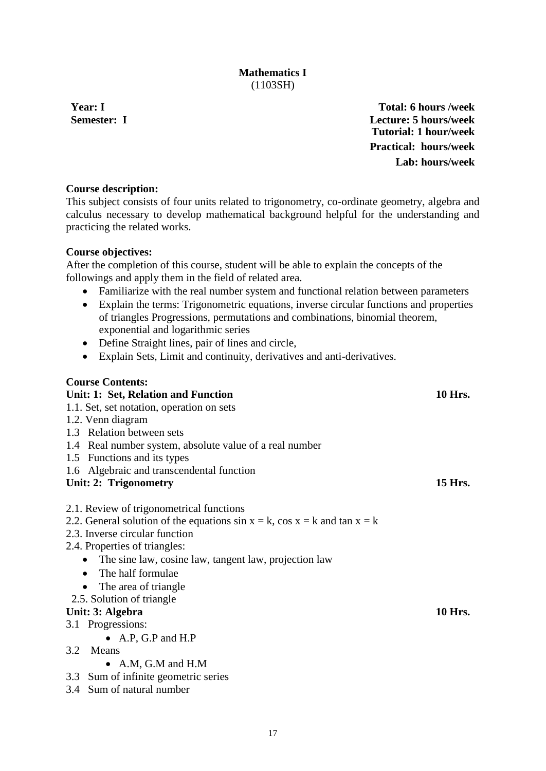# **Mathematics I** (1103SH)

<span id="page-19-0"></span>**Year: I Total: 6 hours /week Semester: I Lecture: 5 hours/week Tutorial: 1 hour/week Practical: hours/week Lab: hours/week**

# **Course description:**

This subject consists of four units related to trigonometry, co-ordinate geometry, algebra and calculus necessary to develop mathematical background helpful for the understanding and practicing the related works.

# **Course objectives:**

After the completion of this course, student will be able to explain the concepts of the followings and apply them in the field of related area.

- Familiarize with the real number system and functional relation between parameters
- Explain the terms: Trigonometric equations, inverse circular functions and properties of triangles Progressions, permutations and combinations, binomial theorem, exponential and logarithmic series
- Define Straight lines, pair of lines and circle,
- Explain Sets, Limit and continuity, derivatives and anti-derivatives.

# **Course Contents:**

# Unit: 1: Set, Relation and Function **10 Hrs. 10 Hrs.**

- 1.1. Set, set notation, operation on sets
- 1.2. Venn diagram
- 1.3 Relation between sets
- 1.4 Real number system, absolute value of a real number
- 1.5 Functions and its types
- 1.6 Algebraic and transcendental function

# **Unit: 2: Trigonometry 15 Hrs.**

- 2.1. Review of trigonometrical functions
- 2.2. General solution of the equations  $\sin x = k$ ,  $\cos x = k$  and  $\tan x = k$
- 2.3. Inverse circular function
- 2.4. Properties of triangles:
	- The sine law, cosine law, tangent law, projection law
	- The half formulae
	- The area of triangle
	- 2.5. Solution of triangle

# Unit: 3: Algebra 10 Hrs. **10 Hrs.**

- 3.1 Progressions:
	- A.P, G.P and H.P
- 3.2 Means
	- A.M, G.M and H.M
- 3.3 Sum of infinite geometric series
- 3.4 Sum of natural number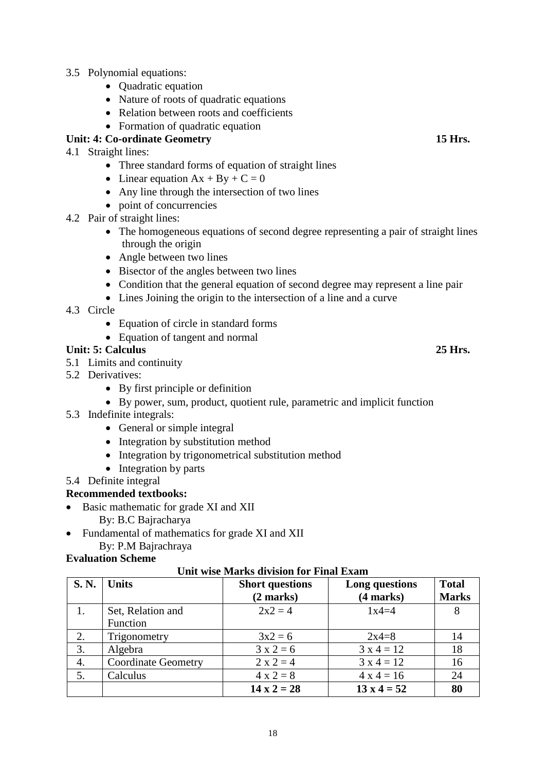- 3.5 Polynomial equations:
	- Quadratic equation
	- Nature of roots of quadratic equations
	- Relation between roots and coefficients
	- Formation of quadratic equation

# **Unit: 4: Co-ordinate Geometry 15 Hrs.**

- 4.1 Straight lines:
	- Three standard forms of equation of straight lines
	- Linear equation  $Ax + By + C = 0$
	- Any line through the intersection of two lines
	- point of concurrencies
- 4.2 Pair of straight lines:
	- The homogeneous equations of second degree representing a pair of straight lines through the origin
	- Angle between two lines
	- Bisector of the angles between two lines
	- Condition that the general equation of second degree may represent a line pair
	- Lines Joining the origin to the intersection of a line and a curve
- 4.3 Circle
	- Equation of circle in standard forms
	- Equation of tangent and normal

### **Unit: 5: Calculus 25 Hrs.**

- 5.1 Limits and continuity
- 5.2 Derivatives:
	- By first principle or definition
	- By power, sum, product, quotient rule, parametric and implicit function
- 5.3 Indefinite integrals:
	- General or simple integral
	- Integration by substitution method
	- Integration by trigonometrical substitution method
	- Integration by parts

# 5.4 Definite integral

### **Recommended textbooks:**

- Basic mathematic for grade XI and XII By: B.C Bajracharya
- Fundamental of mathematics for grade XI and XII By: P.M Bajrachraya

#### **Evaluation Scheme**

#### **Unit wise Marks division for Final Exam**

| <b>S. N.</b> | <b>Units</b>                  | <b>Short questions</b><br>(2 marks) | Long questions<br>(4 marks) | <b>Total</b><br><b>Marks</b> |
|--------------|-------------------------------|-------------------------------------|-----------------------------|------------------------------|
|              | Set, Relation and<br>Function | $2x^2 = 4$                          | $1x4=4$                     |                              |
| 2.           | Trigonometry                  | $3x^2 = 6$                          | $2x4=8$                     | 14                           |
| 3.           | Algebra                       | $3x2=6$                             | $3x4 = 12$                  | 18                           |
| 4.           | <b>Coordinate Geometry</b>    | $2 \times 2 = 4$                    | $3x4 = 12$                  | 16                           |
| 5.           | Calculus                      | $4 x 2 = 8$                         | $4 \times 4 = 16$           | 24                           |
|              |                               | $14 \times 2 = 28$                  | $13 \times 4 = 52$          | 80                           |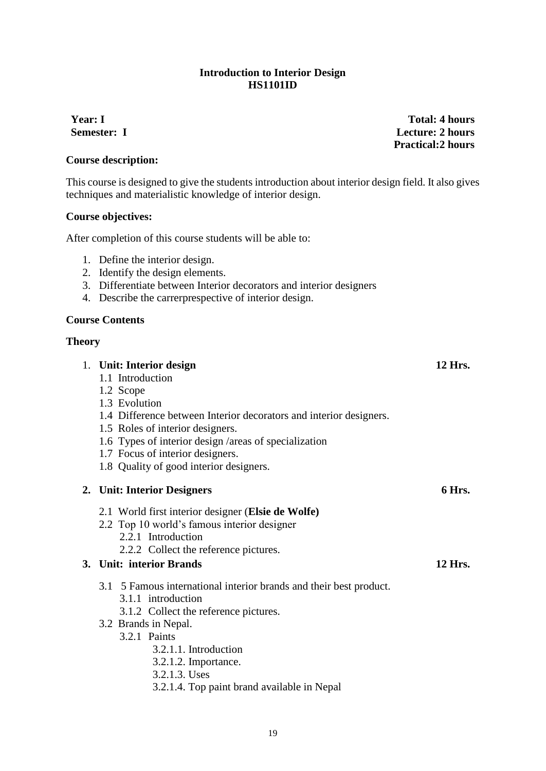#### **Introduction to Interior Design HS1101ID**

**Course description:** 

This course is designed to give the students introduction about interior design field. It also gives techniques and materialistic knowledge of interior design.

#### **Course objectives:**

After completion of this course students will be able to:

- 1. Define the interior design.
- 2. Identify the design elements.
- 3. Differentiate between Interior decorators and interior designers
- 4. Describe the carrerprespective of interior design.

#### **Course Contents**

#### **Theory**

| 1. Unit: Interior design                                           | 12 Hrs. |
|--------------------------------------------------------------------|---------|
| 1.1 Introduction                                                   |         |
| 1.2 Scope                                                          |         |
| 1.3 Evolution                                                      |         |
| 1.4 Difference between Interior decorators and interior designers. |         |
| 1.5 Roles of interior designers.                                   |         |
| 1.6 Types of interior design / areas of specialization             |         |
| 1.7 Focus of interior designers.                                   |         |
| 1.8 Quality of good interior designers.                            |         |
| 2. Unit: Interior Designers                                        | 6 Hrs.  |
| 2.1 World first interior designer (Elsie de Wolfe)                 |         |
| 2.2 Top 10 world's famous interior designer                        |         |
| 2.2.1 Introduction                                                 |         |
| 2.2.2 Collect the reference pictures.                              |         |
| 3. Unit: interior Brands                                           | 12 Hrs. |
| 3.1 5 Famous international interior brands and their best product. |         |
| 3.1.1 introduction                                                 |         |
| 3.1.2 Collect the reference pictures.                              |         |
| 3.2 Brands in Nepal.                                               |         |
| 3.2.1 Paints                                                       |         |
| 3.2.1.1. Introduction                                              |         |
| 3.2.1.2. Importance.                                               |         |
| 3.2.1.3. Uses                                                      |         |
| 3.2.1.4. Top paint brand available in Nepal                        |         |

<span id="page-21-0"></span>**Year: I Total: 4 hours Semester: I Lecture: 2 hours Practical:2 hours**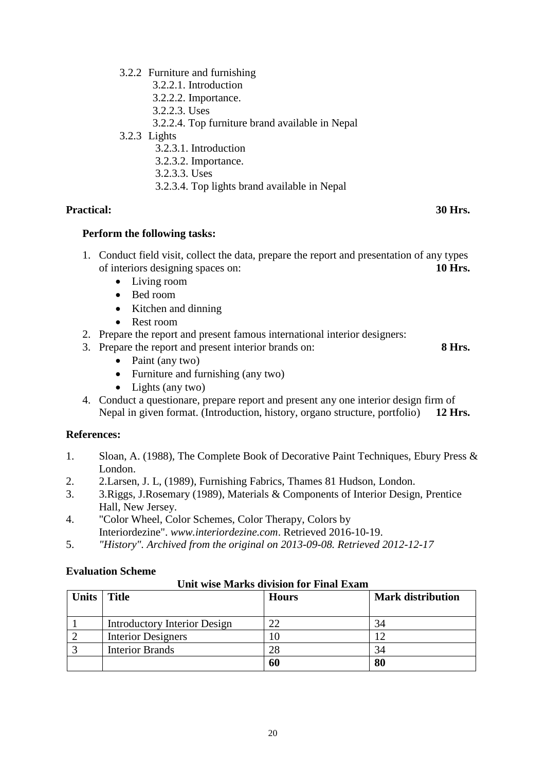- 3.2.2 Furniture and furnishing
	- 3.2.2.1. Introduction
	- 3.2.2.2. Importance.
	- 3.2.2.3. Uses
	- 3.2.2.4. Top furniture brand available in Nepal
- 3.2.3 Lights
	- 3.2.3.1. Introduction
	- 3.2.3.2. Importance.
	- 3.2.3.3. Uses
	- 3.2.3.4. Top lights brand available in Nepal

# **Practical: 30 Hrs.**

### **Perform the following tasks:**

- 1. Conduct field visit, collect the data, prepare the report and presentation of any types of interiors designing spaces on: **10 Hrs.** 
	- Living room
	- Bed room
	- Kitchen and dinning
	- Rest room
- 2. Prepare the report and present famous international interior designers:
- 3. Prepare the report and present interior brands on: **8 Hrs.**

- Paint (any two)
- Furniture and furnishing (any two)
- Lights (any two)
- 4. Conduct a questionare, prepare report and present any one interior design firm of Nepal in given format. (Introduction, history, organo structure, portfolio) **12 Hrs.**

#### **References:**

- 1. Sloan, A. (1988), The Complete Book of Decorative Paint Techniques, Ebury Press & London.
- 2. 2.Larsen, J. L, (1989), Furnishing Fabrics, Thames 81 Hudson, London.
- 3. 3.Riggs, J.Rosemary (1989), Materials & Components of Interior Design, Prentice Hall, New Jersey.
- 4. "Color Wheel, Color Schemes, Color Therapy, Colors by Interiordezine". *www.interiordezine.com*. Retrieved 2016-10-19.
- 5. *["History".](https://web.archive.org/web/20130908194942/http:/facultyofdecoration.org/history.htm) Archived from [the original](http://www.facultyofdecoration.org/history.htm) on 2013-09-08. Retrieved 2012-12-17*

#### **Evaluation Scheme**

**Unit wise Marks division for Final Exam**

| <b>Units</b> | Title                               | <b>Hours</b> | <b>Mark distribution</b> |
|--------------|-------------------------------------|--------------|--------------------------|
|              | <b>Introductory Interior Design</b> | 22           | 34                       |
|              | <b>Interior Designers</b>           | $\left($     |                          |
|              | <b>Interior Brands</b>              | 28           | 34                       |
|              |                                     | 60           | 80                       |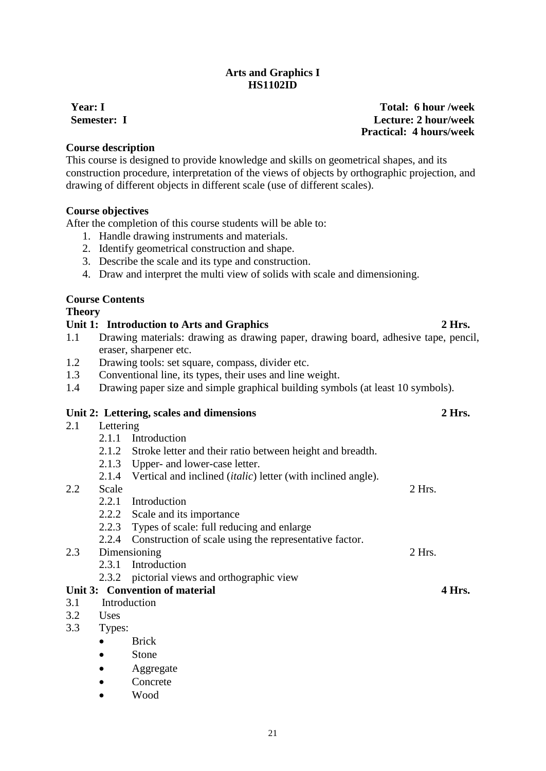### **Arts and Graphics I HS1102ID**

<span id="page-23-0"></span>

### **Course description**

This course is designed to provide knowledge and skills on geometrical shapes, and its construction procedure, interpretation of the views of objects by orthographic projection, and drawing of different objects in different scale (use of different scales).

### **Course objectives**

After the completion of this course students will be able to:

- 1. Handle drawing instruments and materials.
- 2. Identify geometrical construction and shape.
- 3. Describe the scale and its type and construction.
- 4. Draw and interpret the multi view of solids with scale and dimensioning.

# **Course Contents**

**Theory**

### **Unit 1: Introduction to Arts and Graphics 2 Hrs.**

- 1.1 Drawing materials: drawing as drawing paper, drawing board, adhesive tape, pencil, eraser, sharpener etc.
- 1.2 Drawing tools: set square, compass, divider etc.
- 1.3 Conventional line, its types, their uses and line weight.
- 1.4 Drawing paper size and simple graphical building symbols (at least 10 symbols).

# Unit 2: Lettering, scales and dimensions **2 Hrs.**

- 2.1 Lettering
	- 2.1.1 Introduction
	- 2.1.2 Stroke letter and their ratio between height and breadth.
	- 2.1.3 Upper- and lower-case letter.
	- 2.1.4 Vertical and inclined (*italic*) letter (with inclined angle).
- 2.2 Scale 2 Hrs.
	- 2.2.1 Introduction
	- 2.2.2 Scale and its importance
	- 2.2.3 Types of scale: full reducing and enlarge
	- 2.2.4 Construction of scale using the representative factor.
- 2.3 Dimensioning 2 Hrs.
	- 2.3.1 Introduction
	- 2.3.2 pictorial views and orthographic view

# Unit 3: Convention of material 4 Hrs.

#### 3.1 Introduction

- 3.2 Uses
- 3.3 Types:
	- **Brick**
	- Stone
	- [Aggregate](https://www.designingbuildings.co.uk/wiki/Aggregate)
	- [Concrete](https://www.designingbuildings.co.uk/wiki/Concrete)
	- Wood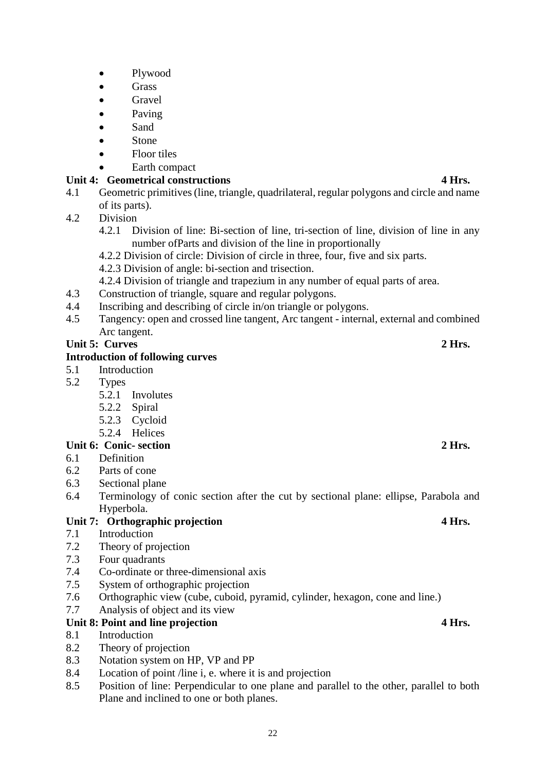- [Plywood](https://www.designingbuildings.co.uk/wiki/Plywood)
- Grass
- **[Gravel](https://www.designingbuildings.co.uk/wiki/Gravel)**
- [Paving](https://www.designingbuildings.co.uk/wiki/Paving)
- [Sand](https://www.designingbuildings.co.uk/wiki/Sand)
- [Stone](https://www.designingbuildings.co.uk/wiki/Stone)
- [Floor](https://www.designingbuildings.co.uk/wiki/Floor) [tiles](https://www.designingbuildings.co.uk/wiki/Tiles)
- Earth compact

# Unit 4: Geometrical constructions **4 Hrs.** 4 Hrs.

- 4.1 Geometric primitives (line, triangle, quadrilateral, regular polygons and circle and name of its parts).
- 4.2 Division
	- 4.2.1 Division of line: Bi-section of line, tri-section of line, division of line in any number ofParts and division of the line in proportionally
	- 4.2.2 Division of circle: Division of circle in three, four, five and six parts.
	- 4.2.3 Division of angle: bi-section and trisection.
	- 4.2.4 Division of triangle and trapezium in any number of equal parts of area.
- 4.3 Construction of triangle, square and regular polygons.
- 4.4 Inscribing and describing of circle in/on triangle or polygons.
- 4.5 Tangency: open and crossed line tangent, Arc tangent internal, external and combined Arc tangent.

# Unit 5: Curves **2 Hrs.**

# **Introduction of following curves**

- 5.1 Introduction
- 5.2 Types
	- 5.2.1 Involutes
	- 5.2.2 Spiral
	- 5.2.3 Cycloid
	- 5.2.4 Helices

# **Unit 6: Conic- section 2 Hrs.**

- 6.1 Definition
- 6.2 Parts of cone
- 6.3 Sectional plane
- 6.4 Terminology of conic section after the cut by sectional plane: ellipse, Parabola and Hyperbola.

# Unit 7: Orthographic projection **4 Hrs.**

- 7.1 Introduction
- 7.2 Theory of projection
- 7.3 Four quadrants
- 7.4 Co-ordinate or three-dimensional axis
- 7.5 System of orthographic projection
- 7.6 Orthographic view (cube, cuboid, pyramid, cylinder, hexagon, cone and line.)

# 7.7 Analysis of object and its view

# Unit 8: Point and line projection **4 Hrs.** 4 Hrs.

# 8.1 Introduction

- 8.2 Theory of projection
- 8.3 Notation system on HP, VP and PP
- 8.4 Location of point /line i, e. where it is and projection
- 8.5 Position of line: Perpendicular to one plane and parallel to the other, parallel to both Plane and inclined to one or both planes.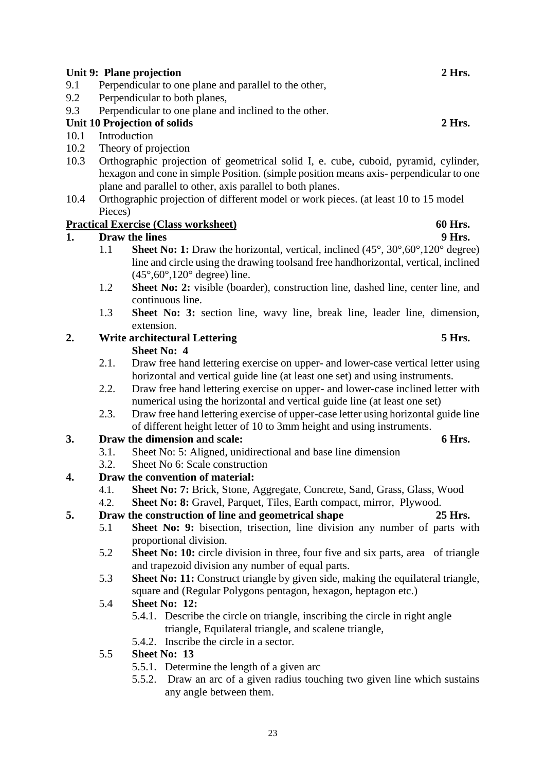| 9.1  |                               | Perpendicular to one plane and parallel to the other,                                                                                                            |         |
|------|-------------------------------|------------------------------------------------------------------------------------------------------------------------------------------------------------------|---------|
| 9.2  | Perpendicular to both planes, |                                                                                                                                                                  |         |
| 9.3  |                               | Perpendicular to one plane and inclined to the other.                                                                                                            |         |
|      |                               | Unit 10 Projection of solids                                                                                                                                     | 2 Hrs.  |
| 10.1 |                               | Introduction                                                                                                                                                     |         |
| 10.2 | Theory of projection          |                                                                                                                                                                  |         |
| 10.3 |                               | Orthographic projection of geometrical solid I, e. cube, cuboid, pyramid, cylinder,                                                                              |         |
|      |                               | hexagon and cone in simple Position. (simple position means axis-perpendicular to one                                                                            |         |
|      |                               | plane and parallel to other, axis parallel to both planes.                                                                                                       |         |
| 10.4 |                               | Orthographic projection of different model or work pieces. (at least 10 to 15 model                                                                              |         |
|      | Pieces)                       |                                                                                                                                                                  |         |
|      |                               | <b>Practical Exercise (Class worksheet)</b>                                                                                                                      | 60 Hrs. |
| 1.   |                               | <b>Draw the lines</b>                                                                                                                                            | 9 Hrs.  |
|      | 1.1                           | <b>Sheet No: 1:</b> Draw the horizontal, vertical, inclined $(45^{\circ}, 30^{\circ}, 60^{\circ}, 120^{\circ}$ degree)                                           |         |
|      |                               | line and circle using the drawing toolsand free handhorizontal, vertical, inclined                                                                               |         |
|      |                               | $(45^{\circ}, 60^{\circ}, 120^{\circ}$ degree) line.                                                                                                             |         |
|      | 1.2                           | Sheet No: 2: visible (boarder), construction line, dashed line, center line, and                                                                                 |         |
|      |                               | continuous line.                                                                                                                                                 |         |
|      | 1.3                           | Sheet No: 3: section line, wavy line, break line, leader line, dimension,                                                                                        |         |
|      |                               | extension.                                                                                                                                                       |         |
| 2.   |                               | <b>Write architectural Lettering</b>                                                                                                                             | 5 Hrs.  |
|      |                               | <b>Sheet No: 4</b>                                                                                                                                               |         |
|      | 2.1.                          | Draw free hand lettering exercise on upper- and lower-case vertical letter using<br>horizontal and vertical guide line (at least one set) and using instruments. |         |
|      | 2.2.                          | Draw free hand lettering exercise on upper- and lower-case inclined letter with                                                                                  |         |
|      |                               | numerical using the horizontal and vertical guide line (at least one set)                                                                                        |         |
|      | 2.3.                          | Draw free hand lettering exercise of upper-case letter using horizontal guide line                                                                               |         |
|      |                               | of different height letter of 10 to 3mm height and using instruments.                                                                                            |         |
| 3.   |                               | Draw the dimension and scale:                                                                                                                                    | 6 Hrs.  |
|      | 3.1.                          | Sheet No: 5: Aligned, unidirectional and base line dimension                                                                                                     |         |
|      | 3.2.                          | Sheet No 6: Scale construction                                                                                                                                   |         |
| 4.   |                               | Draw the convention of material:                                                                                                                                 |         |
|      | 4.1.                          | Sheet No: 7: Brick, Stone, Aggregate, Concrete, Sand, Grass, Glass, Wood                                                                                         |         |
|      | 4.2.                          | Sheet No: 8: Gravel, Parquet, Tiles, Earth compact, mirror, Plywood.                                                                                             |         |
| 5.   |                               | Draw the construction of line and geometrical shape                                                                                                              | 25 Hrs. |
|      | 5.1                           | Sheet No: 9: bisection, trisection, line division any number of parts with                                                                                       |         |
|      |                               | proportional division.                                                                                                                                           |         |
|      | 5.2                           | <b>Sheet No: 10:</b> circle division in three, four five and six parts, area of triangle                                                                         |         |
|      |                               | and trapezoid division any number of equal parts.                                                                                                                |         |
|      | 5.3                           | <b>Sheet No: 11:</b> Construct triangle by given side, making the equilateral triangle,                                                                          |         |
|      |                               | square and (Regular Polygons pentagon, hexagon, heptagon etc.)                                                                                                   |         |

Unit 9: Plane projection **2 Hrs.** 

- 5.4 **Sheet No: 12:**
	- 5.4.1. Describe the circle on triangle, inscribing the circle in right angle triangle, Equilateral triangle, and scalene triangle,
	- 5.4.2. Inscribe the circle in a sector.
- 5.5 **Sheet No: 13** 
	- 5.5.1. Determine the length of a given arc
	- 5.5.2. Draw an arc of a given radius touching two given line which sustains any angle between them.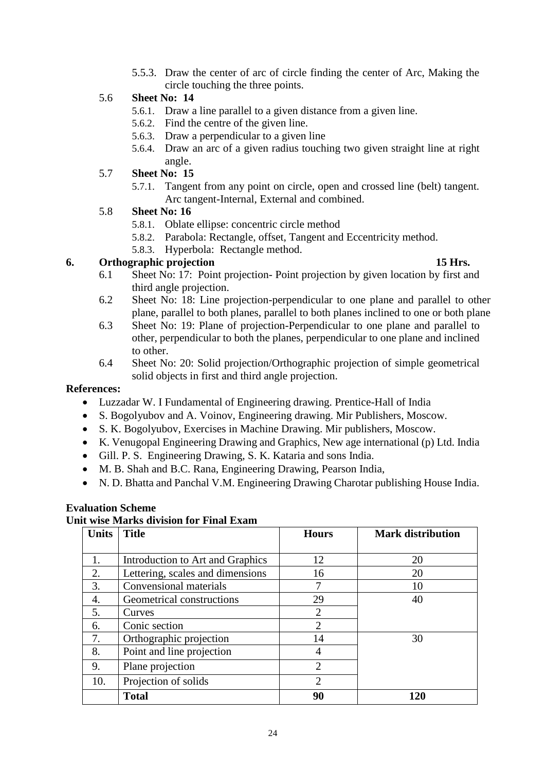- 5.5.3. Draw the center of arc of circle finding the center of Arc, Making the circle touching the three points.
- 5.6 **Sheet No: 14** 
	- 5.6.1. Draw a line parallel to a given distance from a given line.
	- 5.6.2. Find the centre of the given line.
	- 5.6.3. Draw a perpendicular to a given line
	- 5.6.4. Draw an arc of a given radius touching two given straight line at right angle.

# 5.7 **Sheet No: 15**

5.7.1. Tangent from any point on circle, open and crossed line (belt) tangent. Arc tangent-Internal, External and combined.

# 5.8 **Sheet No: 16**

- 5.8.1. Oblate ellipse: concentric circle method
- 5.8.2. Parabola: Rectangle, offset, Tangent and Eccentricity method.
- 5.8.3. Hyperbola: Rectangle method.

# **6. Orthographic projection 15 Hrs.**

- 6.1 Sheet No: 17: Point projection- Point projection by given location by first and third angle projection.
- 6.2 Sheet No: 18: Line projection-perpendicular to one plane and parallel to other plane, parallel to both planes, parallel to both planes inclined to one or both plane
- 6.3 Sheet No: 19: Plane of projection-Perpendicular to one plane and parallel to other, perpendicular to both the planes, perpendicular to one plane and inclined to other.
- 6.4 Sheet No: 20: Solid projection/Orthographic projection of simple geometrical solid objects in first and third angle projection.

# **References:**

- Luzzadar W. I Fundamental of Engineering drawing. Prentice-Hall of India
- S. Bogolyubov and A. Voinov, Engineering drawing. Mir Publishers, Moscow.
- S. K. Bogolyubov, Exercises in Machine Drawing. Mir publishers, Moscow.
- K. Venugopal Engineering Drawing and Graphics, New age international (p) Ltd. India
- Gill. P. S. Engineering Drawing, S. K. Kataria and sons India.
- M. B. Shah and B.C. Rana, Engineering Drawing, Pearson India,
- N. D. Bhatta and Panchal V.M. Engineering Drawing Charotar publishing House India.

# **Evaluation Scheme**

# **Unit wise Marks division for Final Exam**

| <b>Units</b> | <b>Title</b>                     | <b>Hours</b>   | <b>Mark distribution</b> |
|--------------|----------------------------------|----------------|--------------------------|
|              |                                  |                |                          |
| 1.           | Introduction to Art and Graphics | 12             | 20                       |
| 2.           | Lettering, scales and dimensions | 16             | 20                       |
| 3.           | Convensional materials           | 7              | 10                       |
| 4.           | Geometrical constructions        | 29             | 40                       |
| 5.           | Curves                           | $\overline{2}$ |                          |
| 6.           | Conic section                    | $\overline{2}$ |                          |
| 7.           | Orthographic projection          | 14             | 30                       |
| 8.           | Point and line projection        | 4              |                          |
| 9.           | Plane projection                 | $\overline{2}$ |                          |
| 10.          | Projection of solids             | $\overline{2}$ |                          |
|              | <b>Total</b>                     | 90             | 120                      |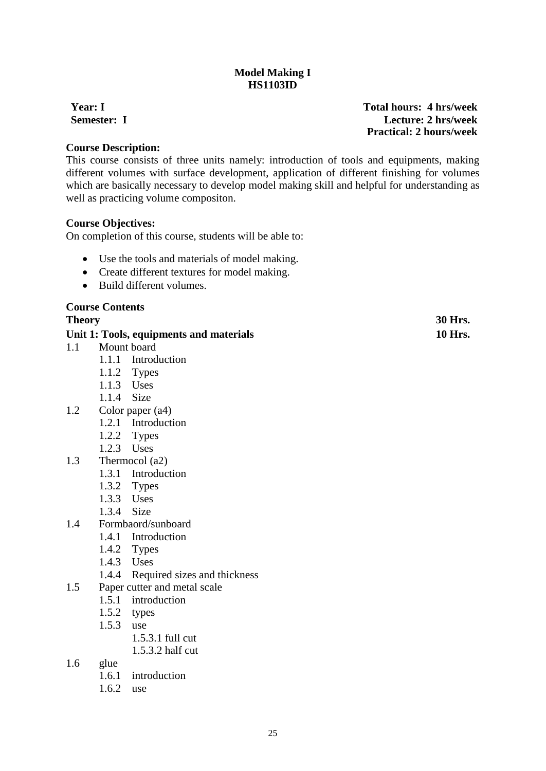# **Model Making I HS1103ID**

<span id="page-27-0"></span>**Year: I Total hours: 4 hrs/week Semester: I Lecture: 2 hrs/week Practical: 2 hours/week**

### **Course Description:**

This course consists of three units namely: introduction of tools and equipments, making different volumes with surface development, application of different finishing for volumes which are basically necessary to develop model making skill and helpful for understanding as well as practicing volume compositon.

#### **Course Objectives:**

On completion of this course, students will be able to:

- Use the tools and materials of model making.
- Create different textures for model making.
- Build different volumes.

# **Course Contents**

#### **Theory 30 Hrs.**

| Unit 1: Tools, equipments and materials |            |                              | <b>10 Hrs.</b> |
|-----------------------------------------|------------|------------------------------|----------------|
| 1.1                                     |            | Mount board                  |                |
|                                         |            | 1.1.1 Introduction           |                |
|                                         | 1.1.2      | <b>Types</b>                 |                |
|                                         |            | $1.1.3$ Uses                 |                |
|                                         | 1.1.4 Size |                              |                |
| 1.2                                     |            | Color paper (a4)             |                |
|                                         |            | 1.2.1 Introduction           |                |
|                                         |            | $1.2.2$ Types                |                |
|                                         | 1.2.3      | Uses                         |                |
| 1.3                                     |            | Thermocol (a2)               |                |
|                                         | 1.3.1      | Introduction                 |                |
|                                         |            | 1.3.2 Types                  |                |
|                                         | 1.3.3      | Uses                         |                |
|                                         | 1.3.4 Size |                              |                |
| 1.4                                     |            | Formbaord/sunboard           |                |
|                                         |            | 1.4.1 Introduction           |                |
|                                         | 1.4.2      | Types                        |                |
|                                         |            | 1.4.3 Uses                   |                |
|                                         | 1.4.4      | Required sizes and thickness |                |
| 1.5                                     |            | Paper cutter and metal scale |                |
|                                         | 1.5.1      | introduction                 |                |
|                                         | 1.5.2      | types                        |                |
|                                         | 1.5.3      | use                          |                |
|                                         |            | 1.5.3.1 full cut             |                |

1.5.3.2 half cut

- 1.6 glue
	- 1.6.1 introduction
	- 1.6.2 use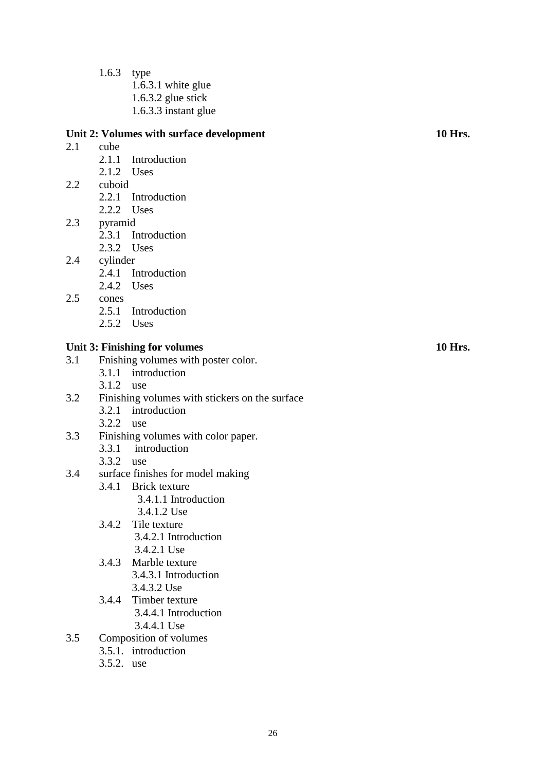- 1.6.3 type
	- 1.6.3.1 white glue
	- 1.6.3.2 glue stick
	- 1.6.3.3 instant glue

#### **Unit 2: Volumes with surface development 10 Hrs.**

- 2.1 cube
	- 2.1.1 Introduction
	- 2.1.2 Uses
- 2.2 cuboid
	- 2.2.1 Introduction
	- 2.2.2 Uses
- 2.3 pyramid
	- 2.3.1 Introduction
	- 2.3.2 Uses
- 2.4 cylinder
	- 2.4.1 Introduction
	- 2.4.2 Uses
- 2.5 cones
	- 2.5.1 Introduction
	- 2.5.2 Uses

#### **Unit 3: Finishing for volumes 10 Hrs.**

- 3.1 Fnishing volumes with poster color.
	- 3.1.1 introduction
	- 3.1.2 use
- 3.2 Finishing volumes with stickers on the surface
	- 3.2.1 introduction
		- 3.2.2 use
- 3.3 Finishing volumes with color paper.
	- 3.3.1 introduction
	- 3.3.2 use
- 3.4 surface finishes for model making
	- 3.4.1 Brick texture
		- 3.4.1.1 Introduction
		- 3.4.1.2 Use
	- 3.4.2 Tile texture 3.4.2.1 Introduction 3.4.2.1 Use
	- 3.4.3 Marble texture 3.4.3.1 Introduction 3.4.3.2 Use
	- 3.4.4 Timber texture 3.4.4.1 Introduction 3.4.4.1 Use
- 3.5 Composition of volumes
	- 3.5.1. introduction
	- 3.5.2. use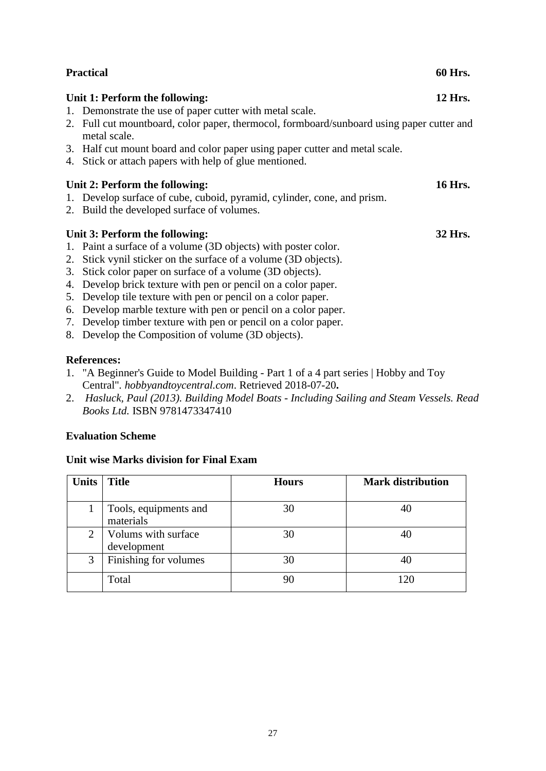| <b>Practical</b>                                                                                          | 60 Hrs.        |
|-----------------------------------------------------------------------------------------------------------|----------------|
| Unit 1: Perform the following:                                                                            | 12 Hrs.        |
| 1. Demonstrate the use of paper cutter with metal scale.                                                  |                |
| 2. Full cut mountboard, color paper, thermocol, formboard/sunboard using paper cutter and<br>metal scale. |                |
| 3. Half cut mount board and color paper using paper cutter and metal scale.                               |                |
| 4. Stick or attach papers with help of glue mentioned.                                                    |                |
| Unit 2: Perform the following:                                                                            | <b>16 Hrs.</b> |
| 1. Develop surface of cube, cuboid, pyramid, cylinder, cone, and prism.                                   |                |
| 2. Build the developed surface of volumes.                                                                |                |
| Unit 3: Perform the following:                                                                            | 32 Hrs.        |
| 1. Paint a surface of a volume (3D objects) with poster color.                                            |                |
| 2. Stick vynil sticker on the surface of a volume (3D objects).                                           |                |
| 3. Stick color paper on surface of a volume (3D objects).                                                 |                |
| 4. Develop brick texture with pen or pencil on a color paper.                                             |                |
| 5. Develop tile texture with pen or pencil on a color paper.                                              |                |
| 6. Develop marble texture with pen or pencil on a color paper.                                            |                |
| 7. Develop timber texture with pen or pencil on a color paper.                                            |                |
| 8. Develop the Composition of volume (3D objects).                                                        |                |

#### **References:**

- 1. ["A Beginner's Guide to Model Building -](https://hobbyandtoycentral.com/?q=blog/beginner%E2%80%99s-guide-model-building-part-1-4-part-series) Part 1 of a 4 part series | Hobby and Toy [Central"](https://hobbyandtoycentral.com/?q=blog/beginner%E2%80%99s-guide-model-building-part-1-4-part-series)*. hobbyandtoycentral.com*. Retrieved 2018-07-20**.**
- 2. *Hasluck, Paul (2013). Building Model Boats - Including Sailing and Steam Vessels. Read Books Ltd.* [ISBN](https://en.wikipedia.org/wiki/ISBN_(identifier)) [9781473347410](https://en.wikipedia.org/wiki/Special:BookSources/9781473347410)

#### **Evaluation Scheme**

#### **Unit wise Marks division for Final Exam**

| <b>Units</b> | <b>Title</b>                       | <b>Hours</b> | <b>Mark distribution</b> |
|--------------|------------------------------------|--------------|--------------------------|
|              |                                    |              |                          |
|              | Tools, equipments and<br>materials | 30           |                          |
|              | Volums with surface<br>development | 30           |                          |
| 3            | Finishing for volumes              | 30           |                          |
|              | Total                              |              | 120                      |

27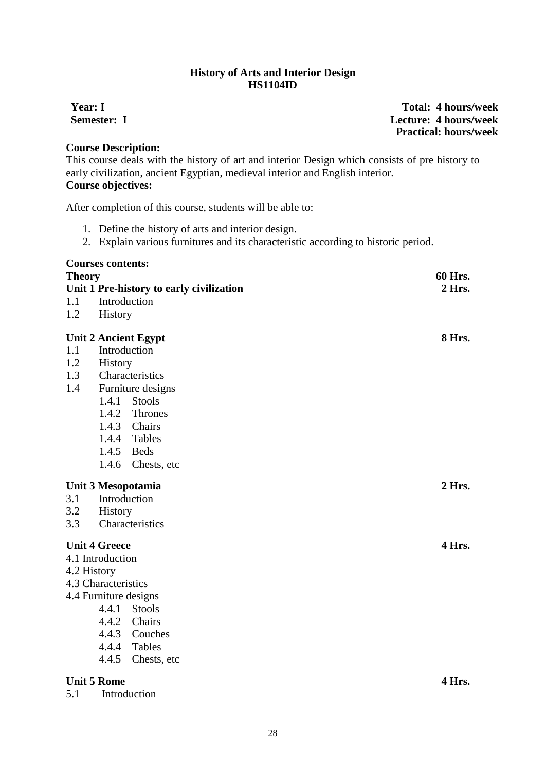#### **History of Arts and Interior Design HS1104ID**

<span id="page-30-0"></span>**Year: I Total: 4 hours/week Semester: I Lecture: 4 hours/week** 

#### **Course Description:**

This course deals with the history of art and interior Design which consists of pre history to early civilization, ancient Egyptian, medieval interior and English interior. **Course objectives:**

**Practical: hours/week**

After completion of this course, students will be able to:

- 1. Define the history of arts and interior design.
- 2. Explain various furnitures and its characteristic according to historic period.

| <b>Courses contents:</b><br><b>Theory</b><br>Unit 1 Pre-history to early civilization |          |
|---------------------------------------------------------------------------------------|----------|
| Introduction<br>1.1                                                                   | 2 Hrs.   |
| 1.2<br>History                                                                        |          |
|                                                                                       |          |
| <b>Unit 2 Ancient Egypt</b>                                                           | 8 Hrs.   |
| Introduction<br>1.1                                                                   |          |
| 1.2<br>History                                                                        |          |
| 1.3<br>Characteristics                                                                |          |
| Furniture designs<br>1.4                                                              |          |
| Stools<br>1.4.1                                                                       |          |
| 1.4.2 Thrones                                                                         |          |
| 1.4.3 Chairs                                                                          |          |
| 1.4.4 Tables                                                                          |          |
| 1.4.5<br><b>Beds</b>                                                                  |          |
| 1.4.6<br>Chests, etc.                                                                 |          |
| Unit 3 Mesopotamia<br>3.1<br>Introduction<br>3.2<br>History<br>3.3<br>Characteristics | $2$ Hrs. |
| <b>Unit 4 Greece</b>                                                                  | 4 Hrs.   |
| 4.1 Introduction                                                                      |          |
| 4.2 History                                                                           |          |
| 4.3 Characteristics                                                                   |          |
| 4.4 Furniture designs                                                                 |          |
| 4.4.1 Stools                                                                          |          |
| 4.4.2 Chairs                                                                          |          |
| 4.4.3 Couches                                                                         |          |
| 4.4.4<br>Tables                                                                       |          |
| 4.4.5<br>Chests, etc.                                                                 |          |
|                                                                                       |          |
| <b>Unit 5 Rome</b><br>4 Hrs.                                                          |          |
| 5.1<br>Introduction                                                                   |          |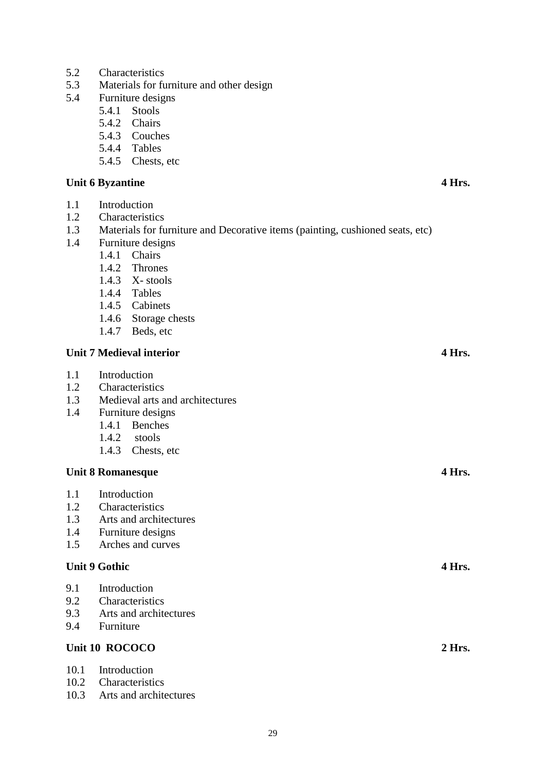- 5.2 Characteristics
- 5.3 Materials for furniture and other design
- 5.4 Furniture designs
	- 5.4.1 Stools
	- 5.4.2 Chairs
	- 5.4.3 Couches
	- 5.4.4 Tables
	- 5.4.5 Chests, etc

#### **Unit 6 Byzantine 4 Hrs.**

- 1.1 Introduction
- 1.2 Characteristics
- 1.3 Materials for furniture and Decorative items (painting, cushioned seats, etc)
- 1.4 Furniture designs
	- 1.4.1 Chairs
	- 1.4.2 Thrones
	- 1.4.3 X- stools
	- 1.4.4 Tables
	- 1.4.5 Cabinets
	- 1.4.6 Storage chests
	- 1.4.7 Beds, etc

#### **Unit 7 Medieval interior 4 Hrs.**

- 1.1 Introduction
- 1.2 Characteristics
- 1.3 Medieval arts and architectures
- 1.4 Furniture designs
	- 1.4.1 Benches
	- 1.4.2 stools
	- 1.4.3 Chests, etc

# Unit 8 Romanesque 4 Hrs.

- 1.1 Introduction
- 1.2 Characteristics
- 1.3 Arts and architectures

| 1.3  | Arts and architectures |        |
|------|------------------------|--------|
| 1.4  | Furniture designs      |        |
| 1.5  | Arches and curves      |        |
|      | <b>Unit 9 Gothic</b>   | 4 Hrs. |
| 9.1  | Introduction           |        |
| 9.2  | Characteristics        |        |
| 9.3  | Arts and architectures |        |
| 9.4  | Furniture              |        |
|      | Unit 10 ROCOCO         | 2 Hrs. |
| 10.1 | Introduction           |        |
| 10.2 | Characteristics        |        |
|      |                        |        |

10.3 Arts and architectures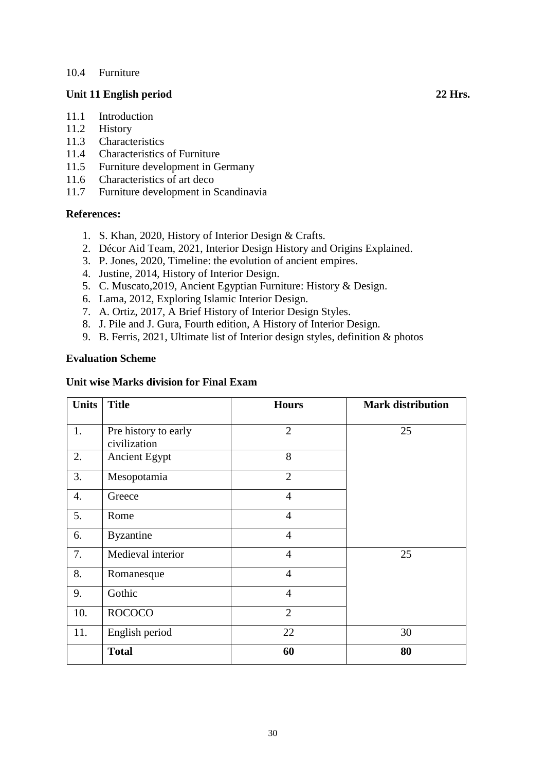#### 10.4 Furniture

#### **Unit 11 English period 22 Hrs.**

- 11.1 Introduction
- 11.2 History
- 11.3 Characteristics
- 11.4 Characteristics of Furniture
- 11.5 Furniture development in Germany
- 11.6 Characteristics of art deco
- 11.7 Furniture development in Scandinavia

### **References:**

- 1. S. Khan, 2020, History of Interior Design & Crafts.
- 2. Décor Aid Team, 2021, Interior Design History and Origins Explained.
- 3. P. Jones, 2020, Timeline: the evolution of ancient empires.
- 4. Justine, 2014, History of Interior Design.
- 5. C. Muscato,2019, Ancient Egyptian Furniture: History & Design.
- 6. Lama, 2012, Exploring Islamic Interior Design.
- 7. A. Ortiz, 2017, A Brief History of Interior Design Styles.
- 8. J. Pile and J. Gura, Fourth edition, A History of Interior Design.
- 9. B. Ferris, 2021, Ultimate list of Interior design styles, definition & photos

#### **Evaluation Scheme**

#### **Unit wise Marks division for Final Exam**

| <b>Units</b> | <b>Title</b>                         | <b>Hours</b>   | <b>Mark distribution</b> |
|--------------|--------------------------------------|----------------|--------------------------|
| 1.           | Pre history to early<br>civilization | $\overline{2}$ | 25                       |
| 2.           | <b>Ancient Egypt</b>                 | 8              |                          |
| 3.           | Mesopotamia                          | $\overline{2}$ |                          |
| 4.           | Greece                               | $\overline{4}$ |                          |
| 5.           | Rome                                 | $\overline{4}$ |                          |
| 6.           | <b>Byzantine</b>                     | $\overline{4}$ |                          |
| 7.           | Medieval interior                    | $\overline{4}$ | 25                       |
| 8.           | Romanesque                           | $\overline{4}$ |                          |
| 9.           | Gothic                               | $\overline{4}$ |                          |
| 10.          | <b>ROCOCO</b>                        | $\overline{2}$ |                          |
| 11.          | English period                       | 22             | 30                       |
|              | <b>Total</b>                         | 60             | 80                       |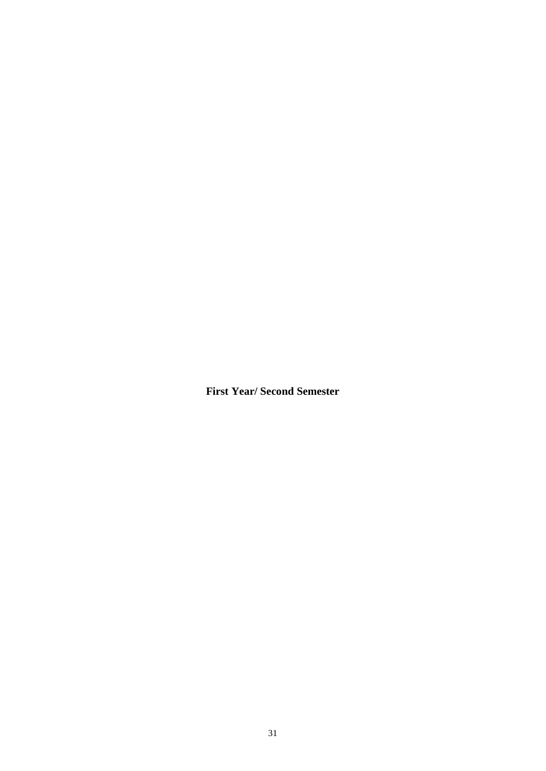<span id="page-33-0"></span>**First Year/ Second Semester**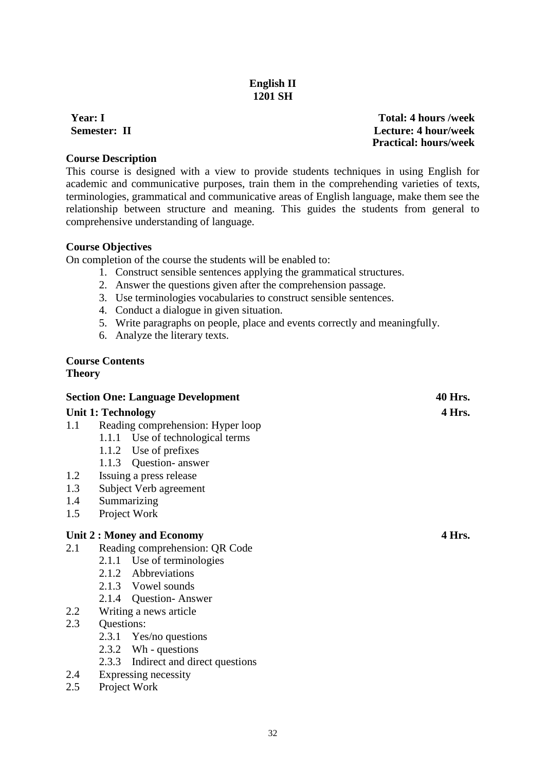# **English II 1201 SH**

<span id="page-34-0"></span>

#### **Course Description**

This course is designed with a view to provide students techniques in using English for academic and communicative purposes, train them in the comprehending varieties of texts, terminologies, grammatical and communicative areas of English language, make them see the relationship between structure and meaning. This guides the students from general to comprehensive understanding of language.

#### **Course Objectives**

On completion of the course the students will be enabled to:

- 1. Construct sensible sentences applying the grammatical structures.
- 2. Answer the questions given after the comprehension passage.
- 3. Use terminologies vocabularies to construct sensible sentences.
- 4. Conduct a dialogue in given situation.
- 5. Write paragraphs on people, place and events correctly and meaningfully.
- 6. Analyze the literary texts.

#### **Course Contents Theory**

| <b>Section One: Language Development</b> |                                     | 40 Hrs. |
|------------------------------------------|-------------------------------------|---------|
| <b>Unit 1: Technology</b>                | 4 Hrs.                              |         |
| 1.1                                      | Reading comprehension: Hyper loop   |         |
|                                          | 1.1.1 Use of technological terms    |         |
|                                          | 1.1.2 Use of prefixes               |         |
|                                          | 1.1.3 Question-answer               |         |
| 1.2                                      | Issuing a press release             |         |
| 1.3                                      | Subject Verb agreement              |         |
| 1.4                                      | Summarizing                         |         |
| 1.5                                      | Project Work                        |         |
|                                          | Unit 2 : Money and Economy          | 4 Hrs.  |
| 2.1                                      | Reading comprehension: QR Code      |         |
|                                          | 2.1.1 Use of terminologies          |         |
|                                          | 2.1.2 Abbreviations                 |         |
|                                          | 2.1.3 Vowel sounds                  |         |
|                                          | 2.1.4 Question-Answer               |         |
| 2.2                                      | Writing a news article              |         |
| 2.3                                      | Questions:                          |         |
|                                          | 2.3.1 Yes/no questions              |         |
|                                          | 2.3.2 Wh - questions                |         |
|                                          | 2.3.3 Indirect and direct questions |         |
| 2.4                                      | Expressing necessity                |         |

2.5 Project Work

**Year: I Total: 4 hours /week Semester: II Lecture: 4 hour/week Practical: hours/week**

32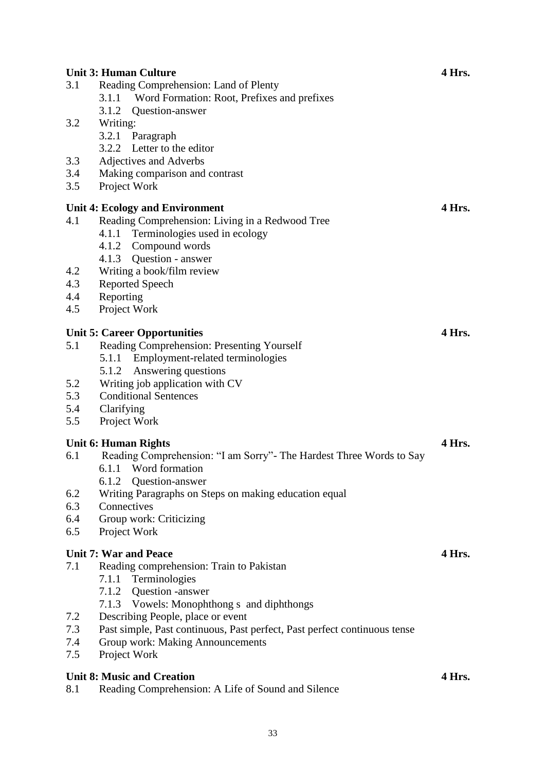|                                        | <b>Unit 3: Human Culture</b>                                                                  | 4 Hrs. |
|----------------------------------------|-----------------------------------------------------------------------------------------------|--------|
| 3.1                                    | Reading Comprehension: Land of Plenty<br>Word Formation: Root, Prefixes and prefixes<br>3.1.1 |        |
|                                        | 3.1.2 Question-answer                                                                         |        |
| 3.2                                    | Writing:                                                                                      |        |
|                                        | 3.2.1 Paragraph                                                                               |        |
|                                        | 3.2.2 Letter to the editor                                                                    |        |
| 3.3                                    | Adjectives and Adverbs                                                                        |        |
| 3.4                                    | Making comparison and contrast                                                                |        |
| 3.5                                    | Project Work                                                                                  |        |
| <b>Unit 4: Ecology and Environment</b> |                                                                                               | 4 Hrs. |
| 4.1                                    | Reading Comprehension: Living in a Redwood Tree                                               |        |
|                                        | 4.1.1 Terminologies used in ecology                                                           |        |
|                                        | Compound words<br>4.1.2                                                                       |        |
|                                        | 4.1.3 Question - answer                                                                       |        |
| 4.2                                    | Writing a book/film review                                                                    |        |
| 4.3                                    | <b>Reported Speech</b>                                                                        |        |
| 4.4                                    | Reporting                                                                                     |        |
| 4.5                                    | Project Work                                                                                  |        |
|                                        | <b>Unit 5: Career Opportunities</b>                                                           | 4 Hrs. |
| 5.1                                    | Reading Comprehension: Presenting Yourself                                                    |        |
|                                        | 5.1.1 Employment-related terminologies                                                        |        |
|                                        | 5.1.2 Answering questions                                                                     |        |
| 5.2                                    | Writing job application with CV                                                               |        |
| 5.3                                    | <b>Conditional Sentences</b>                                                                  |        |
| 5.4                                    | Clarifying                                                                                    |        |
| 5.5                                    | Project Work                                                                                  |        |
|                                        | <b>Unit 6: Human Rights</b>                                                                   | 4 Hrs. |
| 6.1                                    | Reading Comprehension: "I am Sorry" - The Hardest Three Words to Say                          |        |
|                                        | 6.1.1 Word formation                                                                          |        |
|                                        | 6.1.2 Question-answer                                                                         |        |
| 6.2                                    | Writing Paragraphs on Steps on making education equal                                         |        |
| 6.3                                    | Connectives                                                                                   |        |
| 6.4                                    | Group work: Criticizing                                                                       |        |
| 6.5                                    | Project Work                                                                                  |        |
|                                        | <b>Unit 7: War and Peace</b>                                                                  | 4 Hrs. |
| 7.1                                    | Reading comprehension: Train to Pakistan                                                      |        |
|                                        | Terminologies<br>7.1.1                                                                        |        |
|                                        | 7.1.2 Question -answer                                                                        |        |
|                                        | 7.1.3 Vowels: Monophthong s and diphthongs                                                    |        |
| 7.2                                    | Describing People, place or event                                                             |        |
| 7.3                                    | Past simple, Past continuous, Past perfect, Past perfect continuous tense                     |        |
| 7.4                                    | Group work: Making Announcements                                                              |        |
| 7.5                                    | Project Work                                                                                  |        |
|                                        | <b>Unit 8: Music and Creation</b>                                                             | 4 Hrs. |
| 8.1                                    | Reading Comprehension: A Life of Sound and Silence                                            |        |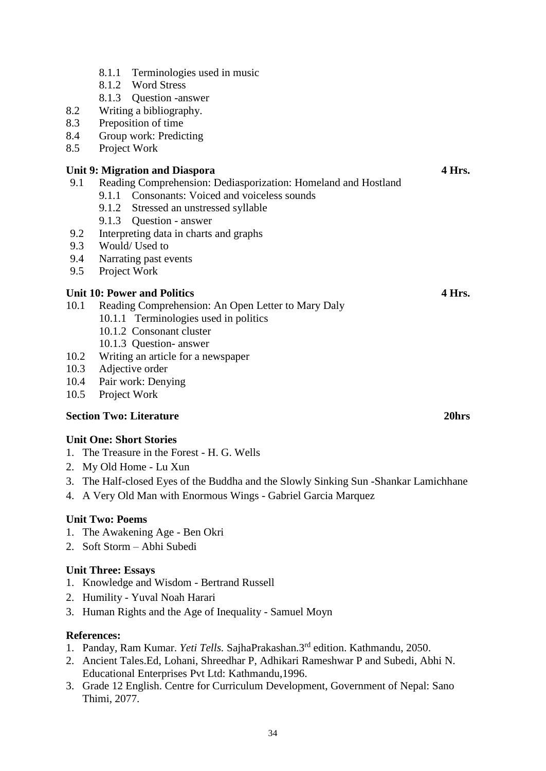- 8.1.1 Terminologies used in music
- 8.1.2 Word Stress
- 8.1.3 Question -answer
- 8.2 Writing a bibliography.
- 8.3 Preposition of time
- 8.4 Group work: Predicting
- 8.5 Project Work

#### **Unit 9: Migration and Diaspora 4 Hrs.**

- 9.1 Reading Comprehension: Dediasporization: Homeland and Hostland
	- 9.1.1 Consonants: Voiced and voiceless sounds
	- 9.1.2 Stressed an unstressed syllable
	- 9.1.3 Question answer
- 9.2 Interpreting data in charts and graphs
- 9.3 Would/ Used to
- 9.4 Narrating past events
- 9.5 Project Work

# **Unit 10: Power and Politics 4 Hrs.**

- 10.1 Reading Comprehension: An Open Letter to Mary Daly
	- 10.1.1 Terminologies used in politics
		- 10.1.2 Consonant cluster
	- 10.1.3 Question- answer
- 10.2 Writing an article for a newspaper
- 10.3 Adjective order
- 10.4 Pair work: Denying
- 10.5 Project Work

# **Section Two: Literature 20hrs**

#### **Unit One: Short Stories**

- 1. The Treasure in the Forest H. G. Wells
- 2. My Old Home Lu Xun
- 3. The Half-closed Eyes of the Buddha and the Slowly Sinking Sun -Shankar Lamichhane
- 4. A Very Old Man with Enormous Wings Gabriel Garcia Marquez

#### **Unit Two: Poems**

- 1. The Awakening Age Ben Okri
- 2. Soft Storm Abhi Subedi

#### **Unit Three: Essays**

- 1. Knowledge and Wisdom Bertrand Russell
- 2. Humility Yuval Noah Harari
- 3. Human Rights and the Age of Inequality Samuel Moyn

#### **References:**

- 1. Panday, Ram Kumar. *Yeti Tells.* SajhaPrakashan.3rd edition. Kathmandu, 2050.
- 2. Ancient Tales.Ed, Lohani, Shreedhar P, Adhikari Rameshwar P and Subedi, Abhi N. Educational Enterprises Pvt Ltd: Kathmandu,1996.
- 3. Grade 12 English. Centre for Curriculum Development, Government of Nepal: Sano Thimi, 2077.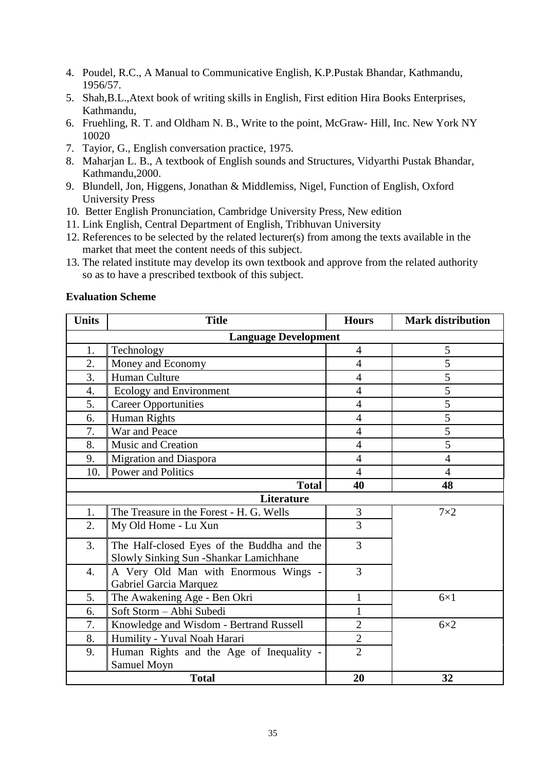- 4. Poudel, R.C., A Manual to Communicative English, K.P.Pustak Bhandar, Kathmandu, 1956/57.
- 5. Shah,B.L.,Atext book of writing skills in English, First edition Hira Books Enterprises, Kathmandu,
- 6. Fruehling, R. T. and Oldham N. B., Write to the point, McGraw- Hill, Inc. New York NY 10020
- 7. Tayior, G., English conversation practice, 1975.
- 8. Maharjan L. B., A textbook of English sounds and Structures, Vidyarthi Pustak Bhandar, Kathmandu,2000.
- 9. Blundell, Jon, Higgens, Jonathan & Middlemiss, Nigel, Function of English, Oxford University Press
- 10. Better English Pronunciation, Cambridge University Press, New edition
- 11. Link English, Central Department of English, Tribhuvan University
- 12. References to be selected by the related lecturer(s) from among the texts available in the market that meet the content needs of this subject.
- 13. The related institute may develop its own textbook and approve from the related authority so as to have a prescribed textbook of this subject.

#### **Evaluation Scheme**

| <b>Units</b> | <b>Title</b>                                                                          | <b>Hours</b>   | <b>Mark distribution</b> |  |  |  |
|--------------|---------------------------------------------------------------------------------------|----------------|--------------------------|--|--|--|
|              | <b>Language Development</b>                                                           |                |                          |  |  |  |
| 1.           | Technology                                                                            | $\overline{4}$ | 5                        |  |  |  |
| 2.           | Money and Economy                                                                     | $\overline{4}$ | 5                        |  |  |  |
| 3.           | Human Culture                                                                         | $\overline{4}$ | 5                        |  |  |  |
| 4.           | Ecology and Environment                                                               | $\overline{4}$ | 5                        |  |  |  |
| 5.           | <b>Career Opportunities</b>                                                           | $\overline{4}$ | 5                        |  |  |  |
| 6.           | Human Rights                                                                          | $\overline{4}$ | 5                        |  |  |  |
| 7.           | War and Peace                                                                         | $\overline{4}$ | 5                        |  |  |  |
| 8.           | Music and Creation                                                                    | $\overline{4}$ | 5                        |  |  |  |
| 9.           | <b>Migration and Diaspora</b>                                                         | $\overline{4}$ | $\overline{4}$           |  |  |  |
| 10.          | Power and Politics                                                                    | $\overline{4}$ | $\overline{4}$           |  |  |  |
|              | <b>Total</b>                                                                          | 40             | 48                       |  |  |  |
|              | Literature                                                                            |                |                          |  |  |  |
| 1.           | The Treasure in the Forest - H. G. Wells                                              | 3              | $7\times2$               |  |  |  |
| 2.           | My Old Home - Lu Xun                                                                  | 3              |                          |  |  |  |
| 3.           | The Half-closed Eyes of the Buddha and the<br>Slowly Sinking Sun - Shankar Lamichhane | 3              |                          |  |  |  |
| 4.           | A Very Old Man with Enormous Wings -<br>Gabriel Garcia Marquez                        | $\overline{3}$ |                          |  |  |  |
| 5.           | The Awakening Age - Ben Okri                                                          | 1              | $6\times1$               |  |  |  |
| 6.           | Soft Storm - Abhi Subedi                                                              | 1              |                          |  |  |  |
| 7.           | Knowledge and Wisdom - Bertrand Russell                                               | $\overline{2}$ | $6\times2$               |  |  |  |
| 8.           | Humility - Yuval Noah Harari                                                          | $\overline{2}$ |                          |  |  |  |
| 9.           | Human Rights and the Age of Inequality -<br>Samuel Moyn                               | $\overline{2}$ |                          |  |  |  |
|              | 32<br><b>Total</b><br>20                                                              |                |                          |  |  |  |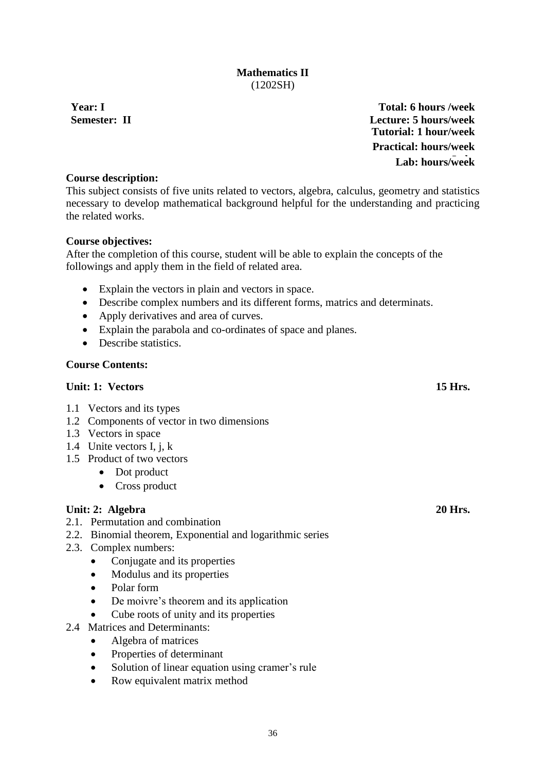# **Mathematics II** (1202SH)

**Year: I Total: 6 hours /week Semester: II Lecture: 5 hours/week Tutorial: 1 hour/week Practical: hours/week Lab: hours/week Lab:**

# **Course description:**

This subject consists of five units related to vectors, algebra, calculus, geometry and statistics necessary to develop mathematical background helpful for the understanding and practicing the related works.

# **Course objectives:**

After the completion of this course, student will be able to explain the concepts of the followings and apply them in the field of related area.

- Explain the vectors in plain and vectors in space.
- Describe complex numbers and its different forms, matrics and determinats.
- Apply derivatives and area of curves.
- Explain the parabola and co-ordinates of space and planes.
- Describe statistics.

#### **Course Contents:**

# Unit: 1: Vectors 15 Hrs.

- 1.1 Vectors and its types
- 1.2 Components of vector in two dimensions
- 1.3 Vectors in space
- 1.4 Unite vectors I, j, k
- 1.5 Product of two vectors
	- Dot product
	- Cross product

#### Unit: 2: Algebra 20 Hrs. 20 20 Hrs.

- 2.1. Permutation and combination
- 2.2. Binomial theorem, Exponential and logarithmic series
- 2.3. Complex numbers:
	- Conjugate and its properties
	- Modulus and its properties
	- Polar form
	- De moivre's theorem and its application
	- Cube roots of unity and its properties
- 2.4 Matrices and Determinants:
	- Algebra of matrices
	- Properties of determinant
	- Solution of linear equation using cramer's rule
	- Row equivalent matrix method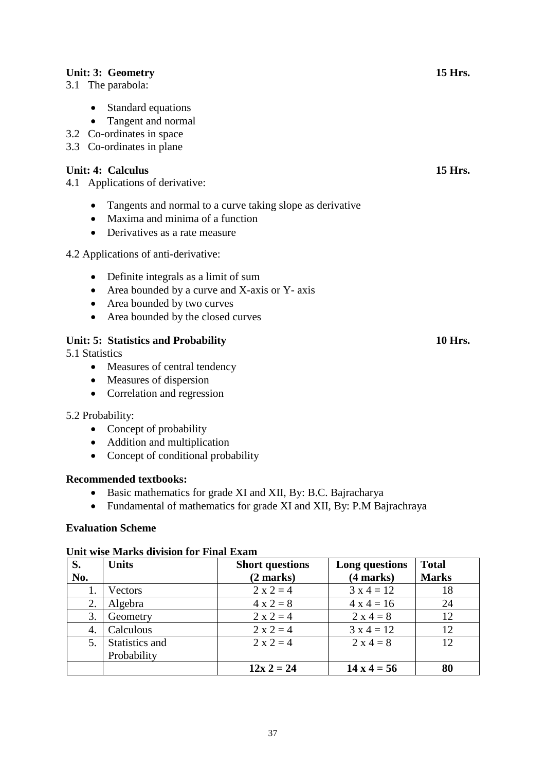# Unit: 3: Geometry 15 Hrs.

3.1 The parabola:

- Standard equations
- Tangent and normal
- 3.2 Co-ordinates in space

3.3 Co-ordinates in plane

# **Unit: 4: Calculus 15 Hrs.**

4.1 Applications of derivative:

- Tangents and normal to a curve taking slope as derivative
- Maxima and minima of a function
- Derivatives as a rate measure

4.2 Applications of anti-derivative:

- Definite integrals as a limit of sum
- Area bounded by a curve and X-axis or Y- axis
- Area bounded by two curves
- Area bounded by the closed curves

# Unit: 5: Statistics and Probability 10 Hrs.

5.1 Statistics

- Measures of central tendency
- Measures of dispersion
- Correlation and regression

#### 5.2 Probability:

- Concept of probability
- Addition and multiplication
- Concept of conditional probability

#### **Recommended textbooks:**

- Basic mathematics for grade XI and XII, By: B.C. Bajracharya
- Fundamental of mathematics for grade XI and XII, By: P.M Bajrachraya

# **Evaluation Scheme**

| S.  | <b>Units</b>   | <b>Short questions</b> | Long questions     | <b>Total</b>    |
|-----|----------------|------------------------|--------------------|-----------------|
| No. |                | $(2 \text{ marks})$    | (4 marks)          | <b>Marks</b>    |
|     | Vectors        | $2 \times 2 = 4$       | $3x4 = 12$         | 18              |
| 2.  | Algebra        | $4 x 2 = 8$            | $4x4 = 16$         | 24              |
| 3.  | Geometry       | $2 \times 2 = 4$       | $2 x 4 = 8$        | 12              |
| 4.  | Calculous      | $2 \times 2 = 4$       | $3x4 = 12$         | 12              |
| 5.  | Statistics and | $2 \times 2 = 4$       | $2 \times 4 = 8$   | 12 <sub>1</sub> |
|     | Probability    |                        |                    |                 |
|     |                | $12x 2 = 24$           | $14 \times 4 = 56$ | 80              |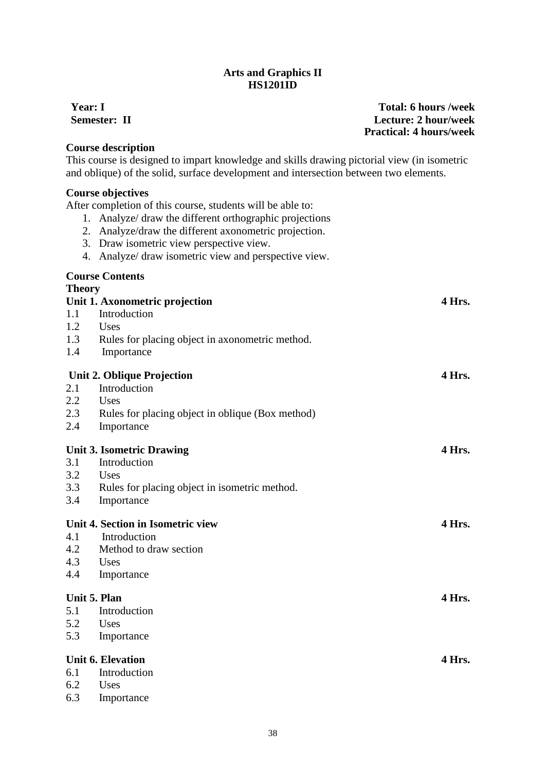# **Arts and Graphics II HS1201ID**

#### **Course description**

This course is designed to impart knowledge and skills drawing pictorial view (in isometric and oblique) of the solid, surface development and intersection between two elements.

# **Course objectives**

After completion of this course, students will be able to:

- 1. Analyze/ draw the different orthographic projections
- 2. Analyze/draw the different axonometric projection.
- 3. Draw isometric view perspective view.
- 4. Analyze/ draw isometric view and perspective view.

# **Course Contents**

**Theory**

|            | Unit 1. Axonometric projection                   | 4 Hrs. |
|------------|--------------------------------------------------|--------|
| 1.1        | Introduction                                     |        |
| 1.2        | Uses                                             |        |
| 1.3        | Rules for placing object in axonometric method.  |        |
| 1.4        | Importance                                       |        |
|            | <b>Unit 2. Oblique Projection</b>                | 4 Hrs. |
| 2.1        | Introduction                                     |        |
| 2.2        | Uses                                             |        |
| 2.3        | Rules for placing object in oblique (Box method) |        |
| 2.4        | Importance                                       |        |
|            |                                                  |        |
|            | <b>Unit 3. Isometric Drawing</b>                 | 4 Hrs. |
| 3.1        | Introduction                                     |        |
| 3.2        | Uses                                             |        |
| 3.3<br>3.4 | Rules for placing object in isometric method.    |        |
|            | Importance                                       |        |
|            | Unit 4. Section in Isometric view                | 4 Hrs. |
| 4.1        | Introduction                                     |        |
| 4.2        | Method to draw section                           |        |
| 4.3        | Uses                                             |        |
| 4.4        | Importance                                       |        |
|            | Unit 5. Plan                                     | 4 Hrs. |
| 5.1        | Introduction                                     |        |
| 5.2        | Uses                                             |        |
| 5.3        | Importance                                       |        |
|            |                                                  |        |
|            | <b>Unit 6. Elevation</b>                         | 4 Hrs. |
| 6.1        | Introduction                                     |        |
| 6.2        | Uses                                             |        |
| 6.3        | Importance                                       |        |

**Year: I Total: 6 hours /week Semester: II Lecture: 2 hour/week Practical: 4 hours/week**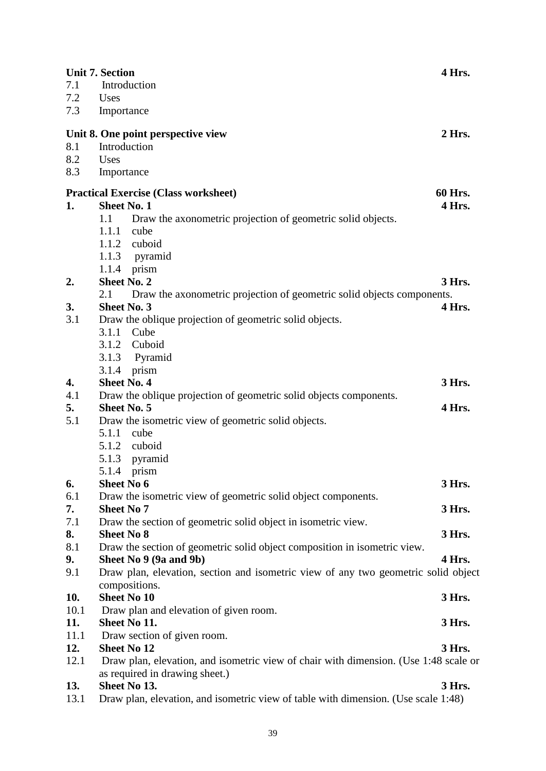|      | <b>Unit 7. Section</b>                                                               | 4 Hrs.  |
|------|--------------------------------------------------------------------------------------|---------|
| 7.1  | Introduction                                                                         |         |
| 7.2  | Uses                                                                                 |         |
| 7.3  | Importance                                                                           |         |
|      | Unit 8. One point perspective view                                                   | 2 Hrs.  |
| 8.1  | Introduction                                                                         |         |
| 8.2  | Uses                                                                                 |         |
| 8.3  | Importance                                                                           |         |
|      | <b>Practical Exercise (Class worksheet)</b>                                          | 60 Hrs. |
| 1.   | <b>Sheet No. 1</b>                                                                   | 4 Hrs.  |
|      | 1.1<br>Draw the axonometric projection of geometric solid objects.                   |         |
|      | 1.1.1<br>cube                                                                        |         |
|      | 1.1.2<br>cuboid                                                                      |         |
|      | 1.1.3 pyramid                                                                        |         |
|      | $1.1.4$ prism                                                                        |         |
| 2.   | <b>Sheet No. 2</b>                                                                   | 3 Hrs.  |
|      | 2.1<br>Draw the axonometric projection of geometric solid objects components.        |         |
| 3.   | <b>Sheet No. 3</b>                                                                   | 4 Hrs.  |
| 3.1  | Draw the oblique projection of geometric solid objects.                              |         |
|      | 3.1.1<br>Cube                                                                        |         |
|      | 3.1.2<br>Cuboid                                                                      |         |
|      | 3.1.3<br>Pyramid                                                                     |         |
|      | 3.1.4<br>prism                                                                       |         |
| 4.   | <b>Sheet No. 4</b>                                                                   | 3 Hrs.  |
| 4.1  | Draw the oblique projection of geometric solid objects components.                   |         |
| 5.   | <b>Sheet No. 5</b>                                                                   | 4 Hrs.  |
| 5.1  | Draw the isometric view of geometric solid objects.                                  |         |
|      | 5.1.1<br>cube                                                                        |         |
|      | 5.1.2<br>cuboid                                                                      |         |
|      | 5.1.3 pyramid                                                                        |         |
| 6.   | 5.1.4<br>prism<br><b>Sheet No 6</b>                                                  | 3 Hrs.  |
| 6.1  | Draw the isometric view of geometric solid object components.                        |         |
| 7.   | <b>Sheet No 7</b>                                                                    | 3 Hrs.  |
| 7.1  | Draw the section of geometric solid object in isometric view.                        |         |
| 8.   | <b>Sheet No 8</b>                                                                    | 3 Hrs.  |
| 8.1  | Draw the section of geometric solid object composition in isometric view.            |         |
| 9.   | Sheet No 9 (9a and 9b)                                                               | 4 Hrs.  |
| 9.1  | Draw plan, elevation, section and isometric view of any two geometric solid object   |         |
|      | compositions.                                                                        |         |
| 10.  | <b>Sheet No 10</b>                                                                   | 3 Hrs.  |
| 10.1 | Draw plan and elevation of given room.                                               |         |
| 11.  | Sheet No 11.                                                                         | 3 Hrs.  |
| 11.1 | Draw section of given room.                                                          |         |
| 12.  | <b>Sheet No 12</b>                                                                   | 3 Hrs.  |
| 12.1 | Draw plan, elevation, and isometric view of chair with dimension. (Use 1:48 scale or |         |
|      | as required in drawing sheet.)                                                       |         |
| 13.  | Sheet No 13.                                                                         | 3 Hrs.  |
| 13.1 | Draw plan, elevation, and isometric view of table with dimension. (Use scale 1:48)   |         |
|      |                                                                                      |         |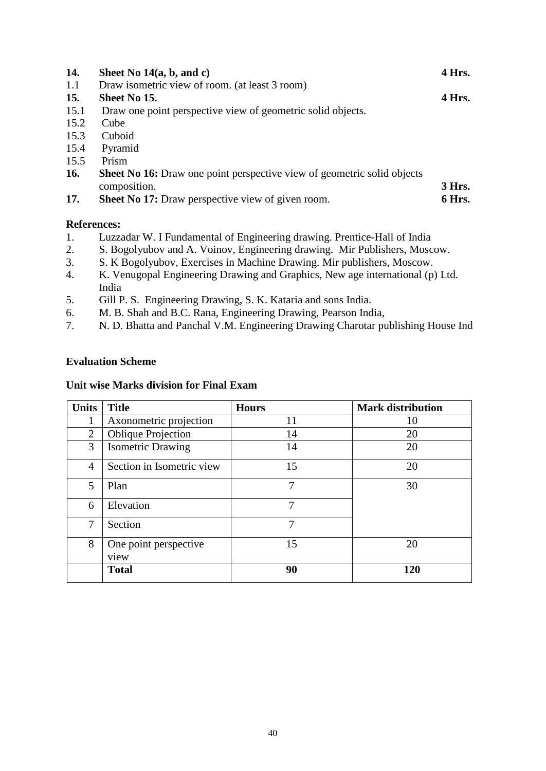| 14.        | Sheet No $14(a, b, and c)$                                                                     | 4 Hrs. |
|------------|------------------------------------------------------------------------------------------------|--------|
| 1.1        | Draw isometric view of room. (at least 3 room)                                                 |        |
| 15.        | Sheet No 15.                                                                                   | 4 Hrs. |
| 15.1       | Draw one point perspective view of geometric solid objects.                                    |        |
| 15.2       | Cube                                                                                           |        |
| 15.3       | Cuboid                                                                                         |        |
| 15.4       | Pyramid                                                                                        |        |
| 15.5       | Prism                                                                                          |        |
| <b>16.</b> | <b>Sheet No 16:</b> Draw one point perspective view of geometric solid objects<br>composition. | 3 Hrs. |
| 17.        | <b>Sheet No 17:</b> Draw perspective view of given room.                                       | 6 Hrs. |

# **References:**

- 1. Luzzadar W. I Fundamental of Engineering drawing. Prentice-Hall of India
- 2. S. Bogolyubov and A. Voinov, Engineering drawing. Mir Publishers, Moscow.<br>3. S. K Bogolyubov. Exercises in Machine Drawing. Mir publishers. Moscow.
- 3. S. K Bogolyubov, Exercises in Machine Drawing. Mir publishers, Moscow.
- 4. K. Venugopal Engineering Drawing and Graphics, New age international (p) Ltd. India
- 5. Gill P. S. Engineering Drawing, S. K. Kataria and sons India.
- 6. M. B. Shah and B.C. Rana, Engineering Drawing, Pearson India,
- 7. N. D. Bhatta and Panchal V.M. Engineering Drawing Charotar publishing House Ind

# **Evaluation Scheme**

| <b>Units</b>   | <b>Title</b>                  | <b>Hours</b> | <b>Mark distribution</b> |
|----------------|-------------------------------|--------------|--------------------------|
|                | Axonometric projection        | 11           | 10                       |
| $\overline{2}$ | <b>Oblique Projection</b>     | 14           | 20                       |
| 3              | <b>Isometric Drawing</b>      | 14           | 20                       |
| $\overline{4}$ | Section in Isometric view     | 15           | 20                       |
| 5              | Plan                          | 7            | 30                       |
| 6              | Elevation                     | 7            |                          |
| 7              | Section                       | 7            |                          |
| 8              | One point perspective<br>view | 15           | 20                       |
|                | <b>Total</b>                  | 90           | 120                      |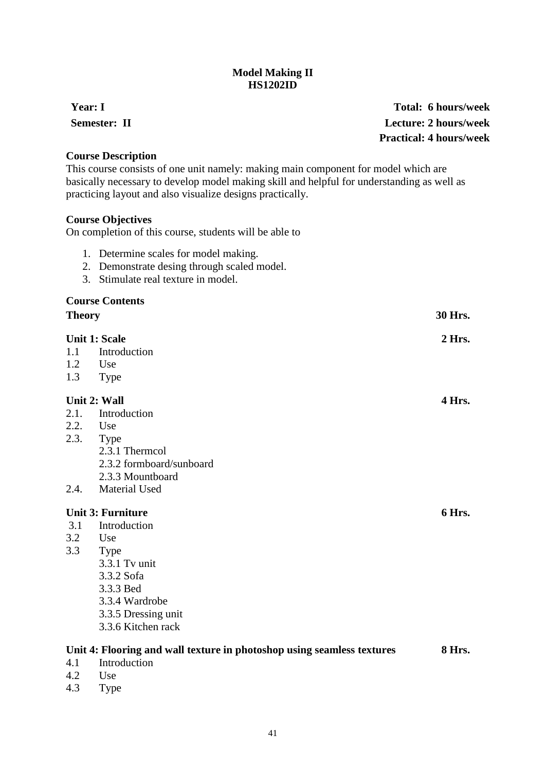# **Model Making II HS1202ID**

**Year: I Total: 6 hours/week Semester: II Lecture: 2 hours/week Practical: 4 hours/week**

#### **Course Description**

This course consists of one unit namely: making main component for model which are basically necessary to develop model making skill and helpful for understanding as well as practicing layout and also visualize designs practically.

#### **Course Objectives**

On completion of this course, students will be able to

- 1. Determine scales for model making.
- 2. Demonstrate desing through scaled model.
- 3. Stimulate real texture in model.

|               | <b>Course Contents</b>                                                 |         |
|---------------|------------------------------------------------------------------------|---------|
| <b>Theory</b> |                                                                        | 30 Hrs. |
|               | <b>Unit 1: Scale</b>                                                   | 2 Hrs.  |
| 1.1           | Introduction                                                           |         |
| 1.2           | Use                                                                    |         |
| 1.3           | <b>Type</b>                                                            |         |
|               | Unit 2: Wall                                                           | 4 Hrs.  |
| 2.1.          | Introduction                                                           |         |
| 2.2.          | Use                                                                    |         |
| 2.3.          | Type                                                                   |         |
|               | 2.3.1 Thermcol                                                         |         |
|               | 2.3.2 formboard/sunboard                                               |         |
|               | 2.3.3 Mountboard                                                       |         |
| 2.4.          | Material Used                                                          |         |
|               | <b>Unit 3: Furniture</b>                                               | 6 Hrs.  |
| 3.1           | Introduction                                                           |         |
| 3.2           | Use                                                                    |         |
| 3.3           | <b>Type</b>                                                            |         |
|               | 3.3.1 Tv unit                                                          |         |
|               | 3.3.2 Sofa                                                             |         |
|               | 3.3.3 Bed                                                              |         |
|               | 3.3.4 Wardrobe                                                         |         |
|               | 3.3.5 Dressing unit                                                    |         |
|               | 3.3.6 Kitchen rack                                                     |         |
|               | Unit 4: Flooring and wall texture in photoshop using seamless textures | 8 Hrs.  |
| 4.1           | Introduction                                                           |         |
| 4.2           | Use                                                                    |         |

4.3 Type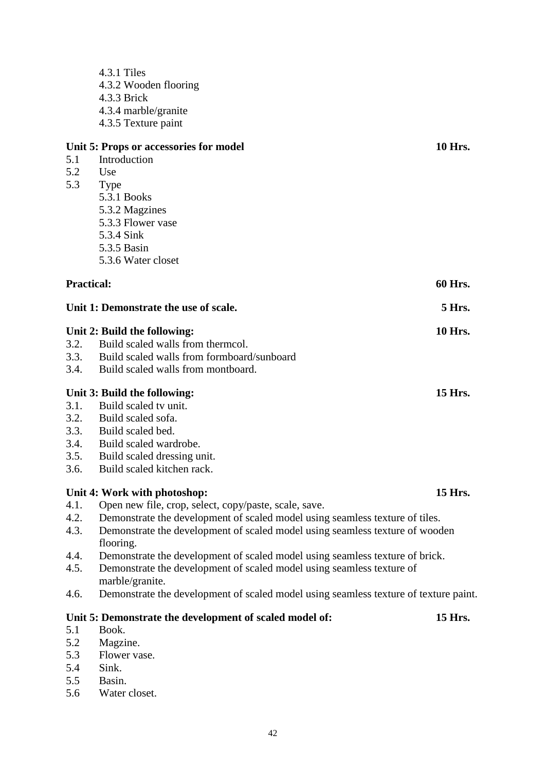| 5.1<br>5.2<br>5.3 | 4.3.1 Tiles<br>4.3.2 Wooden flooring<br>4.3.3 Brick<br>4.3.4 marble/granite<br>4.3.5 Texture paint<br>Unit 5: Props or accessories for model<br>Introduction<br>Use<br>Type<br>5.3.1 Books<br>5.3.2 Magzines | <b>10 Hrs.</b> |
|-------------------|--------------------------------------------------------------------------------------------------------------------------------------------------------------------------------------------------------------|----------------|
|                   | 5.3.3 Flower vase                                                                                                                                                                                            |                |
|                   | 5.3.4 Sink                                                                                                                                                                                                   |                |
|                   | 5.3.5 Basin                                                                                                                                                                                                  |                |
|                   | 5.3.6 Water closet                                                                                                                                                                                           |                |
| <b>Practical:</b> |                                                                                                                                                                                                              | <b>60 Hrs.</b> |
|                   | Unit 1: Demonstrate the use of scale.                                                                                                                                                                        | <b>5 Hrs.</b>  |
|                   | Unit 2: Build the following:                                                                                                                                                                                 | <b>10 Hrs.</b> |
|                   | 3.2. Build scaled walls from thermcol.                                                                                                                                                                       |                |
|                   | 3.3. Build scaled walls from formboard/sunboard                                                                                                                                                              |                |
| 3.4.              | Build scaled walls from montboard.                                                                                                                                                                           |                |
|                   | Unit 3: Build the following:                                                                                                                                                                                 | 15 Hrs.        |
|                   | 3.1. Build scaled tv unit.                                                                                                                                                                                   |                |
| 3.2.              | Build scaled sofa.                                                                                                                                                                                           |                |
|                   | 3.3. Build scaled bed.                                                                                                                                                                                       |                |
| 3.4.              | Build scaled wardrobe.                                                                                                                                                                                       |                |
| 3.5.              | Build scaled dressing unit.                                                                                                                                                                                  |                |
| 3.6.              | Build scaled kitchen rack.                                                                                                                                                                                   |                |
|                   | Unit 4: Work with photoshop:                                                                                                                                                                                 | 15 Hrs.        |
| 4.1.              | Open new file, crop, select, copy/paste, scale, save.                                                                                                                                                        |                |
| 4.2.              | Demonstrate the development of scaled model using seamless texture of tiles.                                                                                                                                 |                |
| 4.3.              | Demonstrate the development of scaled model using seamless texture of wooden                                                                                                                                 |                |
|                   | flooring.                                                                                                                                                                                                    |                |
| 4.4.              | Demonstrate the development of scaled model using seamless texture of brick.                                                                                                                                 |                |
| 4.5.              | Demonstrate the development of scaled model using seamless texture of<br>marble/granite.                                                                                                                     |                |
| 4.6.              | Demonstrate the development of scaled model using seamless texture of texture paint.                                                                                                                         |                |
|                   | Unit 5: Demonstrate the development of scaled model of:                                                                                                                                                      | 15 Hrs.        |
| 5.1               | Book.                                                                                                                                                                                                        |                |
| 5.2               | Magzine.                                                                                                                                                                                                     |                |
| 5.3               | Flower vase.                                                                                                                                                                                                 |                |

- 5.4 Sink.<br>5.5 Basin
- Basin.
- 5.6 Water closet.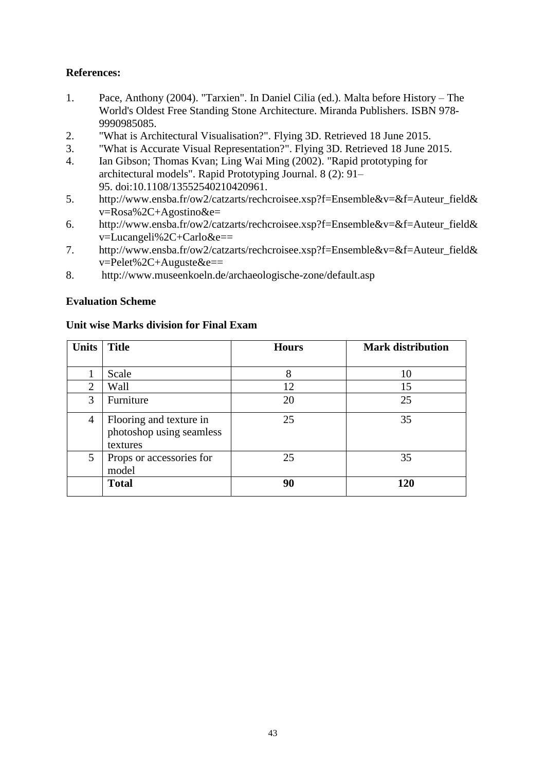# **References:**

- 1. Pace, Anthony (2004). "Tarxien". In Daniel Cilia (ed.). Malta before History The World's Oldest Free Standing Stone Architecture. Miranda Publishers. [ISBN](https://en.wikipedia.org/wiki/ISBN_(identifier)) [978-](https://en.wikipedia.org/wiki/Special:BookSources/978-9990985085) [9990985085.](https://en.wikipedia.org/wiki/Special:BookSources/978-9990985085)
- 2. ["What is Architectural Visualisation?".](http://www.mohinh.vn/) Flying 3D. Retrieved 18 June 2015.
- 3. ["What is Accurate Visual Representation?".](http://www.mohinh.vn/) Flying 3D. Retrieved 18 June 2015.
- 4. Ian Gibson; Thomas Kvan; Ling Wai Ming (2002). ["Rapid prototyping for](http://cumincad.architexturez.net/doc/oai-cumincadworks-id-8ec5)  [architectural models".](http://cumincad.architexturez.net/doc/oai-cumincadworks-id-8ec5) Rapid Prototyping Journal. 8 (2): 91– 95. [doi](https://en.wikipedia.org/wiki/Doi_(identifier))[:10.1108/13552540210420961.](https://doi.org/10.1108%2F13552540210420961)
- 5. [http://www.ensba.fr/ow2/catzarts/rechcroisee.xsp?f=Ensemble&v=&f=Auteur\\_field&](http://www.ensba.fr/ow2/catzarts/rechcroisee.xsp?f=Ensemble&v=&f=Auteur_field&v=Rosa%2C+Agostino&e=) [v=Rosa%2C+Agostino&e=](http://www.ensba.fr/ow2/catzarts/rechcroisee.xsp?f=Ensemble&v=&f=Auteur_field&v=Rosa%2C+Agostino&e=)
- 6. [http://www.ensba.fr/ow2/catzarts/rechcroisee.xsp?f=Ensemble&v=&f=Auteur\\_field&](http://www.ensba.fr/ow2/catzarts/rechcroisee.xsp?f=Ensemble&v=&f=Auteur_field&v=Lucangeli%2C+Carlo&e==) [v=Lucangeli%2C+Carlo&e==](http://www.ensba.fr/ow2/catzarts/rechcroisee.xsp?f=Ensemble&v=&f=Auteur_field&v=Lucangeli%2C+Carlo&e==)
- 7. [http://www.ensba.fr/ow2/catzarts/rechcroisee.xsp?f=Ensemble&v=&f=Auteur\\_field&](http://www.ensba.fr/ow2/catzarts/rechcroisee.xsp?f=Ensemble&v=&f=Auteur_field&v=Pelet%2C+Auguste&e==) [v=Pelet%2C+Auguste&e==](http://www.ensba.fr/ow2/catzarts/rechcroisee.xsp?f=Ensemble&v=&f=Auteur_field&v=Pelet%2C+Auguste&e==)
- 8. <http://www.museenkoeln.de/archaeologische-zone/default.asp>

# **Evaluation Scheme**

| <b>Units</b>   | <b>Title</b>                                                    | <b>Hours</b> | <b>Mark distribution</b> |
|----------------|-----------------------------------------------------------------|--------------|--------------------------|
|                |                                                                 |              |                          |
|                | Scale                                                           | 8            | 10                       |
| $\overline{2}$ | Wall                                                            | 12           | 15                       |
| 3              | Furniture                                                       | 20           | 25                       |
| 4              | Flooring and texture in<br>photoshop using seamless<br>textures | 25           | 35                       |
| 5              | Props or accessories for<br>model                               | 25           | 35                       |
|                | <b>Total</b>                                                    | 90           | 120                      |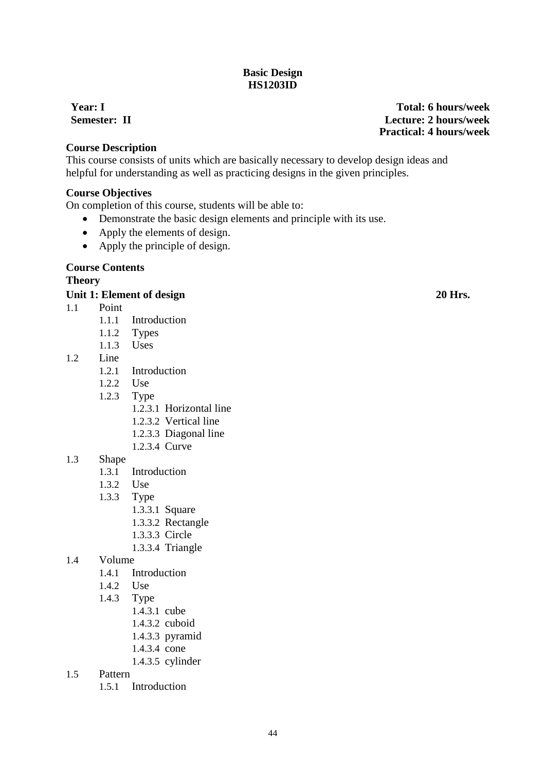# **Basic Design HS1203ID**

# **Course Description**

This course consists of units which are basically necessary to develop design ideas and helpful for understanding as well as practicing designs in the given principles.

# **Course Objectives**

On completion of this course, students will be able to:

- Demonstrate the basic design elements and principle with its use.
- Apply the elements of design.
- Apply the principle of design.

#### **Course Contents Theory**

# **Unit 1: Element of design 20 Hrs.**

- 1.1 Point
	- 1.1.1 Introduction
	- 1.1.2 Types
	- 1.1.3 Uses
- 1.2 Line
	- 1.2.1 Introduction
	- 1.2.2 Use
	- 1.2.3 Type
		- 1.2.3.1 Horizontal line
		- 1.2.3.2 Vertical line
		- 1.2.3.3 Diagonal line
		- 1.2.3.4 Curve
- 1.3 Shape
	- 1.3.1 Introduction
	- 1.3.2 Use
	- 1.3.3 Type
		- 1.3.3.1 Square
		- 1.3.3.2 Rectangle
		- 1.3.3.3 Circle
		- 1.3.3.4 Triangle
- 1.4 Volume
	- 1.4.1 Introduction
	- 1.4.2 Use
	- 1.4.3 Type
		- 1.4.3.1 cube
		- 1.4.3.2 cuboid
		- 1.4.3.3 pyramid
		- 1.4.3.4 cone
		- 1.4.3.5 cylinder
- 1.5 Pattern
	- 1.5.1 Introduction

**Year: I Total: 6 hours/week Semester: II Lecture: 2 hours/week Practical: 4 hours/week**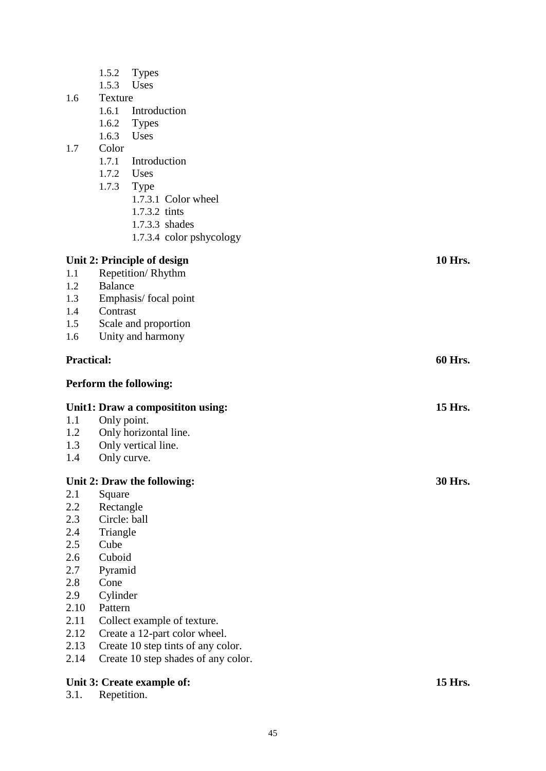|                   | 1.5.2<br><b>Types</b>                                                     |                |
|-------------------|---------------------------------------------------------------------------|----------------|
|                   | Uses<br>1.5.3                                                             |                |
| 1.6               | Texture                                                                   |                |
|                   | 1.6.1<br>Introduction                                                     |                |
|                   | <b>Types</b><br>1.6.2                                                     |                |
|                   | Uses<br>1.6.3                                                             |                |
| 1.7               | Color                                                                     |                |
|                   | Introduction<br>1.7.1                                                     |                |
|                   | Uses<br>1.7.2                                                             |                |
|                   | 1.7.3<br>Type                                                             |                |
|                   | 1.7.3.1 Color wheel                                                       |                |
|                   | 1.7.3.2 tints                                                             |                |
|                   | 1.7.3.3 shades                                                            |                |
|                   | 1.7.3.4 color pshycology                                                  |                |
|                   |                                                                           |                |
|                   | Unit 2: Principle of design                                               | <b>10 Hrs.</b> |
| 1.1               | Repetition/Rhythm                                                         |                |
| 1.2               | <b>Balance</b>                                                            |                |
| 1.3               | Emphasis/focal point                                                      |                |
| 1.4               | Contrast                                                                  |                |
| 1.5               | Scale and proportion                                                      |                |
| 1.6               | Unity and harmony                                                         |                |
| <b>Practical:</b> |                                                                           | <b>60 Hrs.</b> |
|                   |                                                                           |                |
|                   | Perform the following:                                                    |                |
|                   | Unit1: Draw a composititon using:                                         | 15 Hrs.        |
| 1.1               | Only point.                                                               |                |
| 1.2               | Only horizontal line.                                                     |                |
| 1.3               | Only vertical line.                                                       |                |
| 1.4               | Only curve.                                                               |                |
|                   | Unit 2: Draw the following:                                               | <b>30 Hrs.</b> |
| 2.1               | Square                                                                    |                |
| 2.2               | Rectangle                                                                 |                |
|                   |                                                                           |                |
|                   |                                                                           |                |
| 2.3               | Circle: ball                                                              |                |
| 2.4               | Triangle                                                                  |                |
| 2.5               | Cube                                                                      |                |
| 2.6               | Cuboid                                                                    |                |
| 2.7               | Pyramid                                                                   |                |
| 2.8               | Cone                                                                      |                |
| 2.9               | Cylinder                                                                  |                |
| 2.10              | Pattern                                                                   |                |
| 2.11              | Collect example of texture.                                               |                |
| 2.12              | Create a 12-part color wheel.                                             |                |
| 2.13<br>2.14      | Create 10 step tints of any color.<br>Create 10 step shades of any color. |                |

#### **Unit 3: Create example of: 15 Hrs.**

3.1. Repetition .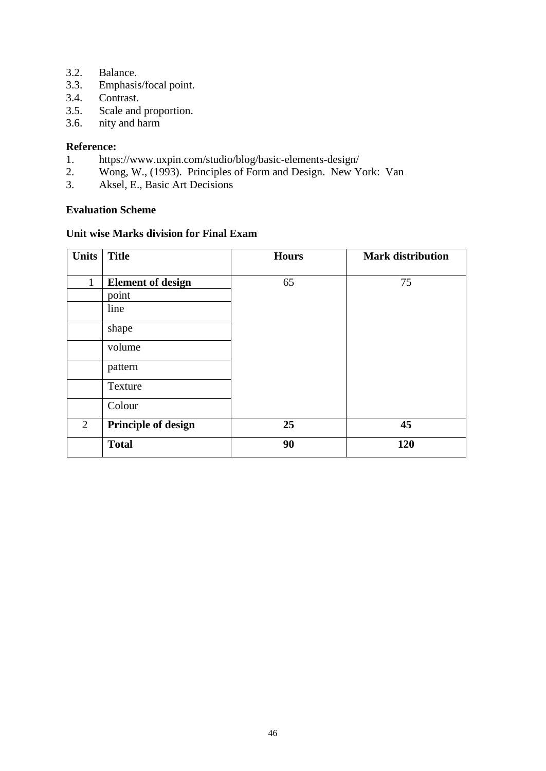- 3.2. Balance.
- 3.3. Emphasis/focal point.
- 3.4. Contrast.<br>3.5. Scale and
- Scale and proportion.
- 3.6. nity and harm

# **Reference:**

- 1. https://www.uxpin.com/studio/blog/basic-elements-design/
- 2. Wong, W., (1993). Principles of Form and Design. New York: Van 3. Aksel, E., Basic Art Decisions
- Aksel, E., Basic Art Decisions

# **Evaluation Scheme**

| <b>Units</b>   | <b>Title</b>               | <b>Hours</b> | <b>Mark distribution</b> |
|----------------|----------------------------|--------------|--------------------------|
| $\mathbf{1}$   | <b>Element of design</b>   | 65           | 75                       |
|                | point                      |              |                          |
|                | line                       |              |                          |
|                | shape                      |              |                          |
|                | volume                     |              |                          |
|                | pattern                    |              |                          |
|                | Texture                    |              |                          |
|                | Colour                     |              |                          |
| $\overline{2}$ | <b>Principle of design</b> | 25           | 45                       |
|                | <b>Total</b>               | 90           | 120                      |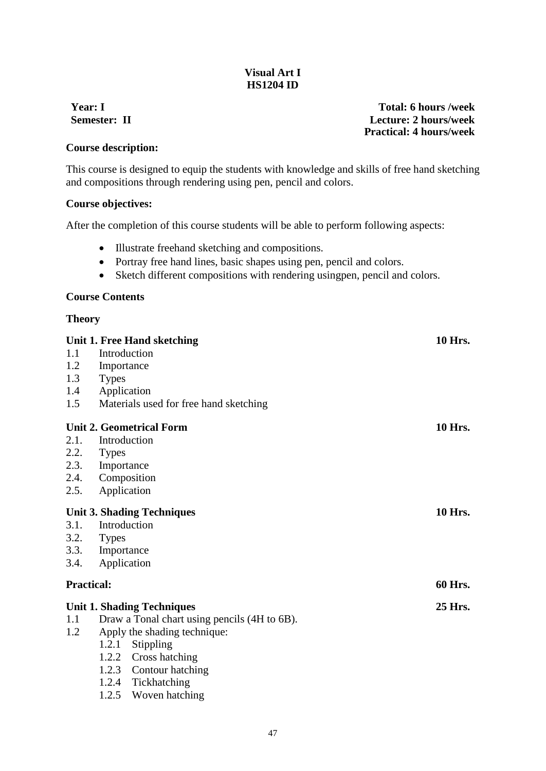# **Visual Art I HS1204 ID**

**Year: I Total: 6 hours /week Semester: II Lecture: 2 hours/week Practical: 4 hours/week**

# **Course description:**

This course is designed to equip the students with knowledge and skills of free hand sketching and compositions through rendering using pen, pencil and colors.

#### **Course objectives:**

After the completion of this course students will be able to perform following aspects:

- Illustrate freehand sketching and compositions.
- Portray free hand lines, basic shapes using pen, pencil and colors.
- Sketch different compositions with rendering using penetles and colors.

#### **Course Contents**

#### **Theory**

|                   | Unit 1. Free Hand sketching                  | <b>10 Hrs.</b> |
|-------------------|----------------------------------------------|----------------|
| 1.1               | Introduction                                 |                |
| 1.2               | Importance                                   |                |
| 1.3               | <b>Types</b>                                 |                |
| 1.4               | Application                                  |                |
| 1.5               | Materials used for free hand sketching       |                |
|                   | <b>Unit 2. Geometrical Form</b>              | <b>10 Hrs.</b> |
| 2.1.              | Introduction                                 |                |
| 2.2.              | <b>Types</b>                                 |                |
| 2.3.              | Importance                                   |                |
| 2.4.              | Composition                                  |                |
| 2.5.              | Application                                  |                |
|                   | <b>Unit 3. Shading Techniques</b>            | <b>10 Hrs.</b> |
| 3.1.              | Introduction                                 |                |
| 3.2.              | <b>Types</b>                                 |                |
| 3.3.              | Importance                                   |                |
| 3.4.              | Application                                  |                |
| <b>Practical:</b> |                                              | <b>60 Hrs.</b> |
|                   | <b>Unit 1. Shading Techniques</b>            | 25 Hrs.        |
| 1.1               | Draw a Tonal chart using pencils (4H to 6B). |                |
| 1.2               | Apply the shading technique:                 |                |
|                   | 1.2.1<br>Stippling                           |                |
|                   | 1.2.2 Cross hatching                         |                |
|                   | 1.2.3 Contour hatching                       |                |
|                   | Tickhatching<br>1.2.4                        |                |
|                   | 1.2.5<br>Woven hatching                      |                |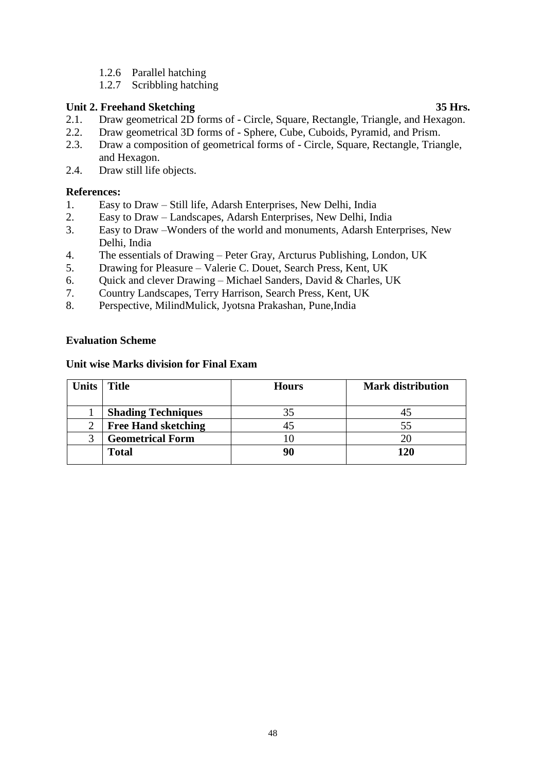1.2.6 Parallel hatching

1.2.7 Scribbling hatching

# **Unit 2. Freehand Sketching 35 Hrs.**

- 2.1. Draw geometrical 2D forms of Circle, Square, Rectangle, Triangle, and Hexagon.
- 2.2. Draw geometrical 3D forms of Sphere, Cube, Cuboids, Pyramid, and Prism.
- 2.3. Draw a composition of geometrical forms of Circle, Square, Rectangle, Triangle, and Hexagon.
- 2.4. Draw still life objects.

# **References:**

- 1. Easy to Draw Still life, Adarsh Enterprises, New Delhi, India
- 2. Easy to Draw Landscapes, Adarsh Enterprises, New Delhi, India
- 3. Easy to Draw –Wonders of the world and monuments, Adarsh Enterprises, New Delhi, India
- 4. The essentials of Drawing Peter Gray, Arcturus Publishing, London, UK
- 5. Drawing for Pleasure Valerie C. Douet, Search Press, Kent, UK
- 6. Quick and clever Drawing Michael Sanders, David & Charles, UK
- 7. Country Landscapes, Terry Harrison, Search Press, Kent, UK
- 8. Perspective, MilindMulick, Jyotsna Prakashan, Pune,India

# **Evaluation Scheme**

| <b>Units</b> | <b>Title</b>               | <b>Hours</b> | <b>Mark distribution</b> |
|--------------|----------------------------|--------------|--------------------------|
|              |                            |              |                          |
|              | <b>Shading Techniques</b>  |              |                          |
|              | <b>Free Hand sketching</b> |              |                          |
|              | <b>Geometrical Form</b>    |              |                          |
|              | <b>Total</b>               |              | 120                      |
|              |                            |              |                          |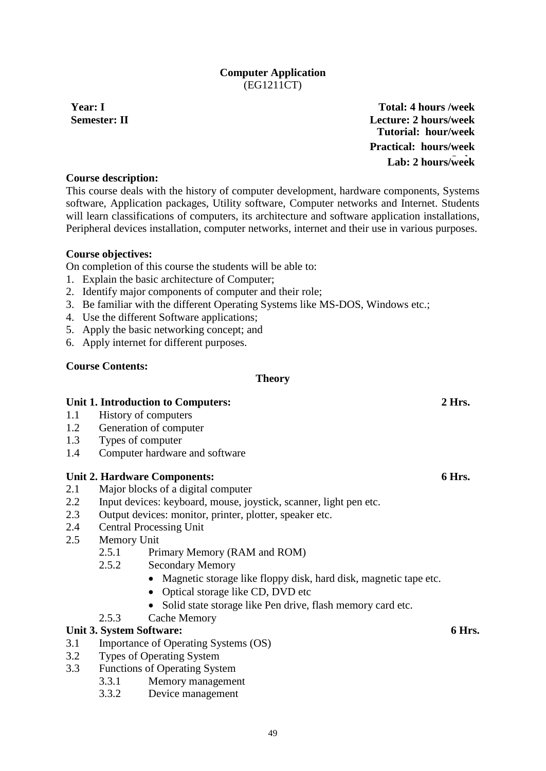# **Computer Application** (EG1211CT)

**Year: I Total: 4 hours /week Semester: II Lecture: 2 hours/week Tutorial: hour/week Practical: hours/week Lab: 2 hours/week Lab:**

# **Course description:**

This course deals with the history of computer development, hardware components, Systems software, Application packages, Utility software, Computer networks and Internet. Students will learn classifications of computers, its architecture and software application installations, Peripheral devices installation, computer networks, internet and their use in various purposes.

# **Course objectives:**

On completion of this course the students will be able to:

- 1. Explain the basic architecture of Computer;
- 2. Identify major components of computer and their role;
- 3. Be familiar with the different Operating Systems like MS-DOS, Windows etc.;
- 4. Use the different Software applications;
- 5. Apply the basic networking concept; and
- 6. Apply internet for different purposes.

# **Course Contents:**

# **Theory**

#### **Unit 1. Introduction to Computers: 2 Hrs.**

- 1.1 History of computers
- 1.2 Generation of computer
- 1.3 Types of computer
- 1.4 Computer hardware and software

#### **Unit 2. Hardware Components: 6 Hrs.**

- 2.1 Major blocks of a digital computer
- 2.2 Input devices: keyboard, mouse, joystick, scanner, light pen etc.
- 2.3 Output devices: monitor, printer, plotter, speaker etc.
- 2.4 Central Processing Unit
- 2.5 Memory Unit
	- 2.5.1 Primary Memory (RAM and ROM)
	- 2.5.2 Secondary Memory
		- Magnetic storage like floppy disk, hard disk, magnetic tape etc.
		- Optical storage like CD, DVD etc
		- Solid state storage like Pen drive, flash memory card etc.
	- 2.5.3 Cache Memory

# **Unit 3. System Software: 6 Hrs.**

- 3.1 Importance of Operating Systems (OS)
- 3.2 Types of Operating System
- 3.3 Functions of Operating System
	- 3.3.1 Memory management
	- 3.3.2 Device management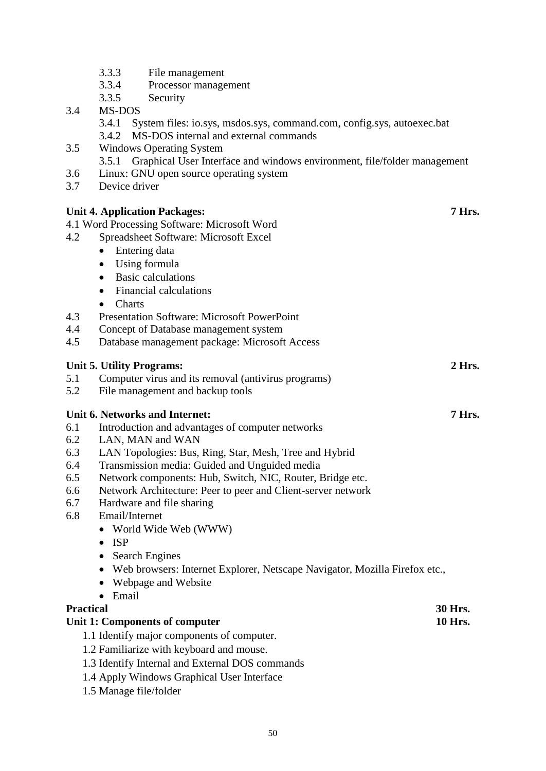- 3.3.3 File management
- 3.3.4 Processor management
- 3.3.5 Security
- 3.4 MS-DOS
	- 3.4.1 System files: io.sys, msdos.sys, command.com, config.sys, autoexec.bat
	- 3.4.2 MS-DOS internal and external commands
- 3.5 Windows Operating System
	- 3.5.1 Graphical User Interface and windows environment, file/folder management
- 3.6 Linux: GNU open source operating system
- 3.7 Device driver

# **Unit 4. Application Packages: 7 Hrs.**

- 4.1 Word Processing Software: Microsoft Word
- 4.2 Spreadsheet Software: Microsoft Excel
	- Entering data
	- Using formula
	- Basic calculations
	- Financial calculations
	- Charts
- 4.3 Presentation Software: Microsoft PowerPoint
- 4.4 Concept of Database management system
- 4.5 Database management package: Microsoft Access

| <b>Unit 5. Utility Programs:</b> |                                                         | 2 Hrs. |
|----------------------------------|---------------------------------------------------------|--------|
|                                  | 5.1 Computer virus and its removal (antivirus programs) |        |
|                                  |                                                         |        |

5.2 File management and backup tools

#### **Unit 6. Networks and Internet: 7 Hrs.**

- 6.1 Introduction and advantages of computer networks
- 6.2 LAN, MAN and WAN
- 6.3 LAN Topologies: Bus, Ring, Star, Mesh, Tree and Hybrid
- 6.4 Transmission media: Guided and Unguided media
- 6.5 Network components: Hub, Switch, NIC, Router, Bridge etc.
- 6.6 Network Architecture: Peer to peer and Client-server network
- 6.7 Hardware and file sharing
- 6.8 Email/Internet
	- World Wide Web (WWW)
	- ISP
	- Search Engines
	- Web browsers: Internet Explorer, Netscape Navigator, Mozilla Firefox etc.,
	- Webpage and Website
	- Email

# **Practical 30 Hrs.**

#### **Unit 1: Components of computer 10 Hrs.**

- 1.1 Identify major components of computer.
- 1.2 Familiarize with keyboard and mouse.
- 1.3 Identify Internal and External DOS commands
- 1.4 Apply Windows Graphical User Interface
- 1.5 Manage file/folder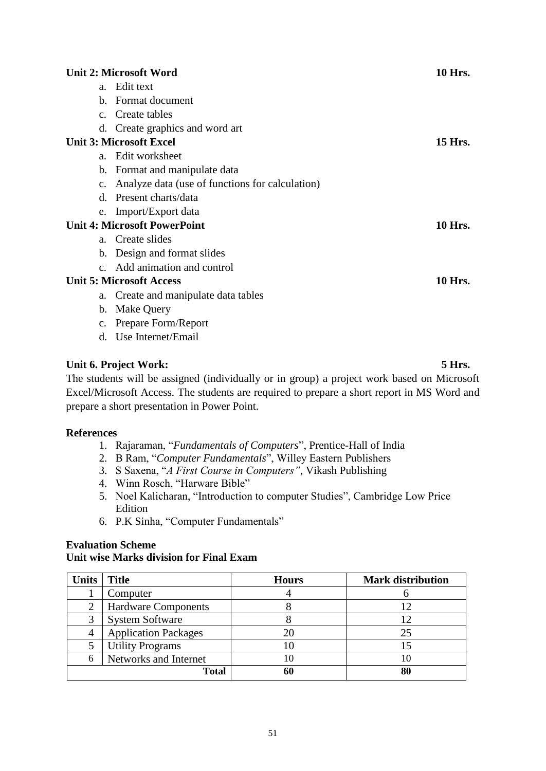|    | <b>Unit 2: Microsoft Word</b>                   | <b>10 Hrs.</b> |
|----|-------------------------------------------------|----------------|
|    | a. Edit text                                    |                |
|    | b. Format document                              |                |
|    | c. Create tables                                |                |
|    | d. Create graphics and word art                 |                |
|    | <b>Unit 3: Microsoft Excel</b>                  | <b>15 Hrs.</b> |
|    | a. Edit worksheet                               |                |
|    | b. Format and manipulate data                   |                |
|    | Analyze data (use of functions for calculation) |                |
|    | d. Present charts/data                          |                |
|    | e. Import/Export data                           |                |
|    | <b>Unit 4: Microsoft PowerPoint</b>             | <b>10 Hrs.</b> |
|    | a. Create slides                                |                |
|    | b. Design and format slides                     |                |
|    | c. Add animation and control                    |                |
|    | <b>Unit 5: Microsoft Access</b>                 | <b>10 Hrs.</b> |
|    | a. Create and manipulate data tables            |                |
| b. | <b>Make Query</b>                               |                |
|    | c. Prepare Form/Report                          |                |
|    | d. Use Internet/Email                           |                |

# **Unit 6. Project Work: 5 Hrs.**

The students will be assigned (individually or in group) a project work based on Microsoft Excel/Microsoft Access. The students are required to prepare a short report in MS Word and prepare a short presentation in Power Point.

#### **References**

- 1. Rajaraman, "*Fundamentals of Computers*", Prentice-Hall of India
- 2. B Ram, "*Computer Fundamentals*", Willey Eastern Publishers
- 3. S Saxena, "*A First Course in Computers"*, Vikash Publishing
- 4. Winn Rosch, "Harware Bible"
- 5. Noel Kalicharan, "Introduction to computer Studies", Cambridge Low Price Edition
- 6. P.K Sinha, "Computer Fundamentals"

# **Evaluation Scheme Unit wise Marks division for Final Exam**

| <b>Units</b> | <b>Title</b>                | <b>Hours</b> | <b>Mark distribution</b> |
|--------------|-----------------------------|--------------|--------------------------|
|              | Computer                    |              |                          |
|              | <b>Hardware Components</b>  |              |                          |
|              | <b>System Software</b>      |              |                          |
|              | <b>Application Packages</b> |              | 25                       |
|              | <b>Utility Programs</b>     |              |                          |
| 6            | Networks and Internet       |              |                          |
|              | Total                       |              |                          |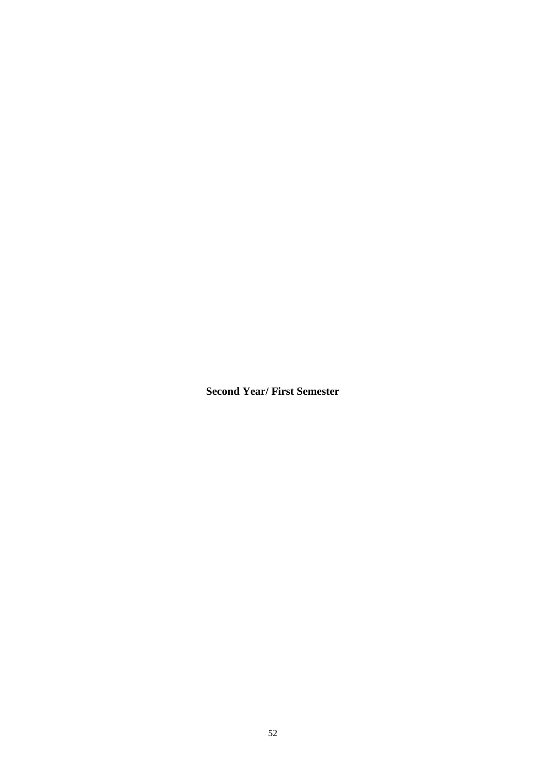**Second Year/ First Semester**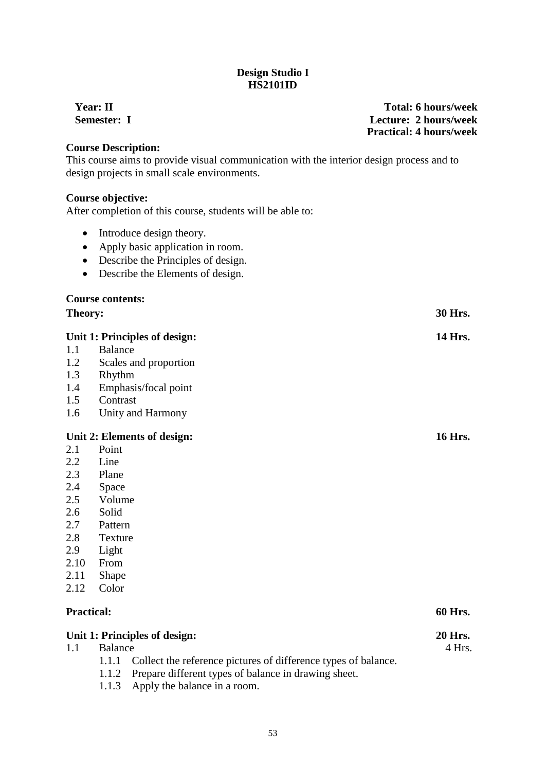# **Design Studio I HS2101ID**

#### **Course Description:**

This course aims to provide visual communication with the interior design process and to design projects in small scale environments.

# **Course objective:**

After completion of this course, students will be able to:

- Introduce design theory.
- Apply basic application in room.
- Describe the Principles of design.
- Describe the Elements of design.

#### **Course contents:**

| Theory:           |                                                                         | 30 Hrs.        |
|-------------------|-------------------------------------------------------------------------|----------------|
|                   | Unit 1: Principles of design:                                           | 14 Hrs.        |
| 1.1               | <b>Balance</b>                                                          |                |
| 1.2               | Scales and proportion                                                   |                |
| 1.3               | Rhythm                                                                  |                |
| 1.4               | Emphasis/focal point                                                    |                |
| 1.5               | Contrast                                                                |                |
| 1.6               | Unity and Harmony                                                       |                |
|                   | Unit 2: Elements of design:                                             | 16 Hrs.        |
| 2.1               | Point                                                                   |                |
| 2.2               | Line                                                                    |                |
| 2.3               | Plane                                                                   |                |
| 2.4               | Space                                                                   |                |
| 2.5               | Volume                                                                  |                |
| 2.6               | Solid                                                                   |                |
| 2.7               | Pattern                                                                 |                |
| 2.8               | Texture                                                                 |                |
| 2.9               | Light                                                                   |                |
| 2.10              | From                                                                    |                |
| 2.11              | Shape                                                                   |                |
| 2.12              | Color                                                                   |                |
| <b>Practical:</b> |                                                                         | <b>60 Hrs.</b> |
|                   | Unit 1: Principles of design:                                           | <b>20 Hrs.</b> |
| 1.1               | <b>Balance</b>                                                          | 4 Hrs.         |
|                   | Collect the reference pictures of difference types of balance.<br>1.1.1 |                |
|                   |                                                                         |                |

- 1.1.2 Prepare different types of balance in drawing sheet.
- 1.1.3 Apply the balance in a room.

# **Year: II Total: 6 hours/week Semester: I Lecture: 2 hours/week Practical: 4 hours/week**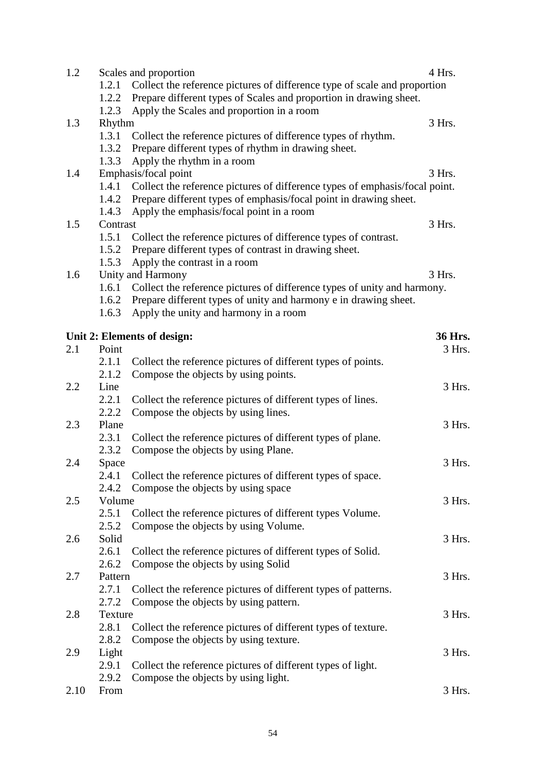| 1.2  |          | Scales and proportion                                                       | 4 Hrs.  |
|------|----------|-----------------------------------------------------------------------------|---------|
|      | 1.2.1    | Collect the reference pictures of difference type of scale and proportion   |         |
|      | 1.2.2    | Prepare different types of Scales and proportion in drawing sheet.          |         |
|      | 1.2.3    | Apply the Scales and proportion in a room                                   |         |
| 1.3  | Rhythm   |                                                                             | 3 Hrs.  |
|      | 1.3.1    | Collect the reference pictures of difference types of rhythm.               |         |
|      | 1.3.2    | Prepare different types of rhythm in drawing sheet.                         |         |
|      | 1.3.3    | Apply the rhythm in a room                                                  |         |
| 1.4  |          | Emphasis/focal point                                                        | 3 Hrs.  |
|      | 1.4.1    | Collect the reference pictures of difference types of emphasis/focal point. |         |
|      |          | 1.4.2 Prepare different types of emphasis/focal point in drawing sheet.     |         |
|      | 1.4.3    | Apply the emphasis/focal point in a room                                    |         |
| 1.5  | Contrast |                                                                             | 3 Hrs.  |
|      |          | 1.5.1 Collect the reference pictures of difference types of contrast.       |         |
|      | 1.5.2    | Prepare different types of contrast in drawing sheet.                       |         |
|      | 1.5.3    | Apply the contrast in a room                                                |         |
| 1.6  |          | Unity and Harmony                                                           | 3 Hrs.  |
|      | 1.6.1    | Collect the reference pictures of difference types of unity and harmony.    |         |
|      | 1.6.2    | Prepare different types of unity and harmony e in drawing sheet.            |         |
|      | 1.6.3    | Apply the unity and harmony in a room                                       |         |
|      |          |                                                                             |         |
|      |          | Unit 2: Elements of design:                                                 | 36 Hrs. |
| 2.1  | Point    |                                                                             | 3 Hrs.  |
|      | 2.1.1    | Collect the reference pictures of different types of points.                |         |
|      | 2.1.2    | Compose the objects by using points.                                        |         |
| 2.2  | Line     |                                                                             | 3 Hrs.  |
|      | 2.2.1    | Collect the reference pictures of different types of lines.                 |         |
|      | 2.2.2    | Compose the objects by using lines.                                         |         |
| 2.3  | Plane    |                                                                             | 3 Hrs.  |
|      | 2.3.1    | Collect the reference pictures of different types of plane.                 |         |
|      | 2.3.2    | Compose the objects by using Plane.                                         |         |
| 2.4  | Space    |                                                                             | 3 Hrs.  |
|      | 2.4.1    | Collect the reference pictures of different types of space.                 |         |
|      |          | 2.4.2 Compose the objects by using space                                    |         |
| 2.5  | Volume   |                                                                             | 3 Hrs.  |
|      | 2.5.1    | Collect the reference pictures of different types Volume.                   |         |
|      | 2.5.2    | Compose the objects by using Volume.                                        |         |
| 2.6  | Solid    |                                                                             | 3 Hrs.  |
|      | 2.6.1    | Collect the reference pictures of different types of Solid.                 |         |
|      | 2.6.2    | Compose the objects by using Solid                                          |         |
| 2.7  | Pattern  |                                                                             | 3 Hrs.  |
|      | 2.7.1    | Collect the reference pictures of different types of patterns.              |         |
|      | 2.7.2    | Compose the objects by using pattern.                                       |         |
| 2.8  | Texture  |                                                                             | 3 Hrs.  |
|      | 2.8.1    | Collect the reference pictures of different types of texture.               |         |
|      | 2.8.2    | Compose the objects by using texture.                                       |         |
| 2.9  | Light    |                                                                             | 3 Hrs.  |
|      | 2.9.1    | Collect the reference pictures of different types of light.                 |         |
|      | 2.9.2    | Compose the objects by using light.                                         |         |
| 2.10 | From     |                                                                             | 3 Hrs.  |
|      |          |                                                                             |         |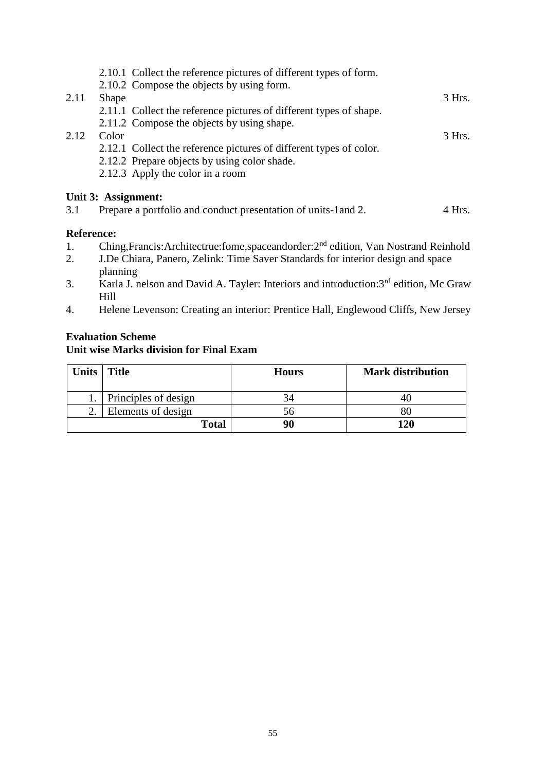| 2.10.1 Collect the reference pictures of different types of form.  |                     |
|--------------------------------------------------------------------|---------------------|
| 2.10.2 Compose the objects by using form.                          |                     |
| <b>Shape</b>                                                       | 3 Hrs.              |
| 2.11.1 Collect the reference pictures of different types of shape. |                     |
| 2.11.2 Compose the objects by using shape.                         |                     |
| Color                                                              | 3 Hrs.              |
| 2.12.1 Collect the reference pictures of different types of color. |                     |
| 2.12.2 Prepare objects by using color shade.                       |                     |
| 2.12.3 Apply the color in a room                                   |                     |
|                                                                    |                     |
|                                                                    |                     |
|                                                                    | Unit 3: Assignment: |

# 3.1 Prepare a portfolio and conduct presentation of units-1and 2. 4 Hrs.

# **Reference:**

- 1. Ching, Francis: Architectrue: fome, spaceandorder: 2<sup>nd</sup> edition, Van Nostrand Reinhold
- 2. J.De Chiara, Panero, Zelink: Time Saver Standards for interior design and space planning
- 3. Karla J. nelson and David A. Tayler: Interiors and introduction:3<sup>rd</sup> edition, Mc Graw Hill
- 4. Helene Levenson: Creating an interior: Prentice Hall, Englewood Cliffs, New Jersey

# **Evaluation Scheme Unit wise Marks division for Final Exam**

| Units   Title |                      | <b>Hours</b> | <b>Mark distribution</b> |
|---------------|----------------------|--------------|--------------------------|
|               | Principles of design |              |                          |
| $\gamma$      | Elements of design   | არ           |                          |
|               | <b>Total</b>         | 90           | 120                      |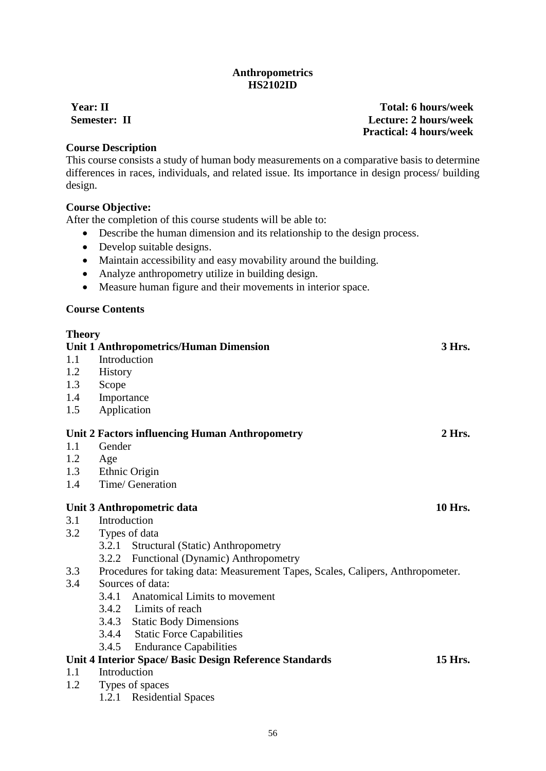# **Anthropometrics HS2102ID**

# **Year: II Total: 6 hours/week Semester: II Lecture: 2 hours/week Practical: 4 hours/week**

# **Course Description**

This course consists a study of human body measurements on a comparative basis to determine differences in races, individuals, and related issue. Its importance in design process/ building design.

# **Course Objective:**

After the completion of this course students will be able to:

- Describe the human dimension and its relationship to the design process.
- Develop suitable designs.
- Maintain accessibility and easy movability around the building.
- Analyze anthropometry utilize in building design.
- Measure human figure and their movements in interior space.

# **Course Contents**

| <b>Theory</b> |                                                                                 |          |
|---------------|---------------------------------------------------------------------------------|----------|
|               | <b>Unit 1 Anthropometrics/Human Dimension</b>                                   | 3 Hrs.   |
| 1.1           | Introduction                                                                    |          |
| 1.2           | <b>History</b>                                                                  |          |
| 1.3           | Scope                                                                           |          |
| 1.4           | Importance                                                                      |          |
| 1.5           | Application                                                                     |          |
|               | Unit 2 Factors influencing Human Anthropometry                                  | $2$ Hrs. |
| 1.1           | Gender                                                                          |          |
| 1.2           | Age                                                                             |          |
| 1.3           | Ethnic Origin                                                                   |          |
| 1.4           | Time/ Generation                                                                |          |
|               | <b>10 Hrs.</b><br>Unit 3 Anthropometric data                                    |          |
| 3.1           | Introduction                                                                    |          |
| 3.2           | Types of data                                                                   |          |
|               | <b>Structural (Static) Anthropometry</b><br>3.2.1                               |          |
|               | 3.2.2 Functional (Dynamic) Anthropometry                                        |          |
| 3.3           | Procedures for taking data: Measurement Tapes, Scales, Calipers, Anthropometer. |          |
| 3.4           | Sources of data:                                                                |          |
|               | 3.4.1 Anatomical Limits to movement                                             |          |
|               | 3.4.2 Limits of reach                                                           |          |
|               | 3.4.3 Static Body Dimensions                                                    |          |
|               | 3.4.4 Static Force Capabilities                                                 |          |
|               | 3.4.5 Endurance Capabilities                                                    |          |
|               | 15 Hrs.<br>Unit 4 Interior Space/ Basic Design Reference Standards              |          |
| 1.1           | Introduction                                                                    |          |
| 1.2           | Types of spaces                                                                 |          |
|               | 1.2.1<br><b>Residential Spaces</b>                                              |          |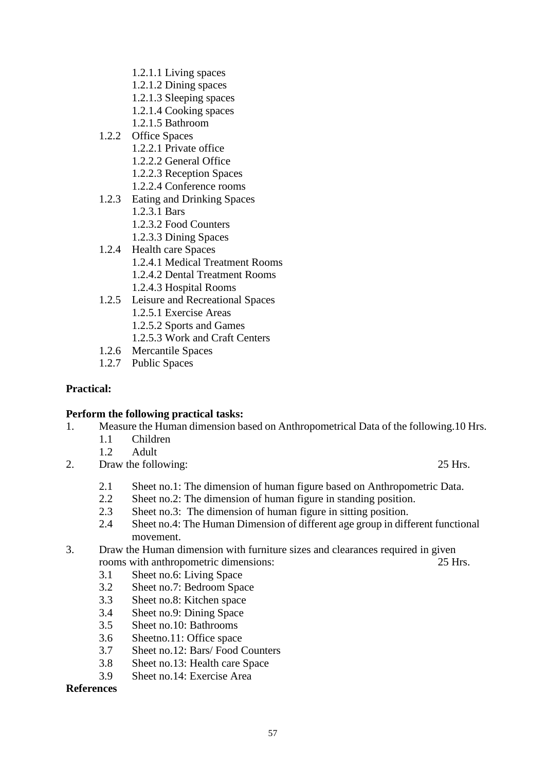- 1.2.1.1 Living spaces
- 1.2.1.2 Dining spaces
- 1.2.1.3 Sleeping spaces
- 1.2.1.4 Cooking spaces
- 1.2.1.5 Bathroom
- 1.2.2 Office Spaces
	- 1.2.2.1 Private office
	- 1.2.2.2 General Office
	- 1.2.2.3 Reception Spaces
	- 1.2.2.4 Conference rooms
- 1.2.3 Eating and Drinking Spaces
	- 1.2.3.1 Bars
	- 1.2.3.2 Food Counters
	- 1.2.3.3 Dining Spaces
- 1.2.4 Health care Spaces
	- 1.2.4.1 Medical Treatment Rooms
	- 1.2.4.2 Dental Treatment Rooms
	- 1.2.4.3 Hospital Rooms
- 1.2.5 Leisure and Recreational Spaces
	- 1.2.5.1 Exercise Areas
	- 1.2.5.2 Sports and Games
	- 1.2.5.3 Work and Craft Centers
- 1.2.6 Mercantile Spaces
- 1.2.7 Public Spaces

# **Practical:**

# **Perform the following practical tasks:**

- 1. Measure the Human dimension based on Anthropometrical Data of the following.10 Hrs.
	- 1.1 Children
	- 1.2 Adult
- 2. Draw the following: 25 Hrs.
	- 2.1 Sheet no.1: The dimension of human figure based on Anthropometric Data.
	- 2.2 Sheet no.2: The dimension of human figure in standing position.
	- 2.3 Sheet no.3: The dimension of human figure in sitting position.
	- 2.4 Sheet no.4: The Human Dimension of different age group in different functional movement.
- 3. Draw the Human dimension with furniture sizes and clearances required in given rooms with anthropometric dimensions: 25 Hrs.
	- 3.1 Sheet no.6: Living Space
	- 3.2 Sheet no.7: Bedroom Space
	- 3.3 Sheet no.8: Kitchen space
	- 3.4 Sheet no.9: Dining Space
	- 3.5 Sheet no.10: Bathrooms
	- 3.6 Sheetno.11: Office space
	- 3.7 Sheet no.12: Bars/ Food Counters
	- 3.8 Sheet no.13: Health care Space
	- 3.9 Sheet no.14: Exercise Area

#### **References**

57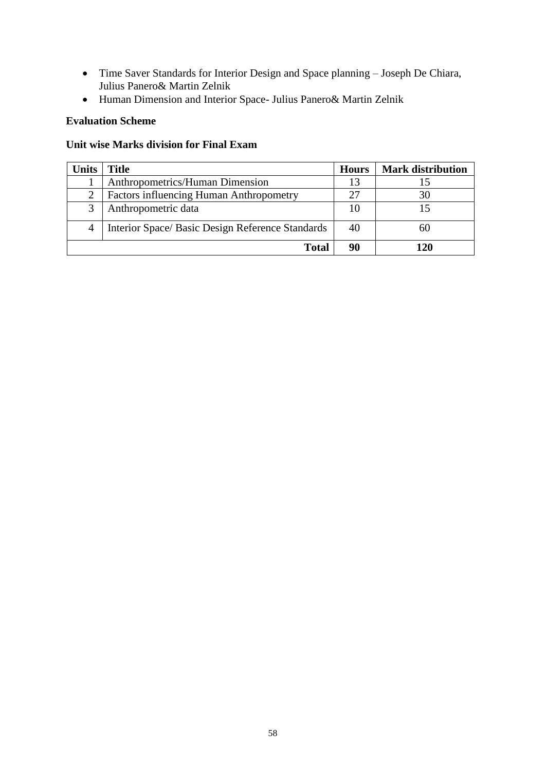- Time Saver Standards for Interior Design and Space planning Joseph De Chiara, Julius Panero& Martin Zelnik
- Human Dimension and Interior Space- Julius Panero& Martin Zelnik

# **Evaluation Scheme**

| <b>Units</b> | <b>Title</b>                                     | <b>Hours</b> | <b>Mark distribution</b> |
|--------------|--------------------------------------------------|--------------|--------------------------|
|              | Anthropometrics/Human Dimension                  | 13           |                          |
|              | <b>Factors influencing Human Anthropometry</b>   | 27           | 30                       |
|              | Anthropometric data                              | 10           |                          |
| 4            | Interior Space/ Basic Design Reference Standards | 40           | 60                       |
|              | Total                                            | 90           | 20                       |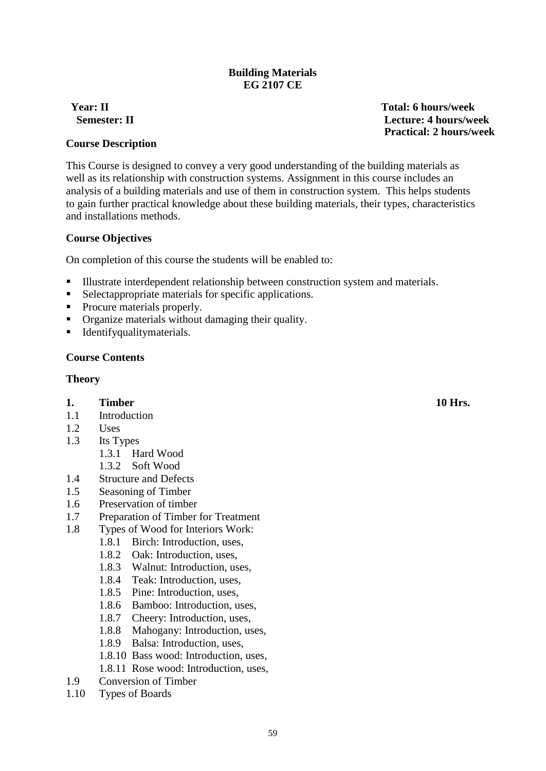# **Building Materials EG 2107 CE**

# *Course Description*

 $\frac{1}{2}$ This Course is designed to convey a very good understanding of the building materials as well as its relationship with construction systems. Assignment in this course includes an analysis of a building materials and use of them in construction system. This helps students to gain further practical knowledge about these building materials, their types, characteristics and installations methods.

# **Course Objectives**

On completion of this course the students will be enabled to:

- Illustrate interdependent relationship between construction system and materials.
- Selectappropriate materials for specific applications.
- Procure materials properly.
- Organize materials without damaging their quality.
- Identifyqualitymaterials.

#### **Course Contents**

#### **Theory**

# **1. Timber 10 Hrs.**

- 1.1 Introduction
- 1.2 Uses
- 1.3 Its Types
	- 1.3.1 Hard Wood
	- 1.3.2 Soft Wood
- 1.4 Structure and Defects
- 1.5 Seasoning of Timber
- 1.6 Preservation of timber
- 1.7 Preparation of Timber for Treatment
- 1.8 Types of Wood for Interiors Work:
	- 1.8.1 Birch: Introduction, uses,
		- 1.8.2 Oak: Introduction, uses,
		- 1.8.3 Walnut: Introduction, uses,
		- 1.8.4 Teak: Introduction, uses,
		- 1.8.5 Pine: Introduction, uses,
		- 1.8.6 Bamboo: Introduction, uses,
		- 1.8.7 Cheery: Introduction, uses,
		- 1.8.8 Mahogany: Introduction, uses,
		- 1.8.9 Balsa: Introduction, uses,
		- 1.8.10 Bass wood: Introduction, uses,
		- 1.8.11 Rose wood: Introduction, uses,
- 1.9 Conversion of Timber
- 1.10 Types of Boards

**Year: II Total: 6 hours/week Semester: II Total: 6 hours/week Total: 6 hours/week Total: 6 hours/week Total: 6 hours/week Practical: 2 hours/week**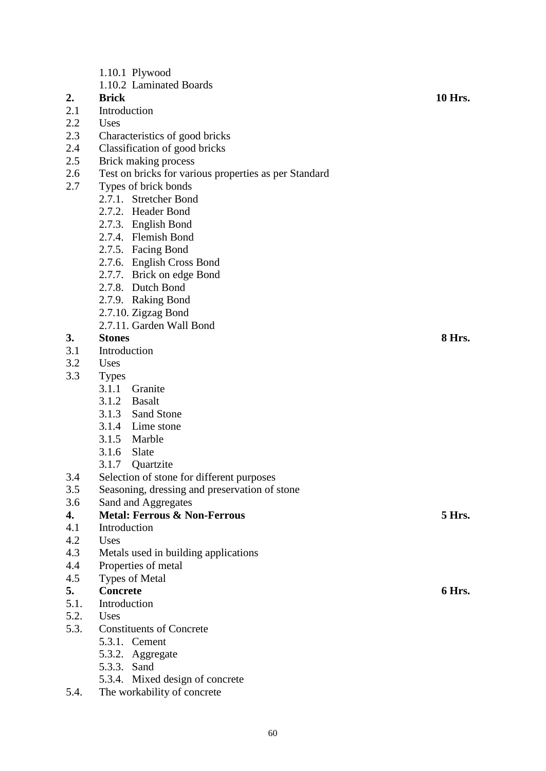1.10.1 Plywood

1.10.2 Laminated Boards

# **2. Brick 10 Hrs.**

- 2.1 Introduction
- 2.2 Uses
- 2.3 Characteristics of good bricks
- 2.4 Classification of good bricks
- 2.5 Brick making process
- 2.6 Test on bricks for various properties as per Standard
- 2.7 Types of brick bonds
	- 2.7.1. Stretcher Bond
	- 2.7.2. Header Bond
	- 2.7.3. English Bond
	- 2.7.4. Flemish Bond
	- 2.7.5. Facing Bond
	- 2.7.6. English Cross Bond
	- 2.7.7. Brick on edge Bond
	- 2.7.8. Dutch Bond
	- 2.7.9. Raking Bond
	- 2.7.10. Zigzag Bond
	- 2.7.11. Garden Wall Bond

# **3. Stones 8 Hrs.**

- 3.1 Introduction
- 3.2 Uses
- 3.3 Types
	- 3.1.1 Granite
	- 3.1.2 Basalt
	- 3.1.3 Sand Stone
	- 3.1.4 Lime stone
	- 3.1.5 Marble
	- 3.1.6 Slate
	- 3.1.7 Quartzite
- 3.4 Selection of stone for different purposes
- 3.5 Seasoning, dressing and preservation of stone
- 3.6 Sand and Aggregates

# **4. Metal: Ferrous & Non-Ferrous 5 Hrs.**

- 4.1 Introduction
- 4.2 Uses
- 4.3 Metals used in building applications
- 4.4 Properties of metal
- 4.5 Types of Metal

#### **5. Concrete 6 Hrs.**

- 5.1. Introduction
- 5.2. Uses
- 5.3. Constituents of Concrete
	- 5.3.1. Cement
		- 5.3.2. Aggregate
		- 5.3.3. Sand
		- 5.3.4. Mixed design of concrete
- 5.4. The workability of concrete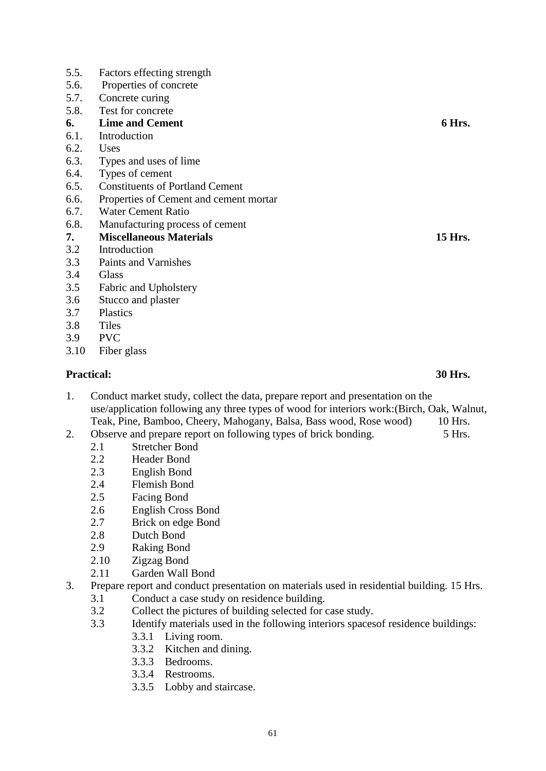- 5.5. Factors effecting strength
- 5.6. Properties of concrete
- 5.7. Concrete curing
- 5.8. Test for concrete
- **6. Lime and Cement 6 Hrs.**
- 6.1. Introduction
- 6.2. Uses
- 6.3. Types and uses of lime
- 6.4. Types of cement
- 6.5. Constituents of Portland Cement
- 6.6. Properties of Cement and cement mortar
- 6.7. Water Cement Ratio
- 6.8. Manufacturing process of cement

# **7. Miscellaneous Materials 15 Hrs.**

- 3.2 Introduction
- 3.3 Paints and Varnishes
- 3.4 Glass
- 3.5 Fabric and Upholstery
- 3.6 Stucco and plaster
- 3.7 Plastics
- 3.8 Tiles
- 3.9 PVC
- 3.10 Fiber glass

# **Practical: 30 Hrs.**

- 1. Conduct market study, collect the data, prepare report and presentation on the use/application following any three types of wood for interiors work:(Birch, Oak, Walnut, Teak, Pine, Bamboo, Cheery, Mahogany, Balsa, Bass wood, Rose wood) 10 Hrs.
- 2. Observe and prepare report on following types of brick bonding. 5 Hrs.
	- 2.1 Stretcher Bond
	- 2.2 Header Bond
	- 2.3 English Bond
	- 2.4 Flemish Bond
	- 2.5 Facing Bond
	- 2.6 English Cross Bond
	- 2.7 Brick on edge Bond
	- 2.8 Dutch Bond
	- 2.9 Raking Bond
	- 2.10 Zigzag Bond
	- 2.11 Garden Wall Bond
- 3. Prepare report and conduct presentation on materials used in residential building. 15 Hrs.
	- 3.1 Conduct a case study on residence building.
	- 3.2 Collect the pictures of building selected for case study.
	- 3.3 Identify materials used in the following interiors spacesof residence buildings:
		- 3.3.1 Living room.
			- 3.3.2 Kitchen and dining.
			- 3.3.3 Bedrooms.
			- 3.3.4 Restrooms.
			- 3.3.5 Lobby and staircase.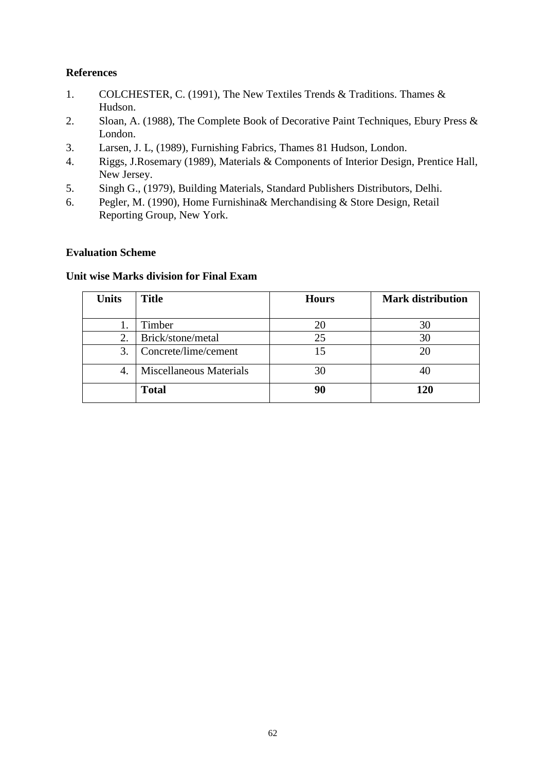# **References**

- 1. COLCHESTER, C. (1991), The New Textiles Trends & Traditions. Thames & Hudson.
- 2. Sloan, A. (1988), The Complete Book of Decorative Paint Techniques, Ebury Press & London.
- 3. Larsen, J. L, (1989), Furnishing Fabrics, Thames 81 Hudson, London.
- 4. Riggs, J.Rosemary (1989), Materials & Components of Interior Design, Prentice Hall, New Jersey.
- 5. Singh G., (1979), Building Materials, Standard Publishers Distributors, Delhi.
- 6. Pegler, M. (1990), Home Furnishina& Merchandising & Store Design, Retail Reporting Group, New York.

# **Evaluation Scheme**

| <b>Units</b> | <b>Title</b>                   | <b>Hours</b> | <b>Mark distribution</b> |
|--------------|--------------------------------|--------------|--------------------------|
|              |                                |              |                          |
| 1.           | Timber                         | 20           | 30                       |
|              | Brick/stone/metal              | 25           | 30                       |
| 3.           | Concrete/lime/cement           | 15           | 20                       |
| 4.           | <b>Miscellaneous Materials</b> | 30           | 40                       |
|              | <b>Total</b>                   | 90           | 120                      |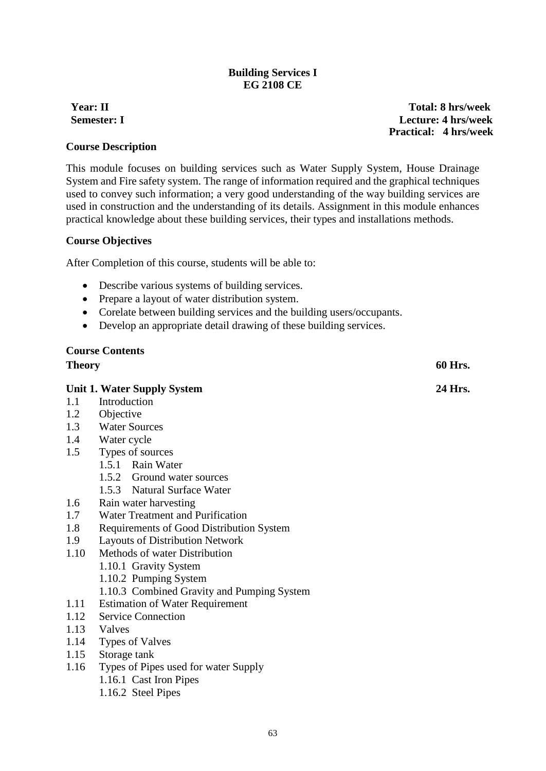# **Building Services I EG 2108 CE**

# **Semester: I**

**Year: II Total: 8 hrs/week Practical: 4 hrs/week Semester: I Lecture: 4 hrs/week**

# **Course Description**

This module focuses on building services such as Water Supply System, House Drainage System and Fire safety system. The range of information required and the graphical techniques used to convey such information; a very good understanding of the way building services are used in construction and the understanding of its details. Assignment in this module enhances practical knowledge about these building services, their types and installations methods.

#### **Course Objectives**

After Completion of this course, students will be able to:

- Describe various systems of building services.
- Prepare a layout of water distribution system.
- Corelate between building services and the building users/occupants.
- Develop an appropriate detail drawing of these building services.

| <b>60 Hrs.</b><br><b>Theory</b><br><b>Unit 1. Water Supply System</b><br>24 Hrs.<br>Introduction<br>1.1 |  |
|---------------------------------------------------------------------------------------------------------|--|
|                                                                                                         |  |
|                                                                                                         |  |
|                                                                                                         |  |
| 1.2<br>Objective                                                                                        |  |
| <b>Water Sources</b><br>1.3                                                                             |  |
| 1.4<br>Water cycle                                                                                      |  |
| Types of sources<br>1.5                                                                                 |  |
| 1.5.1 Rain Water                                                                                        |  |
| 1.5.2 Ground water sources                                                                              |  |
| 1.5.3 Natural Surface Water                                                                             |  |
| Rain water harvesting<br>1.6                                                                            |  |
| Water Treatment and Purification<br>1.7                                                                 |  |
| Requirements of Good Distribution System<br>1.8                                                         |  |
| <b>Layouts of Distribution Network</b><br>1.9                                                           |  |
| Methods of water Distribution<br>1.10                                                                   |  |
| 1.10.1 Gravity System                                                                                   |  |
| 1.10.2 Pumping System                                                                                   |  |
| 1.10.3 Combined Gravity and Pumping System                                                              |  |
| <b>Estimation of Water Requirement</b><br>1.11                                                          |  |
| <b>Service Connection</b><br>1.12                                                                       |  |
| 1.13<br>Valves                                                                                          |  |
| 1.14<br><b>Types of Valves</b>                                                                          |  |
| 1.15<br>Storage tank                                                                                    |  |
| Types of Pipes used for water Supply<br>1.16                                                            |  |
| 1.16.1 Cast Iron Pipes                                                                                  |  |
| 1.16.2 Steel Pipes                                                                                      |  |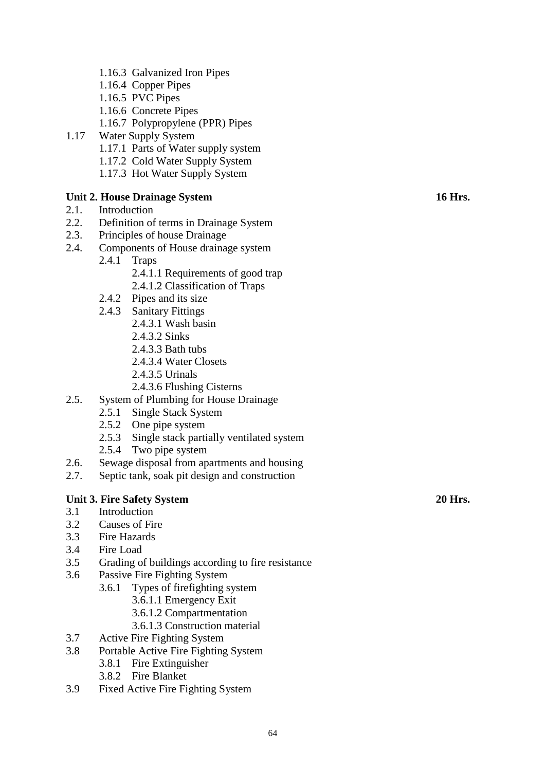- 1.16.3 Galvanized Iron Pipes
- 1.16.4 Copper Pipes
- 1.16.5 PVC Pipes
- 1.16.6 Concrete Pipes
- 1.16.7 Polypropylene (PPR) Pipes
- 1.17 Water Supply System
	- 1.17.1 Parts of Water supply system
	- 1.17.2 Cold Water Supply System
	- 1.17.3 Hot Water Supply System

# **Unit 2. House Drainage System 16 Hrs.**

- 2.1. Introduction
- 2.2. Definition of terms in Drainage System
- 2.3. Principles of house Drainage
- 2.4. Components of House drainage system
	- 2.4.1 Traps
		- 2.4.1.1 Requirements of good trap
		- 2.4.1.2 Classification of Traps
	- 2.4.2 Pipes and its size
	- 2.4.3 Sanitary Fittings
		- 2.4.3.1 Wash basin
		- 2.4.3.2 Sinks
		- 2.4.3.3 Bath tubs
		- 2.4.3.4 Water Closets
		- 2.4.3.5 Urinals
		- 2.4.3.6 Flushing Cisterns
- 2.5. System of Plumbing for House Drainage
	- 2.5.1 Single Stack System
		- 2.5.2 One pipe system
		- 2.5.3 Single stack partially ventilated system
		- 2.5.4 Two pipe system
- 2.6. Sewage disposal from apartments and housing
- 2.7. Septic tank, soak pit design and construction

# **Unit 3. Fire Safety System 20 Hrs.**

- 3.1 Introduction
- 3.2 Causes of Fire
- 3.3 Fire Hazards
- 3.4 Fire Load
- 3.5 Grading of buildings according to fire resistance
- 3.6 Passive Fire Fighting System
	- 3.6.1 Types of firefighting system
		- 3.6.1.1 Emergency Exit
		- 3.6.1.2 Compartmentation
		- 3.6.1.3 Construction material
- 3.7 Active Fire Fighting System
- 3.8 Portable Active Fire Fighting System
	- 3.8.1 Fire Extinguisher
	- 3.8.2 Fire Blanket
- 3.9 Fixed Active Fire Fighting System

64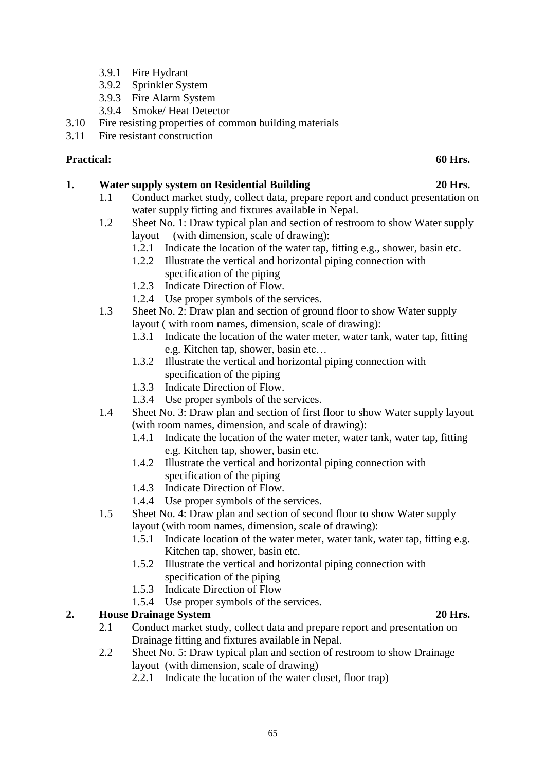- 3.9.1 Fire Hydrant
- 3.9.2 Sprinkler System
- 3.9.3 Fire Alarm System
- 3.9.4 Smoke/ Heat Detector
- 3.10 Fire resisting properties of common building materials
- 3.11 Fire resistant construction

# **Practical: 60 Hrs.**

# **1. Water supply system on Residential Building 20 Hrs.**

- 1.1 Conduct market study, collect data, prepare report and conduct presentation on water supply fitting and fixtures available in Nepal.
- 1.2 Sheet No. 1: Draw typical plan and section of restroom to show Water supply layout (with dimension, scale of drawing):
	- 1.2.1 Indicate the location of the water tap, fitting e.g., shower, basin etc.
	- 1.2.2 Illustrate the vertical and horizontal piping connection with specification of the piping
	- 1.2.3 Indicate Direction of Flow.
	- 1.2.4 Use proper symbols of the services.
- 1.3 Sheet No. 2: Draw plan and section of ground floor to show Water supply layout ( with room names, dimension, scale of drawing):
	- 1.3.1 Indicate the location of the water meter, water tank, water tap, fitting e.g. Kitchen tap, shower, basin etc…
	- 1.3.2 Illustrate the vertical and horizontal piping connection with specification of the piping
	- 1.3.3 Indicate Direction of Flow.
	- 1.3.4 Use proper symbols of the services.
- 1.4 Sheet No. 3: Draw plan and section of first floor to show Water supply layout (with room names, dimension, and scale of drawing):
	- 1.4.1 Indicate the location of the water meter, water tank, water tap, fitting e.g. Kitchen tap, shower, basin etc.
	- 1.4.2 Illustrate the vertical and horizontal piping connection with specification of the piping
	- 1.4.3 Indicate Direction of Flow.
	- 1.4.4 Use proper symbols of the services.
- 1.5 Sheet No. 4: Draw plan and section of second floor to show Water supply layout (with room names, dimension, scale of drawing):
	- 1.5.1 Indicate location of the water meter, water tank, water tap, fitting e.g. Kitchen tap, shower, basin etc.
	- 1.5.2 Illustrate the vertical and horizontal piping connection with specification of the piping
	- 1.5.3 Indicate Direction of Flow
	- 1.5.4 Use proper symbols of the services.

# **2. House Drainage System 20 Hrs.**

- 2.1 Conduct market study, collect data and prepare report and presentation on Drainage fitting and fixtures available in Nepal.
- 2.2 Sheet No. 5: Draw typical plan and section of restroom to show Drainage layout (with dimension, scale of drawing)
	- 2.2.1 Indicate the location of the water closet, floor trap)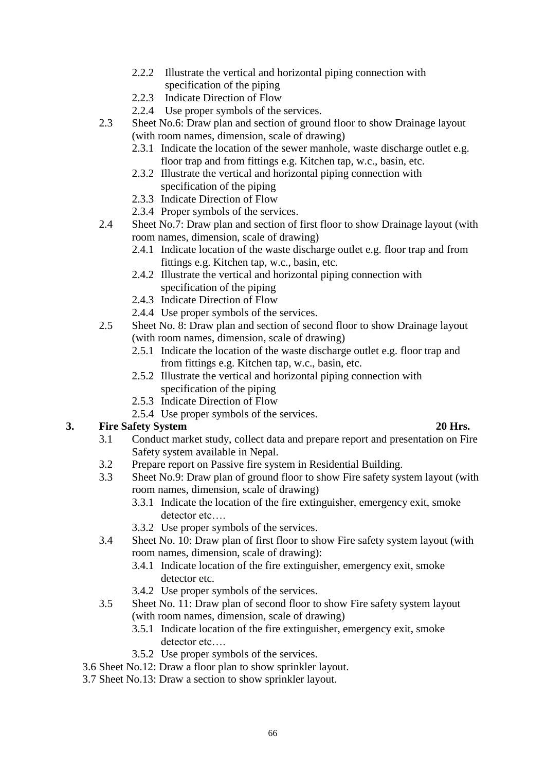- 2.2.2 Illustrate the vertical and horizontal piping connection with specification of the piping
- 2.2.3 Indicate Direction of Flow
- 2.2.4 Use proper symbols of the services.
- 2.3 Sheet No.6: Draw plan and section of ground floor to show Drainage layout (with room names, dimension, scale of drawing)
	- 2.3.1 Indicate the location of the sewer manhole, waste discharge outlet e.g. floor trap and from fittings e.g. Kitchen tap, w.c., basin, etc.
	- 2.3.2 Illustrate the vertical and horizontal piping connection with specification of the piping
	- 2.3.3 Indicate Direction of Flow
	- 2.3.4 Proper symbols of the services.
- 2.4 Sheet No.7: Draw plan and section of first floor to show Drainage layout (with room names, dimension, scale of drawing)
	- 2.4.1 Indicate location of the waste discharge outlet e.g. floor trap and from fittings e.g. Kitchen tap, w.c., basin, etc.
	- 2.4.2 Illustrate the vertical and horizontal piping connection with specification of the piping
	- 2.4.3 Indicate Direction of Flow
	- 2.4.4 Use proper symbols of the services.
- 2.5 Sheet No. 8: Draw plan and section of second floor to show Drainage layout (with room names, dimension, scale of drawing)
	- 2.5.1 Indicate the location of the waste discharge outlet e.g. floor trap and from fittings e.g. Kitchen tap, w.c., basin, etc.
	- 2.5.2 Illustrate the vertical and horizontal piping connection with specification of the piping
	- 2.5.3 Indicate Direction of Flow
	- 2.5.4 Use proper symbols of the services.

# **3. Fire Safety System 20 Hrs.**

- 3.1 Conduct market study, collect data and prepare report and presentation on Fire Safety system available in Nepal.
- 3.2 Prepare report on Passive fire system in Residential Building.
- 3.3 Sheet No.9: Draw plan of ground floor to show Fire safety system layout (with room names, dimension, scale of drawing)
	- 3.3.1 Indicate the location of the fire extinguisher, emergency exit, smoke detector etc….
	- 3.3.2 Use proper symbols of the services.
- 3.4 Sheet No. 10: Draw plan of first floor to show Fire safety system layout (with room names, dimension, scale of drawing):
	- 3.4.1 Indicate location of the fire extinguisher, emergency exit, smoke detector etc.
	- 3.4.2 Use proper symbols of the services.
- 3.5 Sheet No. 11: Draw plan of second floor to show Fire safety system layout (with room names, dimension, scale of drawing)
	- 3.5.1 Indicate location of the fire extinguisher, emergency exit, smoke detector etc….
	- 3.5.2 Use proper symbols of the services.
- 3.6 Sheet No.12: Draw a floor plan to show sprinkler layout.
- 3.7 Sheet No.13: Draw a section to show sprinkler layout.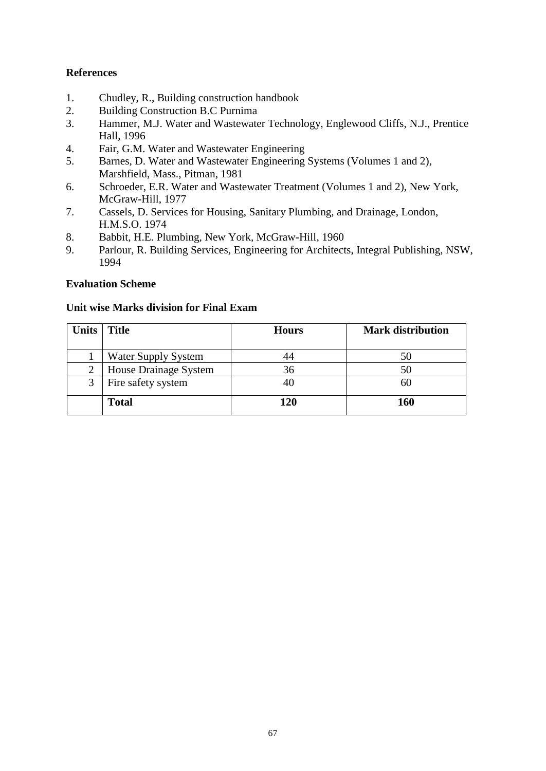# **References**

- 1. Chudley, R., Building construction handbook
- 2. Building Construction B.C Purnima
- 3. Hammer, M.J. Water and Wastewater Technology, Englewood Cliffs, N.J., Prentice Hall, 1996
- 4. Fair, G.M. Water and Wastewater Engineering
- 5. Barnes, D. Water and Wastewater Engineering Systems (Volumes 1 and 2), Marshfield, Mass., Pitman, 1981
- 6. Schroeder, E.R. Water and Wastewater Treatment (Volumes 1 and 2), New York, McGraw-Hill, 1977
- 7. Cassels, D. Services for Housing, Sanitary Plumbing, and Drainage, London, H.M.S.O. 1974
- 8. Babbit, H.E. Plumbing, New York, McGraw-Hill, 1960
- 9. Parlour, R. Building Services, Engineering for Architects, Integral Publishing, NSW, 1994

# **Evaluation Scheme**

| <b>Units</b>   | <b>Title</b>               | <b>Hours</b> | <b>Mark distribution</b> |
|----------------|----------------------------|--------------|--------------------------|
|                |                            |              |                          |
|                | <b>Water Supply System</b> |              | 50                       |
| $\overline{2}$ | House Drainage System      | 36           | 50                       |
|                | Fire safety system         |              | hl.                      |
|                | <b>Total</b>               | 120          | 160                      |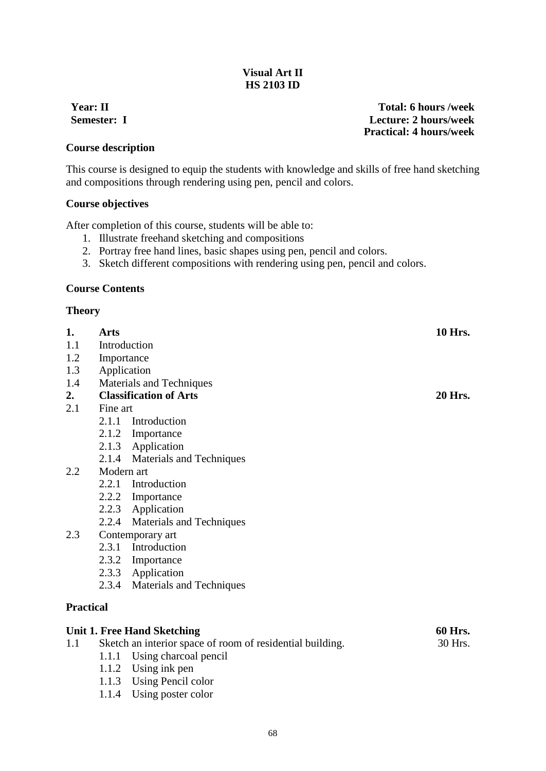# **Visual Art II HS 2103 ID**

**Year: II Total: 6 hours /week Semester: I Lecture: 2 hours/week Practical: 4 hours/week**

# **Course description**

This course is designed to equip the students with knowledge and skills of free hand sketching and compositions through rendering using pen, pencil and colors.

#### **Course objectives**

After completion of this course, students will be able to:

- 1. Illustrate freehand sketching and compositions
- 2. Portray free hand lines, basic shapes using pen, pencil and colors.
- 3. Sketch different compositions with rendering using pen, pencil and colors.

#### **Course Contents**

#### **Theory**

| 1.               | Arts                               |                                                              | <b>10 Hrs.</b> |  |
|------------------|------------------------------------|--------------------------------------------------------------|----------------|--|
| 1.1              | Introduction                       |                                                              |                |  |
| 1.2              | Importance                         |                                                              |                |  |
| 1.3              | Application                        |                                                              |                |  |
| 1.4              |                                    | Materials and Techniques                                     |                |  |
| 2.               |                                    | <b>Classification of Arts</b>                                | <b>20 Hrs.</b> |  |
| 2.1              | Fine art                           |                                                              |                |  |
|                  |                                    | 2.1.1 Introduction                                           |                |  |
|                  |                                    | 2.1.2 Importance                                             |                |  |
|                  |                                    | 2.1.3 Application                                            |                |  |
|                  |                                    | 2.1.4 Materials and Techniques                               |                |  |
| 2.2              | Modern art                         |                                                              |                |  |
|                  |                                    | 2.2.1 Introduction                                           |                |  |
|                  |                                    | 2.2.2 Importance                                             |                |  |
|                  |                                    | 2.2.3 Application                                            |                |  |
|                  |                                    | 2.2.4 Materials and Techniques                               |                |  |
| 2.3              | Contemporary art                   |                                                              |                |  |
|                  |                                    | 2.3.1 Introduction                                           |                |  |
|                  |                                    | 2.3.2 Importance                                             |                |  |
|                  |                                    | 2.3.3 Application                                            |                |  |
|                  |                                    | 2.3.4 Materials and Techniques                               |                |  |
| <b>Practical</b> |                                    |                                                              |                |  |
|                  |                                    |                                                              | <b>60 Hrs.</b> |  |
|                  | <b>Unit 1. Free Hand Sketching</b> |                                                              |                |  |
| 1.1              |                                    | Sketch an interior space of room of residential building.    | 30 Hrs.        |  |
|                  |                                    | 1.1.1 Using charcoal pencil                                  |                |  |
|                  |                                    | 1.1.2 Using ink pen<br>$110 \text{ H}^+$ $\overline{D}$ $11$ |                |  |
|                  |                                    |                                                              |                |  |

- 1.1.3 Using Pencil color 1.1.4 Using poster color
	-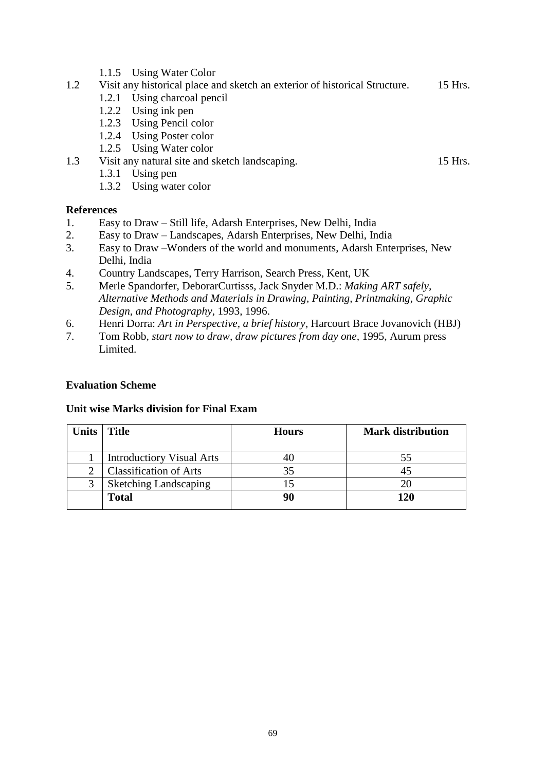1.1.5 Using Water Color

# 1.2 Visit any historical place and sketch an exterior of historical Structure. 15 Hrs.

- 1.2.1 Using charcoal pencil
- 1.2.2 Using ink pen
- 1.2.3 Using Pencil color
- 1.2.4 Using Poster color
- 1.2.5 Using Water color
- 1.3 Visit any natural site and sketch landscaping. 15 Hrs.
	- 1.3.1 Using pen
	- 1.3.2 Using water color

# **References**

- 1. Easy to Draw Still life, Adarsh Enterprises, New Delhi, India
- 2. Easy to Draw Landscapes, Adarsh Enterprises, New Delhi, India
- 3. Easy to Draw –Wonders of the world and monuments, Adarsh Enterprises, New Delhi, India
- 4. Country Landscapes, Terry Harrison, Search Press, Kent, UK
- 5. Merle Spandorfer, DeborarCurtisss, Jack Snyder M.D.: *Making ART safely, Alternative Methods and Materials in Drawing, Painting, Printmaking, Graphic Design, and Photography*, 1993, 1996.
- 6. Henri Dorra: *Art in Perspective, a brief history*, Harcourt Brace Jovanovich (HBJ)
- 7. Tom Robb*, start now to draw, draw pictures from day one,* 1995, Aurum press Limited.

# **Evaluation Scheme**

| <b>Units</b> | Title                            | <b>Hours</b> | <b>Mark distribution</b> |
|--------------|----------------------------------|--------------|--------------------------|
|              | <b>Introductiory Visual Arts</b> |              |                          |
|              | <b>Classification of Arts</b>    |              |                          |
| 3            | <b>Sketching Landscaping</b>     |              |                          |
|              | <b>Total</b>                     | 90           | 120                      |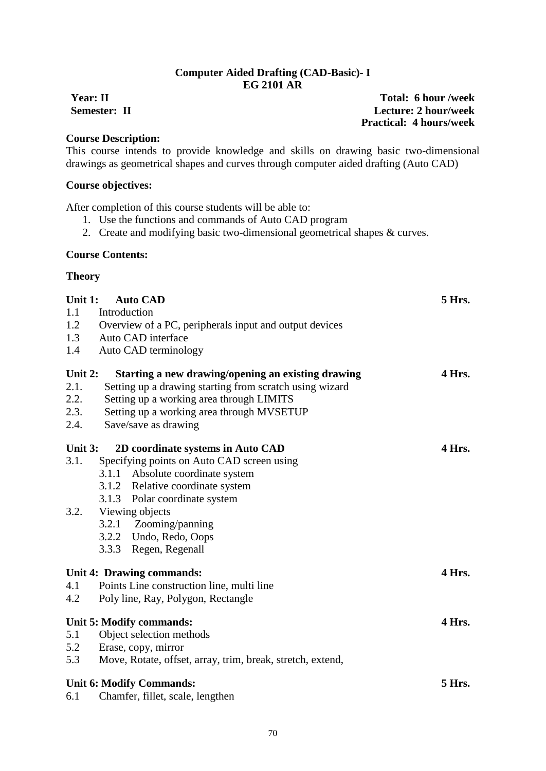#### **Computer Aided Drafting (CAD-Basic)- I EG 2101 AR**

#### **Course Description:**

This course intends to provide knowledge and skills on drawing basic two-dimensional drawings as geometrical shapes and curves through computer aided drafting (Auto CAD)

#### **Course objectives:**

After completion of this course students will be able to:

- 1. Use the functions and commands of Auto CAD program
- 2. Create and modifying basic two-dimensional geometrical shapes & curves.

#### **Course Contents:**

#### **Theory**

| Unit 1:   | <b>Auto CAD</b>                                            | <b>5 Hrs.</b> |
|-----------|------------------------------------------------------------|---------------|
| 1.1       | Introduction                                               |               |
| 1.2       | Overview of a PC, peripherals input and output devices     |               |
| 1.3       | Auto CAD interface                                         |               |
| 1.4       | Auto CAD terminology                                       |               |
| Unit 2:   | Starting a new drawing/opening an existing drawing         | 4 Hrs.        |
| 2.1.      | Setting up a drawing starting from scratch using wizard    |               |
| 2.2.      | Setting up a working area through LIMITS                   |               |
| 2.3.      | Setting up a working area through MVSETUP                  |               |
| 2.4.      | Save/save as drawing                                       |               |
| Unit $3:$ | 2D coordinate systems in Auto CAD                          | 4 Hrs.        |
| 3.1.      | Specifying points on Auto CAD screen using                 |               |
|           | 3.1.1 Absolute coordinate system                           |               |
|           | 3.1.2 Relative coordinate system                           |               |
|           | 3.1.3 Polar coordinate system                              |               |
| 3.2.      | Viewing objects                                            |               |
|           | 3.2.1 Zooming/panning                                      |               |
|           | 3.2.2 Undo, Redo, Oops                                     |               |
|           | 3.3.3 Regen, Regenall                                      |               |
|           | Unit 4: Drawing commands:                                  | 4 Hrs.        |
| 4.1       | Points Line construction line, multi line                  |               |
| 4.2       | Poly line, Ray, Polygon, Rectangle                         |               |
|           | Unit 5: Modify commands:                                   | 4 Hrs.        |
| 5.1       | Object selection methods                                   |               |
| 5.2       | Erase, copy, mirror                                        |               |
| 5.3       | Move, Rotate, offset, array, trim, break, stretch, extend, |               |
|           | <b>Unit 6: Modify Commands:</b>                            | 5 Hrs.        |
| 6.1       | Chamfer, fillet, scale, lengthen                           |               |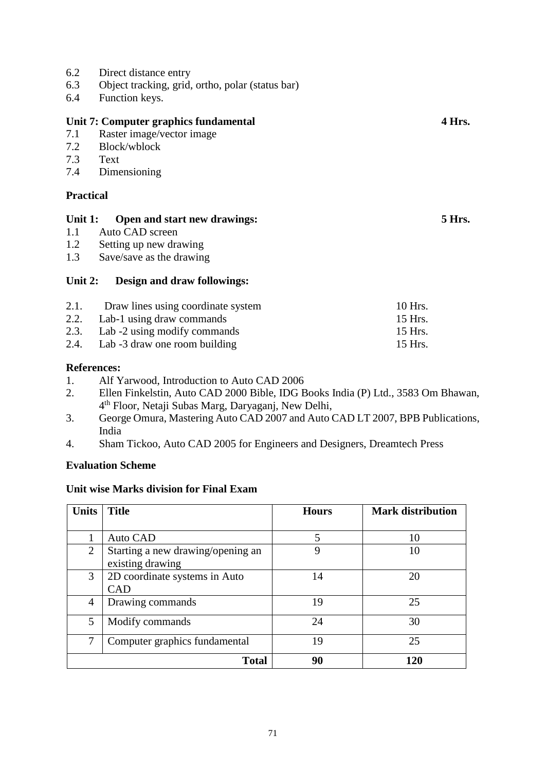- 6.2 Direct distance entry
- 6.3 Object tracking, grid, ortho, polar (status bar)
- 6.4 Function keys.

# **Unit 7: Computer graphics fundamental 4 Hrs.**

- 7.1 Raster image/vector image<br>7.2 Block/wblock
- 7.2 Block/wblock<br>7.3 Text
- Text.
- 7.4 Dimensioning

# **Practical**

### **Unit 1: Open and start new drawings: 5 Hrs.**

- 1.1 Auto CAD screen
- 1.2 Setting up new drawing
- 1.3 Save/save as the drawing

### **Unit 2: Design and draw followings:**

| 2.1. Draw lines using coordinate system | 10 Hrs.  |
|-----------------------------------------|----------|
| 2.2. Lab-1 using draw commands          | 15 Hrs.  |
| 2.3. Lab -2 using modify commands       | -15 Hrs. |
| 2.4. Lab -3 draw one room building      | -15 Hrs. |

#### **References:**

- 1. Alf Yarwood, Introduction to Auto CAD 2006
- 2. Ellen Finkelstin, Auto CAD 2000 Bible, IDG Books India (P) Ltd., 3583 Om Bhawan, 4 th Floor, Netaji Subas Marg, Daryaganj, New Delhi,
- 3. George Omura, Mastering Auto CAD 2007 and Auto CAD LT 2007, BPB Publications, India
- 4. Sham Tickoo, Auto CAD 2005 for Engineers and Designers, Dreamtech Press

#### **Evaluation Scheme**

| <b>Units</b> | <b>Title</b>                                          | <b>Hours</b> | <b>Mark distribution</b> |
|--------------|-------------------------------------------------------|--------------|--------------------------|
|              |                                                       |              |                          |
|              | Auto CAD                                              | 5            | 10                       |
| 2            | Starting a new drawing/opening an<br>existing drawing | 9            | 10                       |
| 3            | 2D coordinate systems in Auto<br><b>CAD</b>           | 14           | 20                       |
| 4            | Drawing commands                                      | 19           | 25                       |
| 5            | Modify commands                                       | 24           | 30                       |
| 7            | Computer graphics fundamental                         | 19           | 25                       |
|              | <b>Total</b>                                          | 90           | 120                      |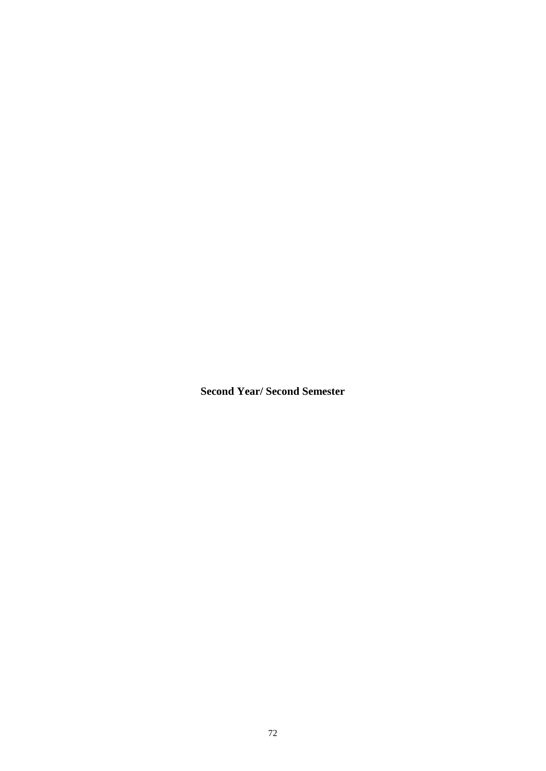**Second Year/ Second Semester**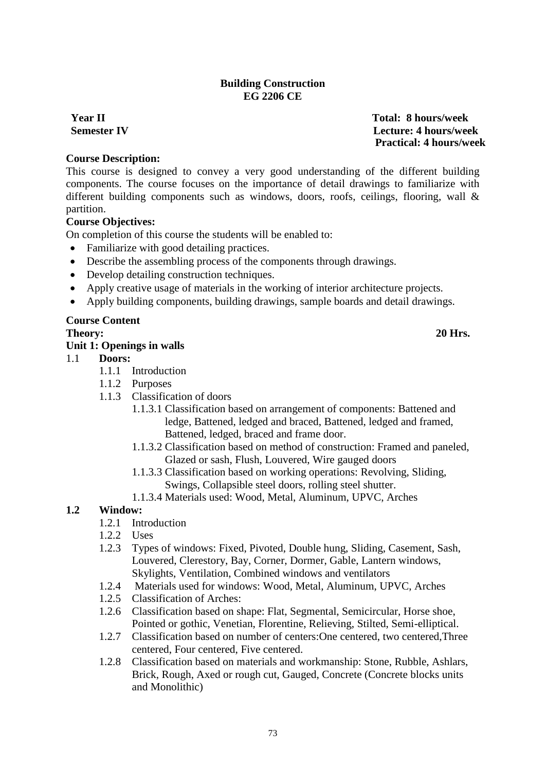### **Building Construction EG 2206 CE**

**Year II Total: 8 hours/week Semester IV Lecture: 4 hours/week Practical: 4 hours/week**

# **Course Description:**

This course is designed to convey a very good understanding of the different building components. The course focuses on the importance of detail drawings to familiarize with different building components such as windows, doors, roofs, ceilings, flooring, wall & partition.

#### **Course Objectives:**

On completion of this course the students will be enabled to:

- Familiarize with good detailing practices.
- Describe the assembling process of the components through drawings.
- Develop detailing construction techniques.
- Apply creative usage of materials in the working of interior architecture projects.
- Apply building components, building drawings, sample boards and detail drawings.

# **Course Content Theory: 20 Hrs.**

# **Unit 1: Openings in walls**

#### 1.1 **Doors:**

- 1.1.1 Introduction
- 1.1.2 Purposes
- 1.1.3 Classification of doors
	- 1.1.3.1 Classification based on arrangement of components: Battened and ledge, Battened, ledged and braced, Battened, ledged and framed, Battened, ledged, braced and frame door.
	- 1.1.3.2 Classification based on method of construction: Framed and paneled, Glazed or sash, Flush, Louvered, Wire gauged doors
	- 1.1.3.3 Classification based on working operations: Revolving, Sliding, Swings, Collapsible steel doors, rolling steel shutter.
	- 1.1.3.4 Materials used: Wood, Metal, Aluminum, UPVC, Arches

# **1.2 Window:**

- 1.2.1 Introduction
- 1.2.2 Uses
- 1.2.3 Types of windows: Fixed, Pivoted, Double hung, Sliding, Casement, Sash, Louvered, Clerestory, Bay, Corner, Dormer, Gable, Lantern windows, Skylights, Ventilation, Combined windows and ventilators
- 1.2.4 Materials used for windows: Wood, Metal, Aluminum, UPVC, Arches
- 1.2.5 Classification of Arches:
- 1.2.6 Classification based on shape: Flat, Segmental, Semicircular, Horse shoe, Pointed or gothic, Venetian, Florentine, Relieving, Stilted, Semi-elliptical.
- 1.2.7 Classification based on number of centers:One centered, two centered,Three centered, Four centered, Five centered.
- 1.2.8 Classification based on materials and workmanship: Stone, Rubble, Ashlars, Brick, Rough, Axed or rough cut, Gauged, Concrete (Concrete blocks units and Monolithic)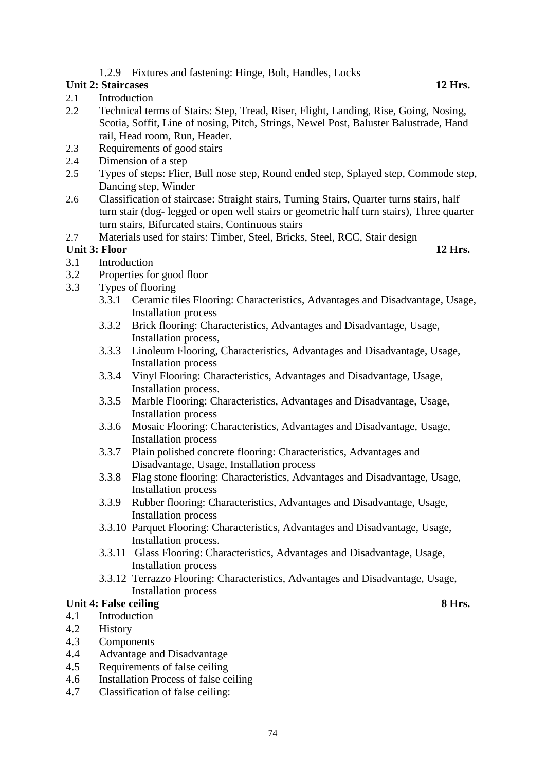# 1.2.9 Fixtures and fastening: Hinge, Bolt, Handles, Locks

# **Unit 2: Staircases 12 Hrs.**

- 2.1 Introduction
- 2.2 Technical terms of Stairs: Step, Tread, Riser, Flight, Landing, Rise, Going, Nosing, Scotia, Soffit, Line of nosing, Pitch, Strings, Newel Post, Baluster Balustrade, Hand rail, Head room, Run, Header.
- 2.3 Requirements of good stairs
- 2.4 Dimension of a step
- 2.5 Types of steps: Flier, Bull nose step, Round ended step, Splayed step, Commode step, Dancing step, Winder
- 2.6 Classification of staircase: Straight stairs, Turning Stairs, Quarter turns stairs, half turn stair (dog- legged or open well stairs or geometric half turn stairs), Three quarter turn stairs, Bifurcated stairs, Continuous stairs
- 2.7 Materials used for stairs: Timber, Steel, Bricks, Steel, RCC, Stair design

### **Unit 3: Floor 12 Hrs.**

- 3.1 Introduction
- 3.2 Properties for good floor
- 3.3 Types of flooring
	- 3.3.1 Ceramic tiles Flooring: Characteristics, Advantages and Disadvantage, Usage, Installation process
	- 3.3.2 Brick flooring: Characteristics, Advantages and Disadvantage, Usage, Installation process,
	- 3.3.3 Linoleum Flooring, Characteristics, Advantages and Disadvantage, Usage, Installation process
	- 3.3.4 Vinyl Flooring: Characteristics, Advantages and Disadvantage, Usage, Installation process.
	- 3.3.5 Marble Flooring: Characteristics, Advantages and Disadvantage, Usage, Installation process
	- 3.3.6 Mosaic Flooring: Characteristics, Advantages and Disadvantage, Usage, Installation process
	- 3.3.7 Plain polished concrete flooring: Characteristics, Advantages and Disadvantage, Usage, Installation process
	- 3.3.8 Flag stone flooring: Characteristics, Advantages and Disadvantage, Usage, Installation process
	- 3.3.9 Rubber flooring: Characteristics, Advantages and Disadvantage, Usage, Installation process
	- 3.3.10 Parquet Flooring: Characteristics, Advantages and Disadvantage, Usage, Installation process.
	- 3.3.11 Glass Flooring: Characteristics, Advantages and Disadvantage, Usage, Installation process
	- 3.3.12 Terrazzo Flooring: Characteristics, Advantages and Disadvantage, Usage, Installation process

# **Unit 4: False ceiling 8 Hrs.**

- 4.1 Introduction
- 4.2 History
- 4.3 Components
- 4.4 Advantage and Disadvantage
- 4.5 Requirements of false ceiling
- 4.6 Installation Process of false ceiling
- 4.7 Classification of false ceiling: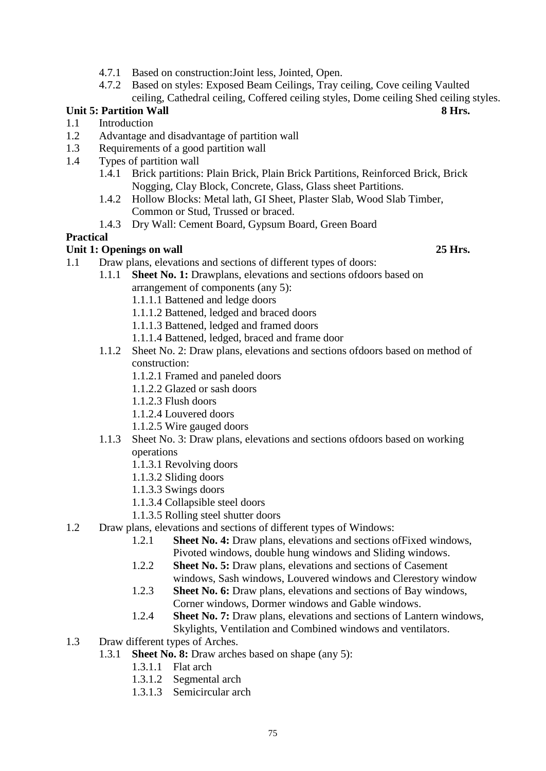- 4.7.1 Based on construction:Joint less, Jointed, Open.
- 4.7.2 Based on styles: Exposed Beam Ceilings, Tray ceiling, Cove ceiling Vaulted ceiling, Cathedral ceiling, Coffered ceiling styles, Dome ceiling Shed ceiling styles.

# **Unit 5: Partition Wall 8 Hrs.**

- 1.1 Introduction
- 1.2 Advantage and disadvantage of partition wall
- 1.3 Requirements of a good partition wall
- 1.4 Types of partition wall<br>1.4.1 Brick partitions
	- 1.4.1 Brick partitions: Plain Brick, Plain Brick Partitions, Reinforced Brick, Brick Nogging, Clay Block, Concrete, Glass, Glass sheet Partitions.
	- 1.4.2 Hollow Blocks: Metal lath, GI Sheet, Plaster Slab, Wood Slab Timber, Common or Stud, Trussed or braced.
	- 1.4.3 Dry Wall: Cement Board, Gypsum Board, Green Board

# **Practical**

# **Unit 1: Openings on wall 25 Hrs. 25 Hrs.**

- 
- 1.1 Draw plans, elevations and sections of different types of doors:
	- 1.1.1 **Sheet No. 1:** Drawplans, elevations and sections ofdoors based on arrangement of components (any 5):
		- 1.1.1.1 Battened and ledge doors
		- 1.1.1.2 Battened, ledged and braced doors
		- 1.1.1.3 Battened, ledged and framed doors
		- 1.1.1.4 Battened, ledged, braced and frame door
	- 1.1.2 Sheet No. 2: Draw plans, elevations and sections ofdoors based on method of construction:
		- 1.1.2.1 Framed and paneled doors
		- 1.1.2.2 Glazed or sash doors
		- 1.1.2.3 Flush doors
		- 1.1.2.4 Louvered doors
		- 1.1.2.5 Wire gauged doors
	- 1.1.3 Sheet No. 3: Draw plans, elevations and sections ofdoors based on working operations
		- 1.1.3.1 Revolving doors
		- 1.1.3.2 Sliding doors
		- 1.1.3.3 Swings doors
		- 1.1.3.4 Collapsible steel doors
		- 1.1.3.5 Rolling steel shutter doors
- 1.2 Draw plans, elevations and sections of different types of Windows:
	- 1.2.1 **Sheet No. 4:** Draw plans, elevations and sections ofFixed windows, Pivoted windows, double hung windows and Sliding windows.
	- 1.2.2 **Sheet No. 5:** Draw plans, elevations and sections of Casement windows, Sash windows, Louvered windows and Clerestory window
	- 1.2.3 **Sheet No. 6:** Draw plans, elevations and sections of Bay windows, Corner windows, Dormer windows and Gable windows.
	- 1.2.4 **Sheet No. 7:** Draw plans, elevations and sections of Lantern windows, Skylights, Ventilation and Combined windows and ventilators.
- 1.3 Draw different types of Arches.
	- 1.3.1 **Sheet No. 8:** Draw arches based on shape (any 5):
		- 1.3.1.1 Flat arch
		- 1.3.1.2 Segmental arch
		- 1.3.1.3 Semicircular arch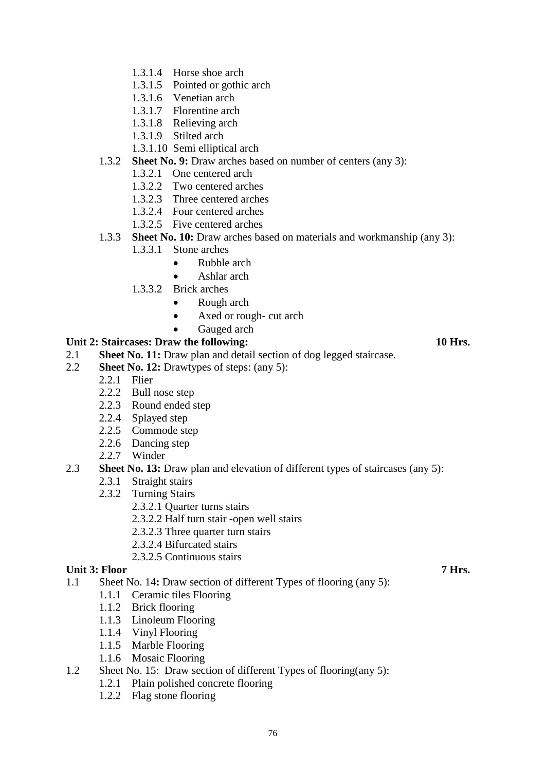- 1.3.1.4 Horse shoe arch
- 1.3.1.5 Pointed or gothic arch
- 1.3.1.6 Venetian arch
- 1.3.1.7 Florentine arch
- 1.3.1.8 Relieving arch
- 1.3.1.9 Stilted arch
- 1.3.1.10 Semi elliptical arch

# 1.3.2 **Sheet No. 9:** Draw arches based on number of centers (any 3):

- 1.3.2.1 One centered arch
- 1.3.2.2 Two centered arches
- 1.3.2.3 Three centered arches
- 1.3.2.4 Four centered arches
- 1.3.2.5 Five centered arches

### 1.3.3 **Sheet No. 10:** Draw arches based on materials and workmanship (any 3):

- 1.3.3.1 Stone arches
	- Rubble arch
	- Ashlar arch
- 1.3.3.2 Brick arches
	- Rough arch
	- Axed or rough- cut arch
	- Gauged arch

### **Unit 2: Staircases: Draw the following: 10 Hrs.**

- 2.1 **Sheet No. 11:** Draw plan and detail section of dog legged staircase.
- 2.2 **Sheet No. 12:** Drawtypes of steps: (any 5):
	- 2.2.1 Flier
		- 2.2.2 Bull nose step
		- 2.2.3 Round ended step
		- 2.2.4 Splayed step
		- 2.2.5 Commode step
		- 2.2.6 Dancing step
		- 2.2.7 Winder
- 2.3 **Sheet No. 13:** Draw plan and elevation of different types of staircases (any 5):
	- 2.3.1 Straight stairs
	- 2.3.2 Turning Stairs
		- 2.3.2.1 Quarter turns stairs
		- 2.3.2.2 Half turn stair -open well stairs
		- 2.3.2.3 Three quarter turn stairs
		- 2.3.2.4 Bifurcated stairs
		- 2.3.2.5 Continuous stairs

### **Unit 3: Floor 7 Hrs.**

- 1.1 Sheet No. 14**:** Draw section of different Types of flooring (any 5):
	- 1.1.1 Ceramic tiles Flooring
	- 1.1.2 Brick flooring
	- 1.1.3 Linoleum Flooring
	- 1.1.4 Vinyl Flooring
	- 1.1.5 Marble Flooring
	- 1.1.6 Mosaic Flooring
- 1.2 Sheet No. 15: Draw section of different Types of flooring(any 5):
	- 1.2.1 Plain polished concrete flooring
	- 1.2.2 Flag stone flooring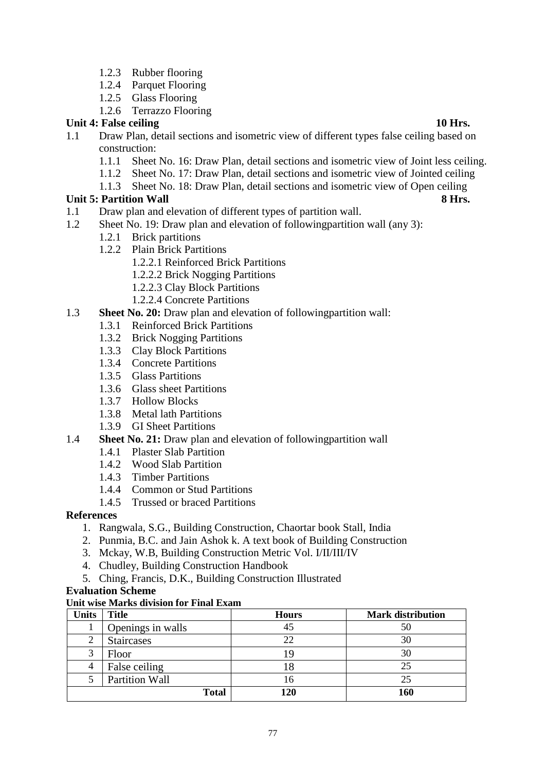- 1.2.3 Rubber flooring
- 1.2.4 Parquet Flooring
- 1.2.5 Glass Flooring
- 1.2.6 Terrazzo Flooring

## **Unit 4: False ceiling 10 Hrs.**

- 1.1 Draw Plan, detail sections and isometric view of different types false ceiling based on construction:
	- 1.1.1 Sheet No. 16: Draw Plan, detail sections and isometric view of Joint less ceiling.
	- 1.1.2 Sheet No. 17: Draw Plan, detail sections and isometric view of Jointed ceiling
	- 1.1.3 Sheet No. 18: Draw Plan, detail sections and isometric view of Open ceiling

# **Unit 5: Partition Wall 8 Hrs.**

- 1.1 Draw plan and elevation of different types of partition wall.
- 1.2 Sheet No. 19: Draw plan and elevation of followingpartition wall (any 3):
	- 1.2.1 Brick partitions
	- 1.2.2 Plain Brick Partitions
		- 1.2.2.1 Reinforced Brick Partitions
		- 1.2.2.2 Brick Nogging Partitions
		- 1.2.2.3 Clay Block Partitions
		- 1.2.2.4 Concrete Partitions
- 1.3 **Sheet No. 20:** Draw plan and elevation of followingpartition wall:
	- 1.3.1 Reinforced Brick Partitions
	- 1.3.2 Brick Nogging Partitions
	- 1.3.3 Clay Block Partitions
	- 1.3.4 Concrete Partitions
	- 1.3.5 Glass Partitions
	- 1.3.6 Glass sheet Partitions
	- 1.3.7 Hollow Blocks
	- 1.3.8 Metal lath Partitions
	- 1.3.9 GI Sheet Partitions

#### 1.4 **Sheet No. 21:** Draw plan and elevation of followingpartition wall

- 1.4.1 Plaster Slab Partition
- 1.4.2 Wood Slab Partition
- 1.4.3 Timber Partitions
- 1.4.4 Common or Stud Partitions
- 1.4.5 Trussed or braced Partitions

#### **References**

- 1. Rangwala, S.G., Building Construction, Chaortar book Stall, India
- 2. Punmia, B.C. and Jain Ashok k. A text book of Building Construction
- 3. Mckay, W.B, Building Construction Metric Vol. I/II/III/IV
- 4. Chudley, Building Construction Handbook
- 5. Ching, Francis, D.K., Building Construction Illustrated

#### **Evaluation Scheme**

#### **Unit wise Marks division for Final Exam**

| Units          | <b>Title</b>      | <b>Hours</b> | <b>Mark distribution</b> |
|----------------|-------------------|--------------|--------------------------|
|                | Openings in walls |              | 50                       |
| $\overline{2}$ | Staircases        | 22           | 30                       |
| 3              | Floor             |              | 30                       |
| 4              | False ceiling     |              |                          |
|                | Partition Wall    | 16           | 25                       |
|                | <b>Total</b>      | 120          | 160                      |

77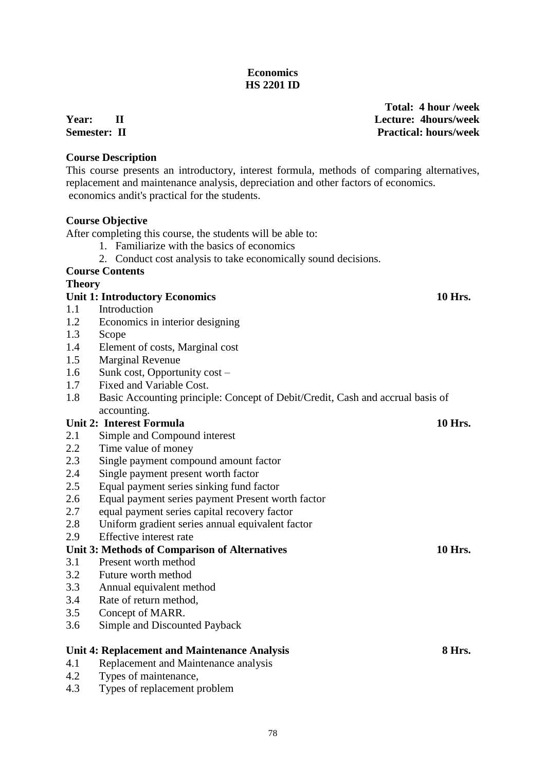# **Economics HS 2201 ID**

### **Course Description**

This course presents an introductory, interest formula, methods of comparing alternatives, replacement and maintenance analysis, depreciation and other factors of economics. economics andit's practical for the students.

#### **Course Objective**

After completing this course, the students will be able to:

- 1. Familiarize with the basics of economics
- 2. Conduct cost analysis to take economically sound decisions.

# **Course Contents**

### **Theory**

#### **Unit 1: Introductory Economics 10 Hrs.**

- 1.1 Introduction
- 1.2 Economics in interior designing
- 1.3 Scope
- 1.4 Element of costs, Marginal cost
- 1.5 Marginal Revenue
- 1.6 Sunk cost, Opportunity cost –
- 1.7 Fixed and Variable Cost.
- 1.8 Basic Accounting principle: Concept of Debit/Credit, Cash and accrual basis of accounting.

# **Unit 2: Interest Formula 10 Hrs. 10** Hrs.

- 2.1 Simple and Compound interest
- 2.2 Time value of money
- 2.3 Single payment compound amount factor
- 2.4 Single payment present worth factor
- 2.5 Equal payment series sinking fund factor
- 2.6 Equal payment series payment Present worth factor
- 2.7 equal payment series capital recovery factor
- 2.8 Uniform gradient series annual equivalent factor
- 2.9 Effective interest rate

#### **Unit 3: Methods of Comparison of Alternatives 10 Hrs.**

- 3.1 Present worth method
- 3.2 Future worth method
- 3.3 Annual equivalent method
- 3.4 Rate of return method,
- 3.5 Concept of MARR.
- 3.6 Simple and Discounted Payback

# **Unit 4: Replacement and Maintenance Analysis 8 Hrs.**

- 4.1 Replacement and Maintenance analysis
- 4.2 Types of maintenance,
- 4.3 Types of replacement problem

**Total: 4 hour /week Year: II Lecture: 4hours/week Semester: II Practical: hours/week**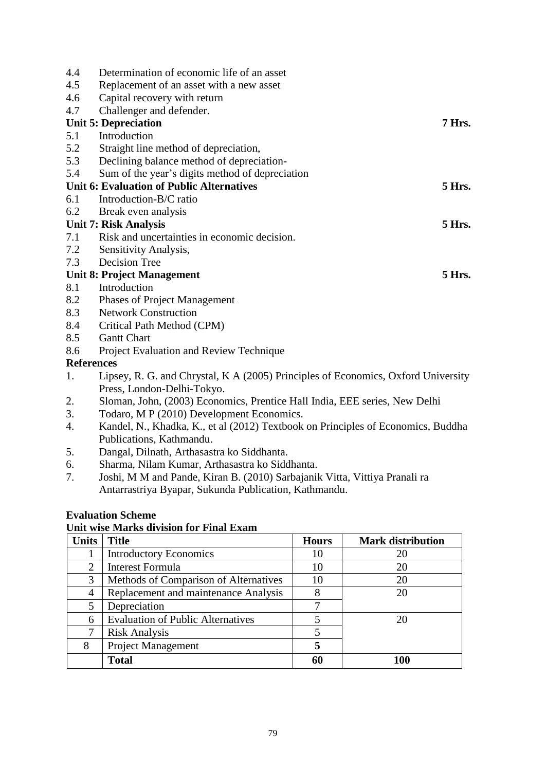| 4.4               | Determination of economic life of an asset                 |
|-------------------|------------------------------------------------------------|
| 4.5               | Replacement of an asset with a new asset                   |
| 4.6               | Capital recovery with return                               |
| 4.7               | Challenger and defender.                                   |
|                   |                                                            |
|                   | <b>Unit 5: Depreciation</b><br>7 Hrs.                      |
| 5.1               | Introduction                                               |
| 5.2               | Straight line method of depreciation,                      |
| 5.3               | Declining balance method of depreciation-                  |
| 5.4               | Sum of the year's digits method of depreciation            |
|                   | Unit 6: Evaluation of Public Alternatives<br><b>5 Hrs.</b> |
| 6.1               | Introduction-B/C ratio                                     |
| 6.2               | Break even analysis                                        |
|                   | <b>5 Hrs.</b><br>Unit 7: Risk Analysis                     |
| 7.1               | Risk and uncertainties in economic decision.               |
| 7.2               | Sensitivity Analysis,                                      |
| 7.3               | <b>Decision Tree</b>                                       |
|                   | <b>Unit 8: Project Management</b><br><b>5 Hrs.</b>         |
| 8.1               | Introduction                                               |
| 8.2               | <b>Phases of Project Management</b>                        |
| 8.3               | <b>Network Construction</b>                                |
| 8.4               | Critical Path Method (CPM)                                 |
| 8.5               | <b>Gantt Chart</b>                                         |
| 8.6               | Project Evaluation and Review Technique                    |
| <b>References</b> |                                                            |
|                   |                                                            |

- 1. Lipsey, R. G. and Chrystal, K A (2005) Principles of Economics, Oxford University Press, London-Delhi-Tokyo.
- 2. Sloman, John, (2003) Economics, Prentice Hall India, EEE series, New Delhi
- 3. Todaro, M P (2010) Development Economics.
- 4. Kandel, N., Khadka, K., et al (2012) Textbook on Principles of Economics, Buddha Publications, Kathmandu.
- 5. Dangal, Dilnath, Arthasastra ko Siddhanta.
- 6. Sharma, Nilam Kumar, Arthasastra ko Siddhanta.<br>7. Joshi, M M and Pande, Kiran B. (2010) Sarbaianik
- 7. Joshi, M M and Pande, Kiran B. (2010) Sarbajanik Vitta, Vittiya Pranali ra Antarrastriya Byapar, Sukunda Publication, Kathmandu.

# **Evaluation Scheme**

| Units | <b>Title</b>                             | <b>Hours</b> | <b>Mark distribution</b> |
|-------|------------------------------------------|--------------|--------------------------|
|       | <b>Introductory Economics</b>            | 10           | 20                       |
| 2     | Interest Formula                         | 10           | 20                       |
| 3     | Methods of Comparison of Alternatives    |              |                          |
| 4     | Replacement and maintenance Analysis     |              | 20                       |
|       | Depreciation                             |              |                          |
| 6     | <b>Evaluation of Public Alternatives</b> |              | 20                       |
| 7     | <b>Risk Analysis</b>                     |              |                          |
| 8     | Project Management                       |              |                          |
|       | <b>Total</b>                             |              | 100                      |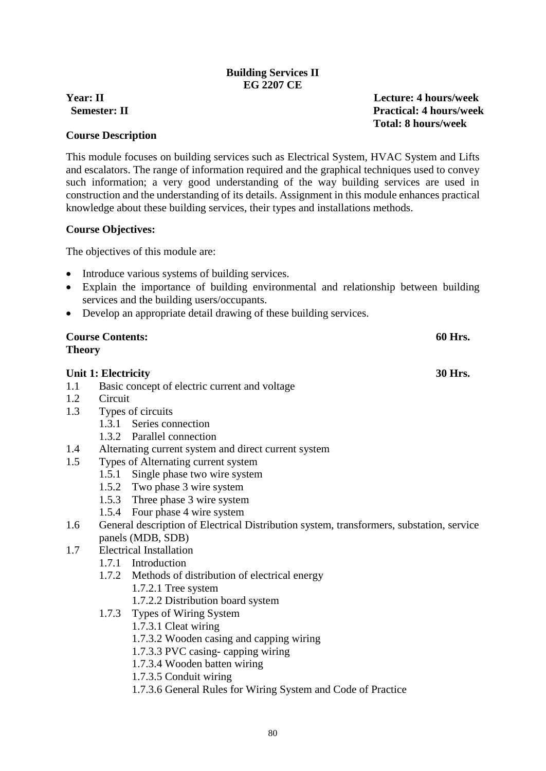### **Building Services II EG 2207 CE**

#### **Course Description**

This module focuses on building services such as Electrical System, HVAC System and Lifts and escalators. The range of information required and the graphical techniques used to convey such information; a very good understanding of the way building services are used in construction and the understanding of its details. Assignment in this module enhances practical knowledge about these building services, their types and installations methods.

### **Course Objectives:**

The objectives of this module are:

- Introduce various systems of building services.
- Explain the importance of building environmental and relationship between building services and the building users/occupants.
- Develop an appropriate detail drawing of these building services.

| <b>Theory</b> | <b>Course Contents:</b>    |                                                                                          | 60 Hrs. |
|---------------|----------------------------|------------------------------------------------------------------------------------------|---------|
|               | <b>Unit 1: Electricity</b> |                                                                                          | 30 Hrs. |
| 1.1           |                            | Basic concept of electric current and voltage                                            |         |
| 1.2           | Circuit                    |                                                                                          |         |
| 1.3           |                            | Types of circuits                                                                        |         |
|               |                            | 1.3.1 Series connection                                                                  |         |
|               |                            | 1.3.2 Parallel connection                                                                |         |
| 1.4           |                            | Alternating current system and direct current system                                     |         |
| 1.5           |                            | Types of Alternating current system                                                      |         |
|               | 1.5.1                      | Single phase two wire system                                                             |         |
|               |                            | 1.5.2 Two phase 3 wire system                                                            |         |
|               |                            | 1.5.3 Three phase 3 wire system                                                          |         |
|               |                            | 1.5.4 Four phase 4 wire system                                                           |         |
| 1.6           |                            | General description of Electrical Distribution system, transformers, substation, service |         |
|               |                            | panels (MDB, SDB)                                                                        |         |
| 1.7           |                            | <b>Electrical Installation</b>                                                           |         |
|               |                            | 1.7.1 Introduction                                                                       |         |
|               |                            | 1.7.2 Methods of distribution of electrical energy                                       |         |
|               |                            | 1.7.2.1 Tree system                                                                      |         |
|               |                            | 1.7.2.2 Distribution board system                                                        |         |
|               | 1.7.3                      | Types of Wiring System                                                                   |         |
|               |                            | 1.7.3.1 Cleat wiring                                                                     |         |
|               |                            | 1.7.3.2 Wooden casing and capping wiring                                                 |         |
|               |                            | 1.7.3.3 PVC casing-capping wiring                                                        |         |
|               |                            | 1.7.3.4 Wooden batten wiring                                                             |         |
|               |                            | 1.7.3.5 Conduit wiring                                                                   |         |
|               |                            | 1.7.3.6 General Rules for Wiring System and Code of Practice                             |         |
|               |                            |                                                                                          |         |

**Year: II Lecture: 4 hours/week Semester: II Practical: 4 hours/week Total: 8 hours/week**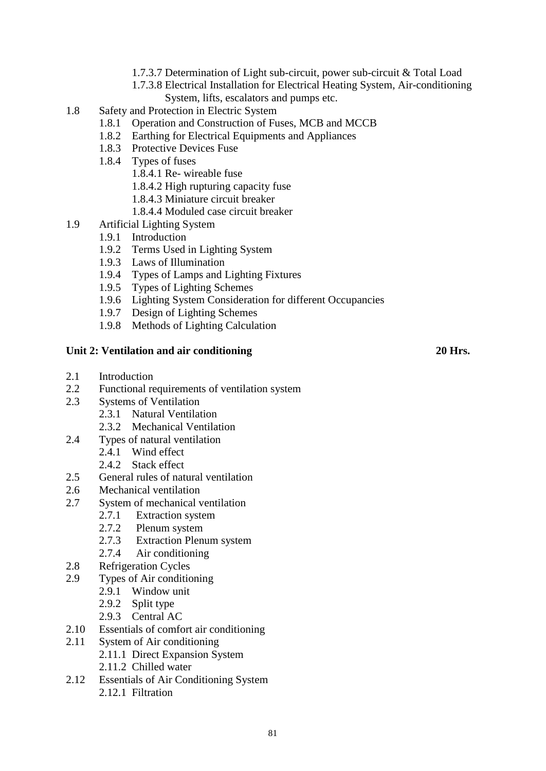- 1.7.3.7 Determination of Light sub-circuit, power sub-circuit & Total Load
- 1.7.3.8 Electrical Installation for Electrical Heating System, Air-conditioning System, lifts, escalators and pumps etc.
- 1.8 Safety and Protection in Electric System
	- 1.8.1 Operation and Construction of Fuses, MCB and MCCB
	- 1.8.2 Earthing for Electrical Equipments and Appliances
	- 1.8.3 Protective Devices Fuse
	- 1.8.4 Types of fuses
		- 1.8.4.1 Re- wireable fuse
		- 1.8.4.2 High rupturing capacity fuse
		- 1.8.4.3 Miniature circuit breaker
		- 1.8.4.4 Moduled case circuit breaker
- 1.9 Artificial Lighting System
	- 1.9.1 Introduction
	- 1.9.2 Terms Used in Lighting System
	- 1.9.3 Laws of Illumination
	- 1.9.4 Types of Lamps and Lighting Fixtures
	- 1.9.5 Types of Lighting Schemes
	- 1.9.6 Lighting System Consideration for different Occupancies
	- 1.9.7 Design of Lighting Schemes
	- 1.9.8 Methods of Lighting Calculation

### **Unit 2: Ventilation and air conditioning 20 Hrs.**

- 2.1 Introduction
- 2.2 Functional requirements of ventilation system
- 2.3 Systems of Ventilation
	- 2.3.1 Natural Ventilation
	- 2.3.2 Mechanical Ventilation
- 2.4 Types of natural ventilation
	- 2.4.1 Wind effect
	- 2.4.2 Stack effect
- 2.5 General rules of natural ventilation
- 2.6 Mechanical ventilation
- 2.7 System of mechanical ventilation
	- 2.7.1 Extraction system
	- 2.7.2 Plenum system
	- 2.7.3 Extraction Plenum system
	- 2.7.4 Air conditioning
- 2.8 Refrigeration Cycles
- 2.9 Types of Air conditioning
	- 2.9.1 Window unit
		- 2.9.2 Split type
		- 2.9.3 Central AC
- 2.10 Essentials of comfort air conditioning
- 2.11 System of Air conditioning
	- 2.11.1 Direct Expansion System
	- 2.11.2 Chilled water
- 2.12 Essentials of Air Conditioning System 2.12.1 Filtration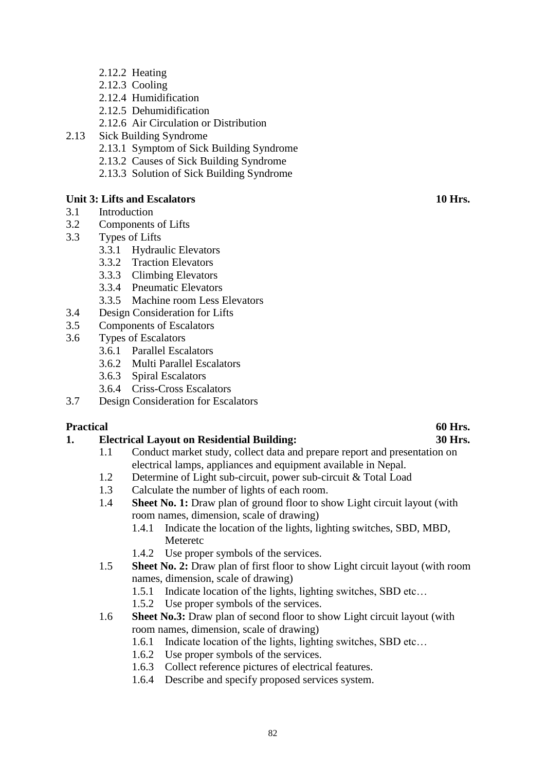- 2.12.2 Heating
- 2.12.3 Cooling
- 2.12.4 Humidification
- 2.12.5 Dehumidification
- 2.12.6 Air Circulation or Distribution
- 2.13 Sick Building Syndrome
	- 2.13.1 Symptom of Sick Building Syndrome
	- 2.13.2 Causes of Sick Building Syndrome
	- 2.13.3 Solution of Sick Building Syndrome

# **Unit 3: Lifts and Escalators 10 Hrs.**

- 3.1 Introduction
- 3.2 Components of Lifts
- 3.3 Types of Lifts
	- 3.3.1 Hydraulic Elevators
	- 3.3.2 Traction Elevators
	- 3.3.3 Climbing Elevators
	- 3.3.4 Pneumatic Elevators
	- 3.3.5 Machine room Less Elevators
- 3.4 Design Consideration for Lifts
- 3.5 Components of Escalators
- 3.6 Types of Escalators
	- 3.6.1 Parallel Escalators
	- 3.6.2 Multi Parallel Escalators
	- 3.6.3 Spiral Escalators
	- 3.6.4 Criss-Cross Escalators
- 3.7 Design Consideration for Escalators

# **Practical 60 Hrs.**

# **1. Electrical Layout on Residential Building: 30 Hrs.**

- 1.1 Conduct market study, collect data and prepare report and presentation on electrical lamps, appliances and equipment available in Nepal.
- 1.2 Determine of Light sub-circuit, power sub-circuit & Total Load
- 1.3 Calculate the number of lights of each room.
- 1.4 **Sheet No. 1:** Draw plan of ground floor to show Light circuit layout (with room names, dimension, scale of drawing)
	- 1.4.1 Indicate the location of the lights, lighting switches, SBD, MBD, Meteretc
	- 1.4.2 Use proper symbols of the services.
- 1.5 **Sheet No. 2:** Draw plan of first floor to show Light circuit layout (with room names, dimension, scale of drawing)
	- 1.5.1 Indicate location of the lights, lighting switches, SBD etc…
	- 1.5.2 Use proper symbols of the services.
- 1.6 **Sheet No.3:** Draw plan of second floor to show Light circuit layout (with room names, dimension, scale of drawing)
	- 1.6.1 Indicate location of the lights, lighting switches, SBD etc…
	- 1.6.2 Use proper symbols of the services.
	- 1.6.3 Collect reference pictures of electrical features.
	- 1.6.4 Describe and specify proposed services system.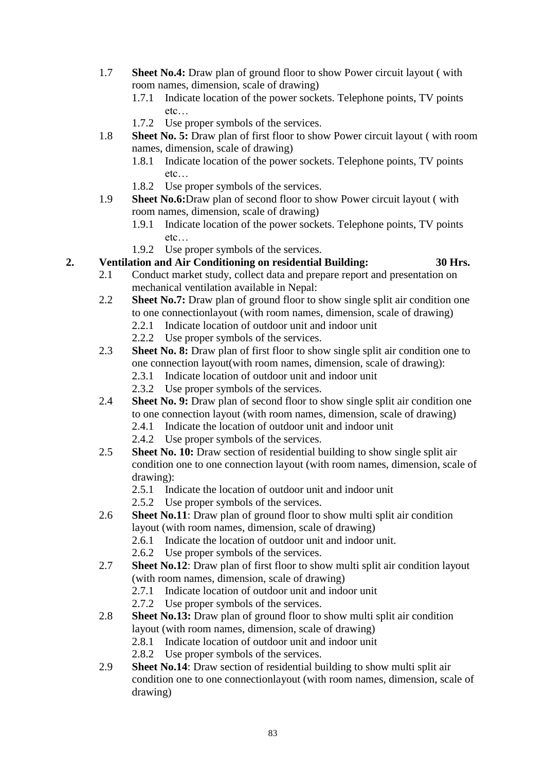- 1.7 **Sheet No.4:** Draw plan of ground floor to show Power circuit layout ( with room names, dimension, scale of drawing)
	- 1.7.1 Indicate location of the power sockets. Telephone points, TV points etc…
	- 1.7.2 Use proper symbols of the services.
- 1.8 **Sheet No. 5:** Draw plan of first floor to show Power circuit layout ( with room names, dimension, scale of drawing)
	- 1.8.1 Indicate location of the power sockets. Telephone points, TV points etc…
	- 1.8.2 Use proper symbols of the services.
- 1.9 **Sheet No.6:**Draw plan of second floor to show Power circuit layout ( with room names, dimension, scale of drawing)
	- 1.9.1 Indicate location of the power sockets. Telephone points, TV points etc…
	- 1.9.2 Use proper symbols of the services.

# **2. Ventilation and Air Conditioning on residential Building: 30 Hrs.**

- 2.1 Conduct market study, collect data and prepare report and presentation on mechanical ventilation available in Nepal:
- 2.2 **Sheet No.7:** Draw plan of ground floor to show single split air condition one to one connectionlayout (with room names, dimension, scale of drawing)
	- 2.2.1 Indicate location of outdoor unit and indoor unit
	- 2.2.2 Use proper symbols of the services.
- 2.3 **Sheet No. 8:** Draw plan of first floor to show single split air condition one to one connection layout(with room names, dimension, scale of drawing):
	- 2.3.1 Indicate location of outdoor unit and indoor unit
	- 2.3.2 Use proper symbols of the services.
- 2.4 **Sheet No. 9:** Draw plan of second floor to show single split air condition one to one connection layout (with room names, dimension, scale of drawing)
	- 2.4.1 Indicate the location of outdoor unit and indoor unit
	- 2.4.2 Use proper symbols of the services.
- 2.5 **Sheet No. 10:** Draw section of residential building to show single split air condition one to one connection layout (with room names, dimension, scale of drawing):
	- 2.5.1 Indicate the location of outdoor unit and indoor unit
	- 2.5.2 Use proper symbols of the services.
- 2.6 **Sheet No.11**: Draw plan of ground floor to show multi split air condition layout (with room names, dimension, scale of drawing)
	- 2.6.1 Indicate the location of outdoor unit and indoor unit.
	- 2.6.2 Use proper symbols of the services.
- 2.7 **Sheet No.12**: Draw plan of first floor to show multi split air condition layout (with room names, dimension, scale of drawing)
	- 2.7.1 Indicate location of outdoor unit and indoor unit
	- 2.7.2 Use proper symbols of the services.
- 2.8 **Sheet No.13:** Draw plan of ground floor to show multi split air condition layout (with room names, dimension, scale of drawing)
	- 2.8.1 Indicate location of outdoor unit and indoor unit
	- 2.8.2 Use proper symbols of the services.
- 2.9 **Sheet No.14**: Draw section of residential building to show multi split air condition one to one connectionlayout (with room names, dimension, scale of drawing)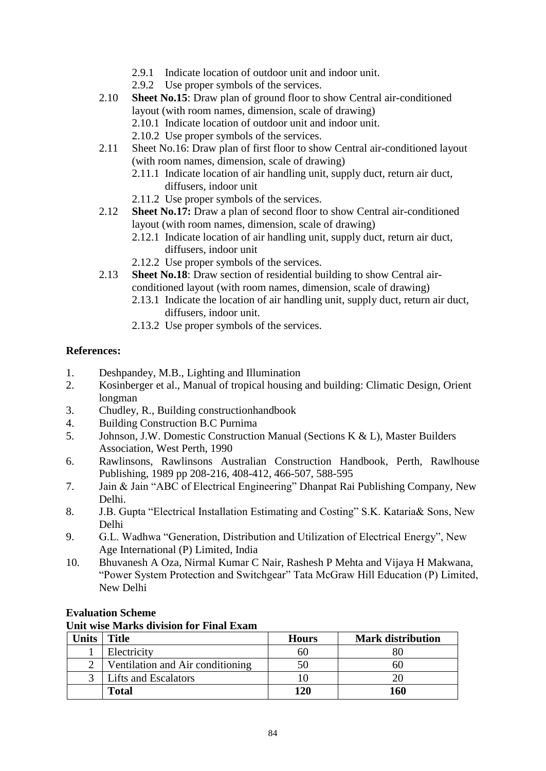- 2.9.1 Indicate location of outdoor unit and indoor unit.
- 2.9.2 Use proper symbols of the services.
- 2.10 **Sheet No.15**: Draw plan of ground floor to show Central air-conditioned layout (with room names, dimension, scale of drawing)
	- 2.10.1 Indicate location of outdoor unit and indoor unit.
	- 2.10.2 Use proper symbols of the services.
- 2.11 Sheet No.16: Draw plan of first floor to show Central air-conditioned layout (with room names, dimension, scale of drawing)
	- 2.11.1 Indicate location of air handling unit, supply duct, return air duct, diffusers, indoor unit
	- 2.11.2 Use proper symbols of the services.
- 2.12 **Sheet No.17:** Draw a plan of second floor to show Central air-conditioned layout (with room names, dimension, scale of drawing)
	- 2.12.1 Indicate location of air handling unit, supply duct, return air duct, diffusers, indoor unit
	- 2.12.2 Use proper symbols of the services.
- 2.13 **Sheet No.18**: Draw section of residential building to show Central airconditioned layout (with room names, dimension, scale of drawing)
	- 2.13.1 Indicate the location of air handling unit, supply duct, return air duct, diffusers, indoor unit.
	- 2.13.2 Use proper symbols of the services.

# **References:**

- 1. Deshpandey, M.B., Lighting and Illumination
- 2. Kosinberger et al., Manual of tropical housing and building: Climatic Design, Orient longman
- 3. Chudley, R., Building constructionhandbook
- 4. Building Construction B.C Purnima
- 5. Johnson, J.W. Domestic Construction Manual (Sections K & L), Master Builders Association, West Perth, 1990
- 6. Rawlinsons, Rawlinsons Australian Construction Handbook, Perth, Rawlhouse Publishing, 1989 pp 208-216, 408-412, 466-507, 588-595
- 7. Jain & Jain "ABC of Electrical Engineering" Dhanpat Rai Publishing Company, New Delhi.
- 8. J.B. Gupta "Electrical Installation Estimating and Costing" S.K. Kataria& Sons, New Delhi
- 9. G.L. Wadhwa "Generation, Distribution and Utilization of Electrical Energy", New Age International (P) Limited, India
- 10. Bhuvanesh A Oza, Nirmal Kumar C Nair, Rashesh P Mehta and Vijaya H Makwana, "Power System Protection and Switchgear" Tata McGraw Hill Education (P) Limited, New Delhi

| Units | Title                            | <b>Hours</b> | <b>Mark distribution</b> |
|-------|----------------------------------|--------------|--------------------------|
|       | Electricity                      |              |                          |
|       | Ventilation and Air conditioning |              |                          |
|       | Lifts and Escalators             |              |                          |
|       | Total                            | 120          | 160                      |

# **Evaluation Scheme**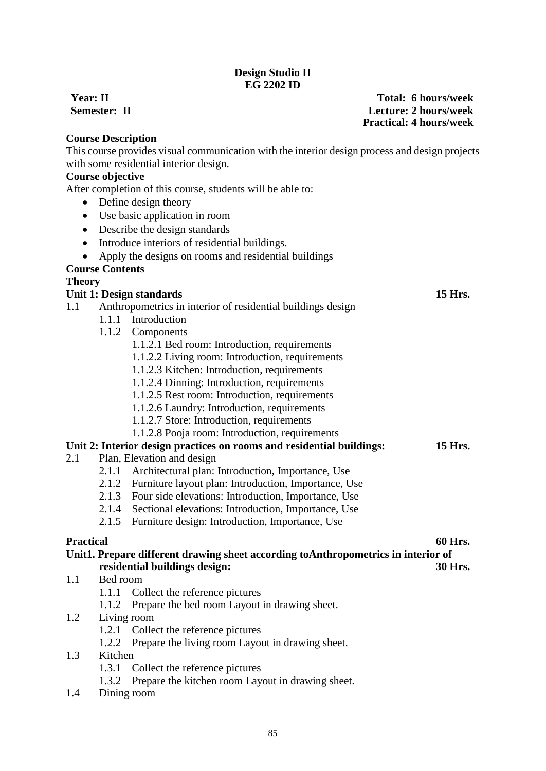# **Design Studio II EG 2202 ID**

**Semester: II Lecture: 2 hours/week Practical: 4 hours/week**

**Year: II Total: 6 hours/week**<br> **Semester: II Total: 6 hours/week**<br> **Lecture: 2 hours/week** 

# **Course Description**

|                  |                         | This course provides visual communication with the interior design process and design projects |                |
|------------------|-------------------------|------------------------------------------------------------------------------------------------|----------------|
|                  |                         | with some residential interior design.                                                         |                |
|                  | <b>Course objective</b> |                                                                                                |                |
|                  |                         | After completion of this course, students will be able to:                                     |                |
| $\bullet$        |                         | Define design theory                                                                           |                |
| $\bullet$        |                         | Use basic application in room                                                                  |                |
| $\bullet$        |                         | Describe the design standards                                                                  |                |
| $\bullet$        |                         | Introduce interiors of residential buildings.                                                  |                |
|                  |                         | Apply the designs on rooms and residential buildings                                           |                |
|                  | <b>Course Contents</b>  |                                                                                                |                |
| <b>Theory</b>    |                         |                                                                                                |                |
|                  |                         | <b>Unit 1: Design standards</b>                                                                | 15 Hrs.        |
| 1.1              |                         | Anthropometrics in interior of residential buildings design                                    |                |
|                  |                         | 1.1.1 Introduction                                                                             |                |
|                  |                         | 1.1.2 Components                                                                               |                |
|                  |                         | 1.1.2.1 Bed room: Introduction, requirements                                                   |                |
|                  |                         | 1.1.2.2 Living room: Introduction, requirements                                                |                |
|                  |                         | 1.1.2.3 Kitchen: Introduction, requirements                                                    |                |
|                  |                         | 1.1.2.4 Dinning: Introduction, requirements                                                    |                |
|                  |                         | 1.1.2.5 Rest room: Introduction, requirements                                                  |                |
|                  |                         | 1.1.2.6 Laundry: Introduction, requirements                                                    |                |
|                  |                         | 1.1.2.7 Store: Introduction, requirements                                                      |                |
|                  |                         | 1.1.2.8 Pooja room: Introduction, requirements                                                 |                |
|                  |                         | Unit 2: Interior design practices on rooms and residential buildings:                          | 15 Hrs.        |
| 2.1              |                         | Plan, Elevation and design                                                                     |                |
|                  |                         | 2.1.1 Architectural plan: Introduction, Importance, Use                                        |                |
|                  |                         | 2.1.2 Furniture layout plan: Introduction, Importance, Use                                     |                |
|                  |                         | 2.1.3 Four side elevations: Introduction, Importance, Use                                      |                |
|                  |                         | 2.1.4 Sectional elevations: Introduction, Importance, Use                                      |                |
|                  | 2.1.5                   | Furniture design: Introduction, Importance, Use                                                |                |
| <b>Practical</b> |                         |                                                                                                | <b>60 Hrs.</b> |
|                  |                         | Unit1. Prepare different drawing sheet according toAnthropometrics in interior of              |                |
|                  |                         | residential buildings design:                                                                  | 30 Hrs.        |
| 1.1              | Bed room                |                                                                                                |                |
|                  | 1.1.1                   | Collect the reference pictures                                                                 |                |
|                  | 1.1.2                   | Prepare the bed room Layout in drawing sheet.                                                  |                |
| 1.2              | Living room             |                                                                                                |                |
|                  |                         | 1.2.1 Collect the reference pictures                                                           |                |
|                  | 1.2.2                   | Prepare the living room Layout in drawing sheet.                                               |                |
| 1.3              | Kitchen                 |                                                                                                |                |
|                  | 1.3.1                   | Collect the reference pictures                                                                 |                |
|                  | 1.3.2                   | Prepare the kitchen room Layout in drawing sheet.                                              |                |

1.4 Dining room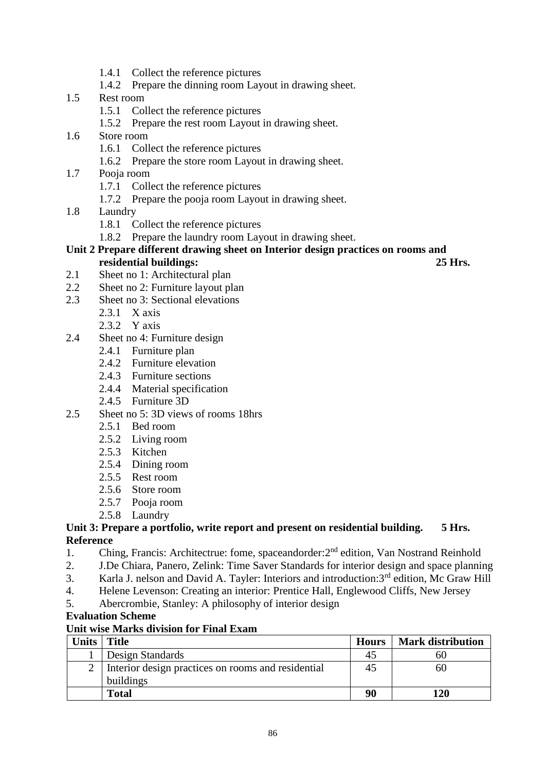- 1.4.1 Collect the reference pictures
- 1.4.2 Prepare the dinning room Layout in drawing sheet.
- 1.5 Rest room
	- 1.5.1 Collect the reference pictures
	- 1.5.2 Prepare the rest room Layout in drawing sheet.
- 1.6 Store room
	- 1.6.1 Collect the reference pictures
	- 1.6.2 Prepare the store room Layout in drawing sheet.
- 1.7 Pooja room
	- 1.7.1 Collect the reference pictures
	- 1.7.2 Prepare the pooja room Layout in drawing sheet.
- 1.8 Laundry
	- 1.8.1 Collect the reference pictures
	- 1.8.2 Prepare the laundry room Layout in drawing sheet.

# **Unit 2 Prepare different drawing sheet on Interior design practices on rooms and**

- **residential buildings: 25 Hrs.**
- 2.1 Sheet no 1: Architectural plan
- 2.2 Sheet no 2: Furniture layout plan
- 2.3 Sheet no 3: Sectional elevations
	- 2.3.1 X axis
	- 2.3.2 Y axis
- 2.4 Sheet no 4: Furniture design
	- 2.4.1 Furniture plan
	- 2.4.2 Furniture elevation
	- 2.4.3 Furniture sections
	- 2.4.4 Material specification
	- 2.4.5 Furniture 3D
- 2.5 Sheet no 5: 3D views of rooms 18hrs
	- 2.5.1 Bed room
	- 2.5.2 Living room
	- 2.5.3 Kitchen
	- 2.5.4 Dining room
	- 2.5.5 Rest room
	- 2.5.6 Store room
	- 2.5.7 Pooja room
	- 2.5.8 Laundry

### **Unit 3: Prepare a portfolio, write report and present on residential building. 5 Hrs. Reference**

- 1. Ching, Francis: Architectrue: fome, spaceandorder: 2<sup>nd</sup> edition, Van Nostrand Reinhold
- 2. J.De Chiara, Panero, Zelink: Time Saver Standards for interior design and space planning
- 3. Karla J. nelson and David A. Tayler: Interiors and introduction:3rd edition, Mc Graw Hill
- 4. Helene Levenson: Creating an interior: Prentice Hall, Englewood Cliffs, New Jersey
- 5. Abercrombie, Stanley: A philosophy of interior design

**Evaluation Scheme**

| <b>Units</b> | Title                                              | <b>Hours</b> | <b>Mark distribution</b> |
|--------------|----------------------------------------------------|--------------|--------------------------|
|              | Design Standards                                   | 45           | 60                       |
|              | Interior design practices on rooms and residential | 45           | 60                       |
|              | buildings                                          |              |                          |
|              | <b>Total</b>                                       | 90           | 120                      |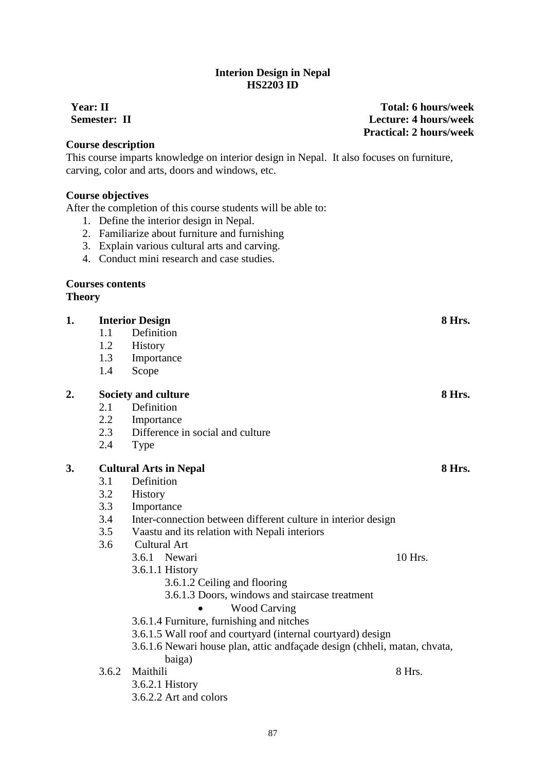#### **Interion Design in Nepal HS2203 ID**

### **Course description**

This course imparts knowledge on interior design in Nepal. It also focuses on furniture, carving, color and arts, doors and windows, etc.

### **Course objectives**

After the completion of this course students will be able to:

- 1. Define the interior design in Nepal.
- 2. Familiarize about furniture and furnishing
- 3. Explain various cultural arts and carving.
- 4. Conduct mini research and case studies.

**Courses contents Theory**

**1. Interior Design 8 Hrs.** 1.1 Definition 1.2 History 1.3 Importance 1.4 Scope **2. Society and culture 8 Hrs.** 2.1 Definition 2.2 Importance 2.3 Difference in social and culture 2.4 Type **3. Cultural Arts in Nepal 8 Hrs.** 3.1 Definition 3.2 History 3.3 Importance 3.4 Inter-connection between different culture in interior design 3.5 Vaastu and its relation with Nepali interiors 3.6 Cultural Art 3.6.1 Newari 10 Hrs. 3.6.1.1 History 3.6.1.2 Ceiling and flooring 3.6.1.3 Doors, windows and staircase treatment • Wood Carving 3.6.1.4 Furniture, furnishing and nitches 3.6.1.5 Wall roof and courtyard (internal courtyard) design 3.6.1.6 Newari house plan, attic andfaçade design (chheli, matan, chvata, baiga) 3.6.2 Maithili 8 Hrs. 3.6.2.1 History 3.6.2.2 Art and colors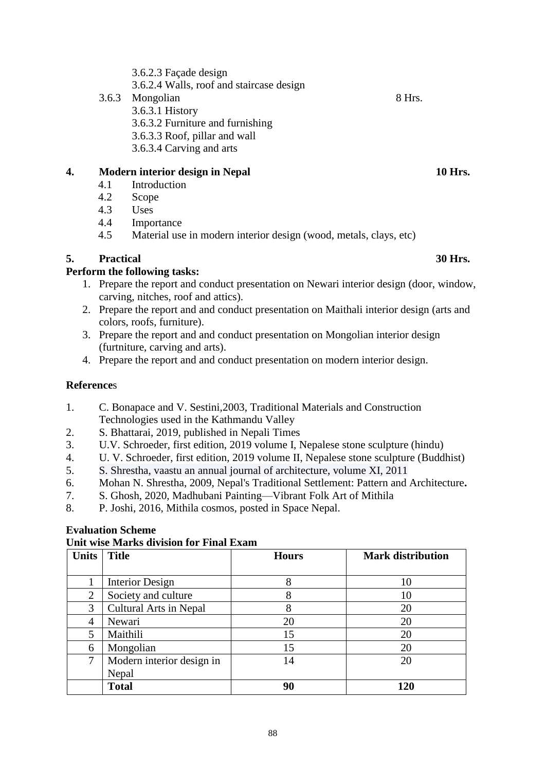### 3.6.2.3 Façade design

- 3.6.2.4 Walls, roof and staircase design
- 3.6.3 Mongolian 8 Hrs.
	- 3.6.3.1 History
	- 3.6.3.2 Furniture and furnishing
	- 3.6.3.3 Roof, pillar and wall
	- 3.6.3.4 Carving and arts

## **4. Modern interior design in Nepal 10 Hrs.**

- 4.1 Introduction
- 4.2 Scope
- 4.3 Uses
- 4.4 Importance
- 4.5 Material use in modern interior design (wood, metals, clays, etc)

# **5. Practical 30 Hrs.**

### **Perform the following tasks:**

- 1. Prepare the report and conduct presentation on Newari interior design (door, window, carving, nitches, roof and attics).
- 2. Prepare the report and and conduct presentation on Maithali interior design (arts and colors, roofs, furniture).
- 3. Prepare the report and and conduct presentation on Mongolian interior design (furtniture, carving and arts).
- 4. Prepare the report and and conduct presentation on modern interior design.

#### **Reference**s

- 1. C. Bonapace and V. Sestini,2003, Traditional Materials and Construction Technologies used in the Kathmandu Valley
- 2. S. Bhattarai, 2019, published in Nepali Times
- 3. U.V. Schroeder, first edition, 2019 volume I, Nepalese stone sculpture (hindu)
- 4. U. V. Schroeder, first edition, 2019 volume II, Nepalese stone sculpture (Buddhist)
- 5. S. Shrestha, vaastu an annual journal of architecture, volume XI, 2011
- 6. [Mohan N. Shrestha,](https://www.tandfonline.com/author/Shrestha%2C+Mohan+N) 2009, Nepal's Traditional Settlement: Pattern and Architecture**.**
- 7. S. Ghosh, 2020, Madhubani Painting—Vibrant Folk Art of Mithila
- 8. P. Joshi, 2016, Mithila cosmos, posted in Space Nepal.

#### **Evaluation Scheme**

| <b>Units</b>   | <b>Title</b>              | <b>Hours</b> | <b>Mark distribution</b> |
|----------------|---------------------------|--------------|--------------------------|
|                |                           |              |                          |
|                | <b>Interior Design</b>    | 8            | 10                       |
| $\overline{2}$ | Society and culture       | 8            | 10                       |
| 3              | Cultural Arts in Nepal    | 8            | 20                       |
| 4              | Newari                    | 20           | 20                       |
| 5              | Maithili                  | 15           | 20                       |
| 6              | Mongolian                 | 15           | 20                       |
| 7              | Modern interior design in | 14           | 20                       |
|                | Nepal                     |              |                          |
|                | <b>Total</b>              | 90           | 120                      |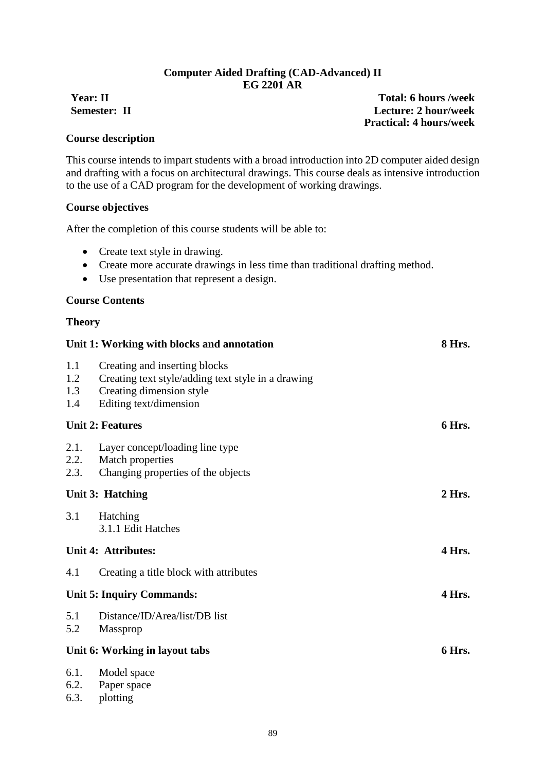#### **Computer Aided Drafting (CAD-Advanced) II EG 2201 AR**

**Year: II Total: 6 hours /week**

#### **Course description**

**Semester: II Lecture: 2 hour/week Practical: 4 hours/week**

This course intends to impart students with a broad introduction into 2D computer aided design and drafting with a focus on architectural drawings. This course deals as intensive introduction to the use of a CAD program for the development of working drawings.

#### **Course objectives**

After the completion of this course students will be able to:

- Create text style in drawing.
- Create more accurate drawings in less time than traditional drafting method.
- Use presentation that represent a design.

#### **Course Contents**

|                          | Unit 1: Working with blocks and annotation                                                                                                | 8 Hrs.   |
|--------------------------|-------------------------------------------------------------------------------------------------------------------------------------------|----------|
| 1.1<br>1.2<br>1.3<br>1.4 | Creating and inserting blocks<br>Creating text style/adding text style in a drawing<br>Creating dimension style<br>Editing text/dimension |          |
|                          | <b>Unit 2: Features</b>                                                                                                                   | 6 Hrs.   |
| 2.1.<br>2.2.<br>2.3.     | Layer concept/loading line type<br>Match properties<br>Changing properties of the objects                                                 |          |
|                          | <b>Unit 3: Hatching</b>                                                                                                                   | $2$ Hrs. |
| 3.1                      | Hatching<br>3.1.1 Edit Hatches                                                                                                            |          |
|                          | Unit 4: Attributes:                                                                                                                       | 4 Hrs.   |
| 4.1                      | Creating a title block with attributes                                                                                                    |          |
|                          | <b>Unit 5: Inquiry Commands:</b>                                                                                                          | 4 Hrs.   |
| 5.1<br>5.2               | Distance/ID/Area/list/DB list<br>Massprop                                                                                                 |          |
|                          | Unit 6: Working in layout tabs                                                                                                            | 6 Hrs.   |
| 6.1.<br>6.2.<br>6.3.     | Model space<br>Paper space<br>plotting                                                                                                    |          |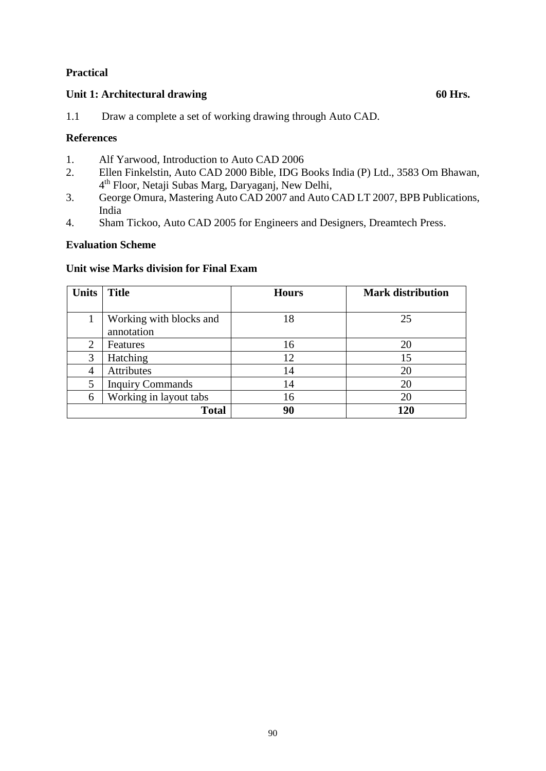# **Practical**

# **Unit 1: Architectural drawing 60 Hrs.**

1.1 Draw a complete a set of working drawing through Auto CAD.

# **References**

- 1. Alf Yarwood, Introduction to Auto CAD 2006
- 2. Ellen Finkelstin, Auto CAD 2000 Bible, IDG Books India (P) Ltd., 3583 Om Bhawan, 4 th Floor, Netaji Subas Marg, Daryaganj, New Delhi,
- 3. George Omura, Mastering Auto CAD 2007 and Auto CAD LT 2007, BPB Publications, India
- 4. Sham Tickoo, Auto CAD 2005 for Engineers and Designers, Dreamtech Press.

# **Evaluation Scheme**

| <b>Units</b>   | <b>Title</b>            | <b>Hours</b> | <b>Mark distribution</b> |
|----------------|-------------------------|--------------|--------------------------|
|                |                         |              |                          |
|                | Working with blocks and | 18           | 25                       |
|                | annotation              |              |                          |
| $\overline{2}$ | Features                | 16           | 20                       |
| 3              | Hatching                | 12           | 15                       |
| 4              | <b>Attributes</b>       | 14           | 20                       |
| 5              | <b>Inquiry Commands</b> | 14           | 20                       |
| 6              | Working in layout tabs  | 16           | 20                       |
|                | <b>Total</b>            | 90           | 120                      |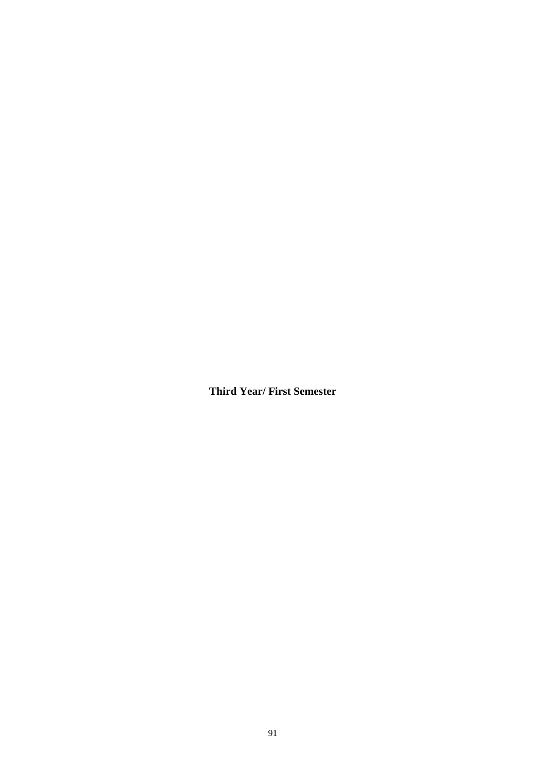**Third Year/ First Semester**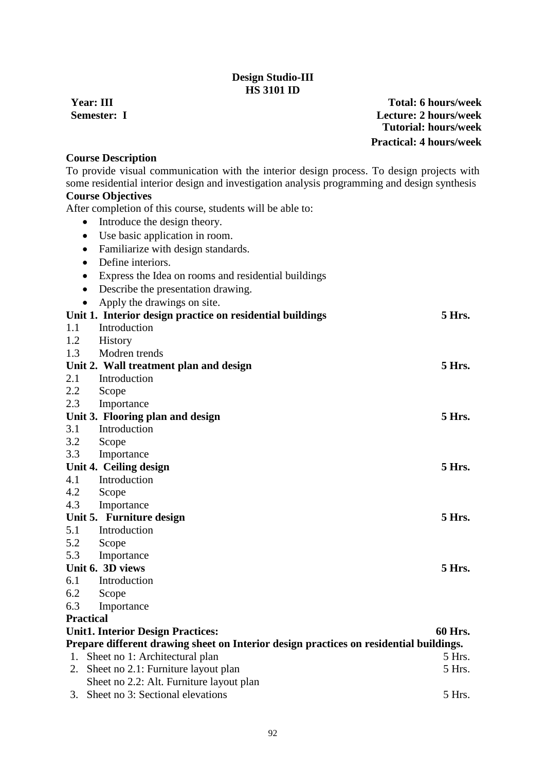# **Design Studio-III HS 3101 ID**

**Year: III Total: 6 hours/week**<br> **Semester: I Lecture: 2 hours/week Semester: I Lecture: 2 hours/week Tutorial: hours/week Practical: 4 hours/week**

# **Course Description**<br>To provide visual co

|     | To provide visual communication with the interior design process. To design projects with    |                |
|-----|----------------------------------------------------------------------------------------------|----------------|
|     | some residential interior design and investigation analysis programming and design synthesis |                |
|     | <b>Course Objectives</b>                                                                     |                |
|     | After completion of this course, students will be able to:                                   |                |
|     | Introduce the design theory.                                                                 |                |
|     | Use basic application in room.<br>$\bullet$                                                  |                |
|     | Familiarize with design standards.<br>$\bullet$                                              |                |
|     | Define interiors.<br>$\bullet$                                                               |                |
|     | Express the Idea on rooms and residential buildings<br>$\bullet$                             |                |
|     | Describe the presentation drawing.<br>$\bullet$                                              |                |
|     | Apply the drawings on site.<br>$\bullet$                                                     |                |
|     | Unit 1. Interior design practice on residential buildings                                    | 5 Hrs.         |
| 1.1 | Introduction                                                                                 |                |
| 1.2 | <b>History</b>                                                                               |                |
| 1.3 | Modren trends                                                                                |                |
|     | Unit 2. Wall treatment plan and design                                                       | 5 Hrs.         |
| 2.1 | Introduction                                                                                 |                |
| 2.2 | Scope                                                                                        |                |
| 2.3 | Importance                                                                                   |                |
|     | Unit 3. Flooring plan and design                                                             | 5 Hrs.         |
| 3.1 | Introduction                                                                                 |                |
| 3.2 | Scope                                                                                        |                |
| 3.3 | Importance                                                                                   |                |
|     | Unit 4. Ceiling design                                                                       | 5 Hrs.         |
| 4.1 | Introduction                                                                                 |                |
| 4.2 | Scope                                                                                        |                |
| 4.3 | Importance                                                                                   |                |
|     | Unit 5. Furniture design                                                                     | 5 Hrs.         |
| 5.1 | Introduction                                                                                 |                |
| 5.2 | Scope                                                                                        |                |
| 5.3 | Importance                                                                                   |                |
|     | Unit 6. 3D views                                                                             | 5 Hrs.         |
| 6.1 | Introduction                                                                                 |                |
| 6.2 | Scope                                                                                        |                |
| 6.3 | Importance                                                                                   |                |
|     | <b>Practical</b>                                                                             |                |
|     | <b>Unit1. Interior Design Practices:</b>                                                     | <b>60 Hrs.</b> |
|     | Prepare different drawing sheet on Interior design practices on residential buildings.       |                |
| 1.  | Sheet no 1: Architectural plan                                                               | 5 Hrs.         |
| 2.  | Sheet no 2.1: Furniture layout plan                                                          | 5 Hrs.         |
|     | Sheet no 2.2: Alt. Furniture layout plan                                                     |                |
|     | 3. Sheet no 3: Sectional elevations                                                          | 5 Hrs.         |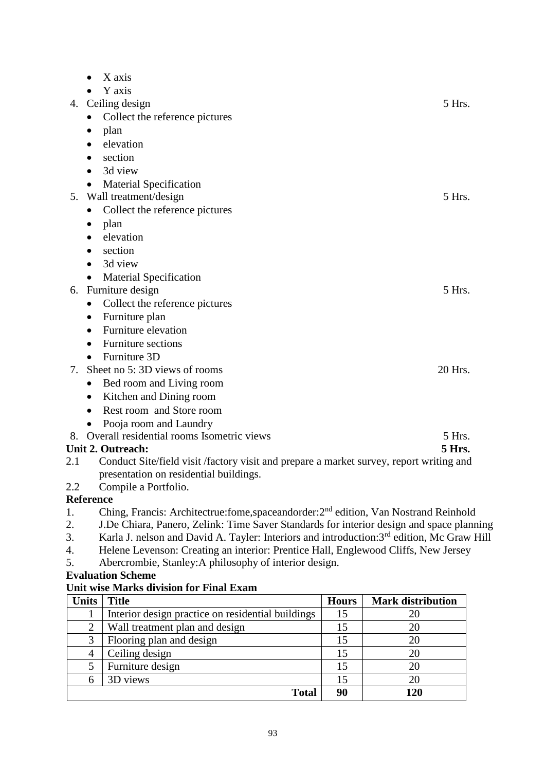|    | X axis<br>$\bullet$                                                                        |               |
|----|--------------------------------------------------------------------------------------------|---------------|
|    | Y axis                                                                                     |               |
|    | 4. Ceiling design                                                                          | $5$ Hrs.      |
|    | Collect the reference pictures                                                             |               |
|    | plan                                                                                       |               |
|    | elevation<br>٠                                                                             |               |
|    | section                                                                                    |               |
|    | 3d view<br>$\bullet$                                                                       |               |
|    | <b>Material Specification</b><br>$\bullet$                                                 |               |
|    | 5. Wall treatment/design                                                                   | $5$ Hrs.      |
|    | Collect the reference pictures<br>$\bullet$                                                |               |
|    | plan                                                                                       |               |
|    | elevation<br>$\bullet$                                                                     |               |
|    | section<br>٠                                                                               |               |
|    | 3d view                                                                                    |               |
|    | Material Specification<br>$\bullet$                                                        |               |
|    | 6. Furniture design                                                                        | $5$ Hrs.      |
|    | Collect the reference pictures<br>$\bullet$                                                |               |
|    | Furniture plan<br>$\bullet$                                                                |               |
|    | Furniture elevation<br>$\bullet$                                                           |               |
|    | <b>Furniture sections</b><br>٠                                                             |               |
|    | Furniture 3D                                                                               |               |
| 7. | Sheet no 5: 3D views of rooms                                                              | 20 Hrs.       |
|    | Bed room and Living room<br>$\bullet$                                                      |               |
|    | Kitchen and Dining room<br>$\bullet$                                                       |               |
|    | Rest room and Store room                                                                   |               |
|    | Pooja room and Laundry<br>$\bullet$                                                        |               |
|    | 8. Overall residential rooms Isometric views                                               | 5 Hrs.        |
|    | <b>Unit 2. Outreach:</b>                                                                   | <b>5 Hrs.</b> |
|    | 2.1 Conduct Site/field visit (fectory visit and prepare a market survey report writing and |               |

- 2.1 Conduct Site/field visit /factory visit and prepare a market survey, report writing and presentation on residential buildings.
- 2.2 Compile a Portfolio.

# **Reference**

- 1. Ching, Francis: Architectrue: fome, spaceandorder: 2<sup>nd</sup> edition, Van Nostrand Reinhold
- 2. J.De Chiara, Panero, Zelink: Time Saver Standards for interior design and space planning
- 3. Karla J. nelson and David A. Tayler: Interiors and introduction: $3^{rd}$  edition, Mc Graw Hill<br>4. Helene Levenson: Creating an interior: Prentice Hall. Englewood Cliffs. New Jersey
- 4. Helene Levenson: Creating an interior: Prentice Hall, Englewood Cliffs, New Jersey
- 5. Abercrombie, Stanley:A philosophy of interior design.

#### **Evaluation Scheme**

| Units | <b>Title</b>                                      | <b>Hours</b> | <b>Mark distribution</b> |
|-------|---------------------------------------------------|--------------|--------------------------|
|       | Interior design practice on residential buildings | 15           | 20                       |
| 2     | Wall treatment plan and design                    | 15           | 20                       |
| 3     | Flooring plan and design                          | 15           | 20                       |
| 4     | Ceiling design                                    | 15           | 20                       |
|       | Furniture design                                  | 15           | 20                       |
| 6     | 3D views                                          | 15           | 20                       |
|       | <b>Total</b>                                      | 90           | 120                      |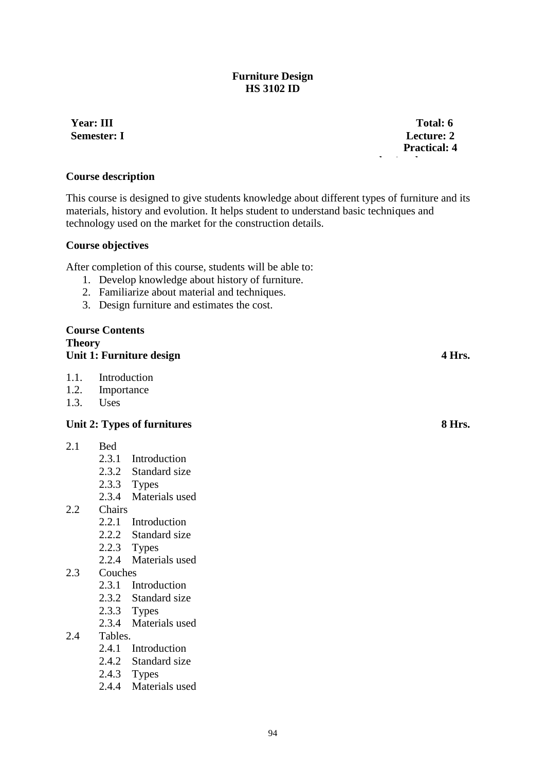# **Furniture Design HS 3102 ID**

**Year:** III Total: 6 **Semester: I Lecture: 2** 

 **Practical: 4** 

**hrs/week**

#### **Course description**

This course is designed to give students knowledge about different types of furniture and its materials, history and evolution. It helps student to understand basic techniques and technology used on the market for the construction details.

#### **Course objectives**

After completion of this course, students will be able to:

- 1. Develop knowledge about history of furniture.
- 2. Familiarize about material and techniques.
- 3. Design furniture and estimates the cost.

#### **Course Contents Theory**  Unit 1: Furniture design **4 Hrs.**

- 1.1. Introduction
- 1.2. Importance
- 1.3. Uses

# **Unit 2: Types of furnitures 8 Hrs.**

- 2.1 Bed
	- 2.3.1 Introduction
	- 2.3.2 Standard size
	- 2.3.3 Types
	- 2.3.4 Materials used
- 2.2 Chairs
	- 2.2.1 Introduction
	- 2.2.2 Standard size
	- 2.2.3 Types
	- 2.2.4 Materials used
- 2.3 Couches
	- 2.3.1 Introduction
		- 2.3.2 Standard size
	- 2.3.3 Types
		- 2.3.4 Materials used
- 2.4 Tables.
	- 2.4.1 Introduction
	- 2.4.2 Standard size
	- 2.4.3 Types
	- 2.4.4 Materials used

94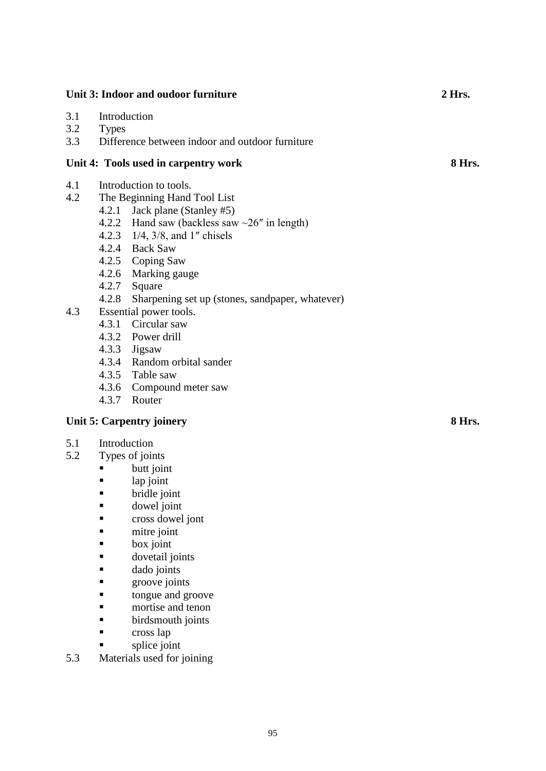# **Unit 3: Indoor and oudoor furniture 2 Hrs.**

- 3.1 Introduction
- 3.2 Types
- 3.3 Difference between indoor and outdoor furniture

# Unit 4: Tools used in carpentry work 8 Hrs.

- 4.1 Introduction to tools.<br>4.2 The Beginning Hand
- The Beginning Hand Tool List
	- 4.2.1 Jack plane (Stanley #5)
	- 4.2.2 Hand saw (backless saw ~26″ in length)
	- 4.2.3 1/4, 3/8, and 1″ chisels
	- 4.2.4 Back Saw
	- 4.2.5 Coping Saw
	- 4.2.6 Marking gauge
	- 4.2.7 Square
	- 4.2.8 Sharpening set up (stones, sandpaper, whatever)
- 4.3 Essential power tools.
	- 4.3.1 Circular saw
	- 4.3.2 Power drill
	- 4.3.3 Jigsaw
	- 4.3.4 Random orbital sander
	- 4.3.5 Table saw
	- 4.3.6 Compound meter saw
	- 4.3.7 Router

# **Unit 5: Carpentry joinery 8 Hrs.**

- 5.1 Introduction
- 5.2 Types of joints
	- butt joint
	- lap joint
	- bridle joint
	- dowel joint
	- cross dowel jont
	- mitre joint
	- box joint
	- dovetail joints
	- dado joints
	- **Exercise** groove joints
	- tongue and groove
	- mortise and tenon
	- birdsmouth joints
	- cross lap
	- splice joint
- 5.3 Materials used for joining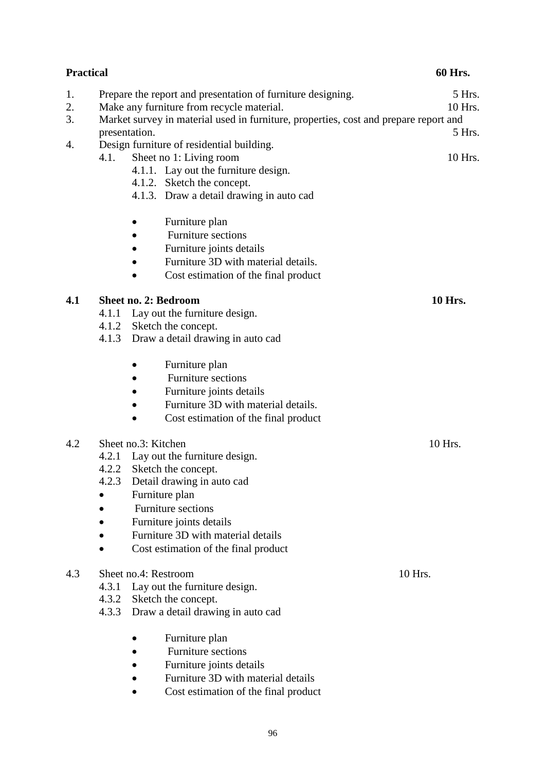| <b>Practical</b> |                         |                                                                                                                                                                                                                                                             | 60 Hrs.                     |
|------------------|-------------------------|-------------------------------------------------------------------------------------------------------------------------------------------------------------------------------------------------------------------------------------------------------------|-----------------------------|
| 1.<br>2.<br>3.   | presentation.           | Prepare the report and presentation of furniture designing.<br>Make any furniture from recycle material.<br>Market survey in material used in furniture, properties, cost and prepare report and                                                            | 5 Hrs.<br>10 Hrs.<br>5 Hrs. |
| 4.               | 4.1.                    | Design furniture of residential building.<br>Sheet no 1: Living room<br>4.1.1. Lay out the furniture design.<br>4.1.2. Sketch the concept.<br>4.1.3. Draw a detail drawing in auto cad                                                                      | 10 Hrs.                     |
|                  |                         | Furniture plan<br>Furniture sections<br>Furniture joints details<br>Furniture 3D with material details.<br>Cost estimation of the final product                                                                                                             |                             |
| 4.1              | 4.1.1                   | Sheet no. 2: Bedroom<br>Lay out the furniture design.<br>4.1.2 Sketch the concept.<br>4.1.3 Draw a detail drawing in auto cad                                                                                                                               | <b>10 Hrs.</b>              |
|                  |                         | Furniture plan<br>Furniture sections<br>Furniture joints details<br>Furniture 3D with material details.<br>Cost estimation of the final product                                                                                                             |                             |
| 4.2              | 4.2.1<br>4.2.2<br>4.2.3 | Sheet no.3: Kitchen<br>Lay out the furniture design.<br>Sketch the concept.<br>Detail drawing in auto cad<br>Furniture plan<br>Furniture sections<br>Furniture joints details<br>Furniture 3D with material details<br>Cost estimation of the final product | 10 Hrs.                     |
| 4.3              | 4.3.1<br>4.3.2<br>4.3.3 | Sheet no.4: Restroom<br>Lay out the furniture design.<br>Sketch the concept.<br>Draw a detail drawing in auto cad<br>Furniture plan<br><b>Furniture sections</b>                                                                                            | 10 Hrs.                     |
|                  |                         | Furniture joints details<br>Furniture 3D with material details<br>Cost estimation of the final product                                                                                                                                                      |                             |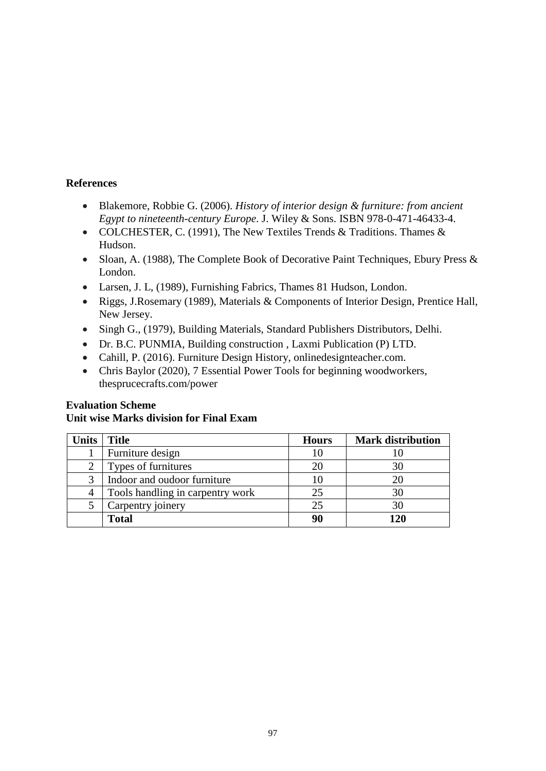# **References**

- Blakemore, Robbie G. (2006). *[History of interior design & furniture: from ancient](https://books.google.com/books?id=NTzrAAAAMAAJ) [Egypt to nineteenth-century Europe](https://books.google.com/books?id=NTzrAAAAMAAJ)*. J. Wiley & Sons. [ISBN](https://en.wikipedia.org/wiki/ISBN_(identifier)) [978-0-471-46433-4.](https://en.wikipedia.org/wiki/Special:BookSources/978-0-471-46433-4)
- COLCHESTER, C. (1991), The New Textiles Trends & Traditions. Thames & Hudson.
- Sloan, A. (1988), The Complete Book of Decorative Paint Techniques, Ebury Press & London.
- Larsen, J. L, (1989), Furnishing Fabrics, Thames 81 Hudson, London.
- Riggs, J.Rosemary (1989), Materials & Components of Interior Design, Prentice Hall, New Jersey.
- Singh G., (1979), Building Materials, Standard Publishers Distributors, Delhi.
- Dr. B.C. PUNMIA, Building construction , Laxmi Publication (P) LTD.
- Cahill, P. (2016). [Furniture](https://www.onlinedesignteacher.com/2016/02/furniture-design-history.html?utm_medium=website&utm_source=archdaily.com) Design History, onlinedesignteacher.com.
- Chris Baylor (2020), 7 Essential Power Tools for beginning woodworkers, thesprucecrafts.com/power

### **Evaluation Scheme Unit wise Marks division for Final Exam**

| Units | <b>Title</b>                     | <b>Hours</b> | <b>Mark distribution</b> |
|-------|----------------------------------|--------------|--------------------------|
|       | Furniture design                 |              |                          |
|       | Types of furnitures              |              | 30                       |
|       | Indoor and oudoor furniture      |              |                          |
|       | Tools handling in carpentry work | 25           | 30                       |
| 5     | Carpentry joinery                | 25           | 30                       |
|       | <b>Total</b>                     | 90           | 120                      |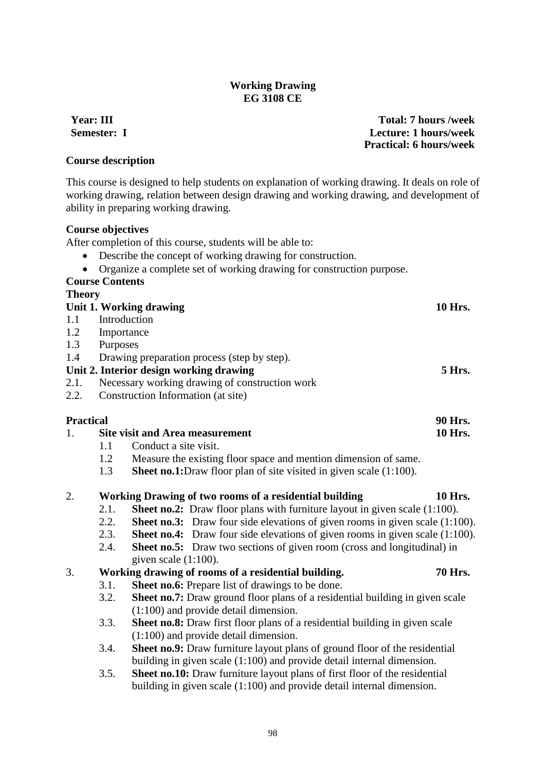#### **Working Drawing EG 3108 CE**

**Course description**

This course is designed to help students on explanation of working drawing. It deals on role of working drawing, relation between design drawing and working drawing, and development of ability in preparing working drawing.

#### **Course objectives**

After completion of this course, students will be able to:

- Describe the concept of working drawing for construction.
- Organize a complete set of working drawing for construction purpose.

# **Course Contents**

**Theory**

|                  |            | Unit 1. Working drawing                                                                                   | <b>10 Hrs.</b> |
|------------------|------------|-----------------------------------------------------------------------------------------------------------|----------------|
| 1.1              |            | Introduction                                                                                              |                |
| 1.2              | Importance |                                                                                                           |                |
| 1.3              | Purposes   |                                                                                                           |                |
| 1.4              |            | Drawing preparation process (step by step).                                                               |                |
|                  |            | Unit 2. Interior design working drawing                                                                   | <b>5 Hrs.</b>  |
| 2.1.             |            | Necessary working drawing of construction work                                                            |                |
| 2.2.             |            | Construction Information (at site)                                                                        |                |
| <b>Practical</b> |            |                                                                                                           | 90 Hrs.        |
| 1.               |            | <b>Site visit and Area measurement</b>                                                                    | 10 Hrs.        |
|                  | 1.1        | Conduct a site visit.                                                                                     |                |
|                  | 1.2        | Measure the existing floor space and mention dimension of same.                                           |                |
|                  | 1.3        | <b>Sheet no.1:</b> Draw floor plan of site visited in given scale (1:100).                                |                |
| 2.               |            | Working Drawing of two rooms of a residential building                                                    | 10 Hrs.        |
|                  | 2.1.       | <b>Sheet no.2:</b> Draw floor plans with furniture layout in given scale (1:100).                         |                |
|                  | 2.2.       | <b>Sheet no.3:</b> Draw four side elevations of given rooms in given scale $(1:100)$ .                    |                |
|                  | 2.3.       | <b>Sheet no.4:</b> Draw four side elevations of given rooms in given scale $(1:100)$ .                    |                |
|                  | 2.4.       | <b>Sheet no.5:</b> Draw two sections of given room (cross and longitudinal) in<br>given scale $(1:100)$ . |                |
| 3.               |            | Working drawing of rooms of a residential building.                                                       | <b>70 Hrs.</b> |
|                  | 3.1.       | Sheet no.6: Prepare list of drawings to be done.                                                          |                |
|                  | 3.2.       | <b>Sheet no.7:</b> Draw ground floor plans of a residential building in given scale                       |                |
|                  |            | $(1:100)$ and provide detail dimension.                                                                   |                |
|                  | 3.3.       | <b>Sheet no.8:</b> Draw first floor plans of a residential building in given scale                        |                |
|                  |            | $(1:100)$ and provide detail dimension.                                                                   |                |
|                  | 3.4.       | Sheet no.9: Draw furniture layout plans of ground floor of the residential                                |                |
|                  |            | building in given scale (1:100) and provide detail internal dimension.                                    |                |
|                  | 3.5.       | Sheet no.10: Draw furniture layout plans of first floor of the residential                                |                |
|                  |            | building in given scale (1:100) and provide detail internal dimension.                                    |                |
|                  |            |                                                                                                           |                |

**Year: III Total: 7 hours /week Semester: I Lecture: 1 hours/week Practical: 6 hours/week**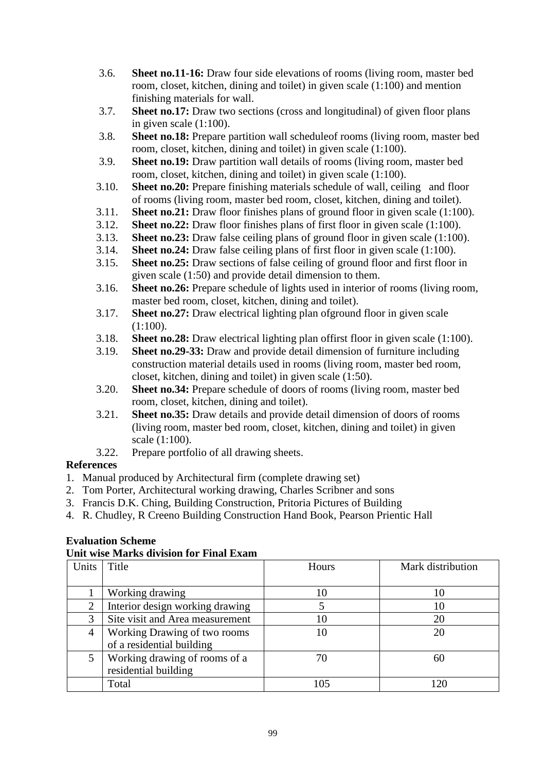- 3.6. **Sheet no.11-16:** Draw four side elevations of rooms (living room, master bed room, closet, kitchen, dining and toilet) in given scale (1:100) and mention finishing materials for wall.
- 3.7. **Sheet no.17:** Draw two sections (cross and longitudinal) of given floor plans in given scale (1:100).
- 3.8. **Sheet no.18:** Prepare partition wall scheduleof rooms (living room, master bed room, closet, kitchen, dining and toilet) in given scale (1:100).
- 3.9. **Sheet no.19:** Draw partition wall details of rooms (living room, master bed room, closet, kitchen, dining and toilet) in given scale (1:100).
- 3.10. **Sheet no.20:** Prepare finishing materials schedule of wall, ceiling and floor of rooms (living room, master bed room, closet, kitchen, dining and toilet).
- 3.11. **Sheet no.21:** Draw floor finishes plans of ground floor in given scale (1:100).
- 3.12. **Sheet no.22:** Draw floor finishes plans of first floor in given scale (1:100).
- 3.13. **Sheet no.23:** Draw false ceiling plans of ground floor in given scale (1:100).
- 3.14. **Sheet no.24:** Draw false ceiling plans of first floor in given scale (1:100).
- 3.15. **Sheet no.25:** Draw sections of false ceiling of ground floor and first floor in given scale (1:50) and provide detail dimension to them.
- 3.16. **Sheet no.26:** Prepare schedule of lights used in interior of rooms (living room, master bed room, closet, kitchen, dining and toilet).
- 3.17. **Sheet no.27:** Draw electrical lighting plan ofground floor in given scale (1:100).
- 3.18. **Sheet no.28:** Draw electrical lighting plan offirst floor in given scale (1:100).
- 3.19. **Sheet no.29-33:** Draw and provide detail dimension of furniture including construction material details used in rooms (living room, master bed room, closet, kitchen, dining and toilet) in given scale (1:50).
- 3.20. **Sheet no.34:** Prepare schedule of doors of rooms (living room, master bed room, closet, kitchen, dining and toilet).
- 3.21. **Sheet no.35:** Draw details and provide detail dimension of doors of rooms (living room, master bed room, closet, kitchen, dining and toilet) in given scale (1:100).
- 3.22. Prepare portfolio of all drawing sheets.

#### **References**

- 1. Manual produced by Architectural firm (complete drawing set)
- 2. Tom Porter, Architectural working drawing, Charles Scribner and sons
- 3. Francis D.K. Ching, Building Construction, Pritoria Pictures of Building
- 4. R. Chudley, R Creeno Building Construction Hand Book, Pearson Prientic Hall

# **Evaluation Scheme**

| Units | Title                           | Hours | Mark distribution |
|-------|---------------------------------|-------|-------------------|
|       |                                 |       |                   |
|       | Working drawing                 | 10    | 10                |
| 2     | Interior design working drawing |       | 10                |
| 3     | Site visit and Area measurement | 10    | 20                |
| 4     | Working Drawing of two rooms    | 10    | 20                |
|       | of a residential building       |       |                   |
| 5     | Working drawing of rooms of a   | 70    | 60                |
|       | residential building            |       |                   |
|       | Total                           | 105   | 120               |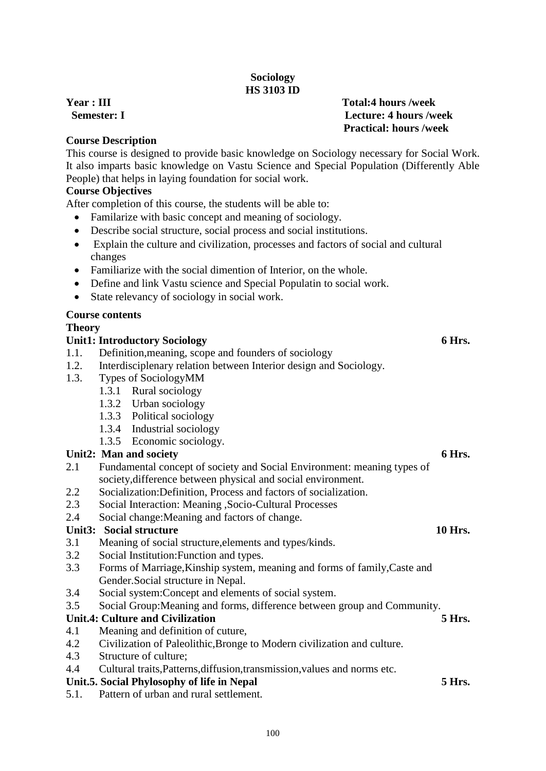# **Sociology HS 3103 ID**

# **Year : III** Total:4 **hours /week Semester: I Lecture: 4 hours /week Practical: hours /week**

# **Course Description**

This course is designed to provide basic knowledge on Sociology necessary for Social Work. It also imparts basic knowledge on Vastu Science and Special Population (Differently Able People) that helps in laying foundation for social work.

# **Course Objectives**

After completion of this course, the students will be able to:

- Familarize with basic concept and meaning of sociology.
- Describe social structure, social process and social institutions.
- Explain the culture and civilization, processes and factors of social and cultural changes
- Familiarize with the social dimention of Interior, on the whole.
- Define and link Vastu science and Special Populatin to social work.
- State relevancy of sociology in social work.

# **Course contents**

# **Theory**

# **Unit1: Introductory Sociology 6 Hrs.**

- 1.1. Definition,meaning, scope and founders of sociology
- 1.2. Interdisciplenary relation between Interior design and Sociology.
- 1.3. Types of SociologyMM
	- 1.3.1 Rural sociology
	- 1.3.2 Urban sociology
	- 1.3.3 Political sociology
	- 1.3.4 Industrial sociology
	- 1.3.5 Economic sociology.

# Unit2: Man and society **6 Hrs. 6 Hrs. 6 Hrs.**

- 2.1 Fundamental concept of society and Social Environment: meaning types of society,difference between physical and social environment.
- 2.2 Socialization:Definition, Process and factors of socialization.
- 2.3 Social Interaction: Meaning ,Socio-Cultural Processes
- 2.4 Social change:Meaning and factors of change.

# **Unit3: Social structure 10 Hrs.**

- 3.1 Meaning of social structure,elements and types/kinds.
- 3.2 Social Institution:Function and types.
- 3.3 Forms of Marriage,Kinship system, meaning and forms of family,Caste and Gender.Social structure in Nepal.
- 3.4 Social system:Concept and elements of social system.
- 3.5 Social Group:Meaning and forms, difference between group and Community.

# **Unit.4: Culture and Civilization 5 Hrs.**

- 4.1 Meaning and definition of cuture,
- 4.2 Civilization of Paleolithic,Bronge to Modern civilization and culture.
- 4.3 Structure of culture;
- 4.4 Cultural traits,Patterns,diffusion,transmission,values and norms etc.

# **Unit.5. Social Phylosophy of life in Nepal 5 Hrs.**

5.1. Pattern of urban and rural settlement.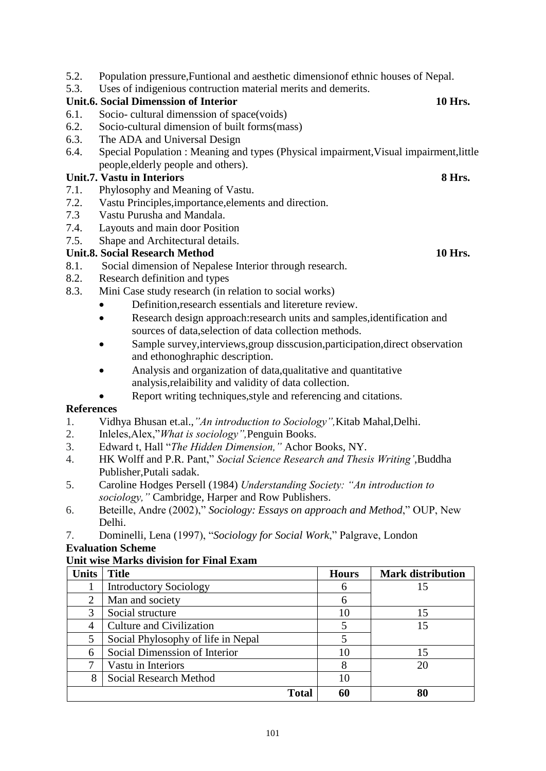- 5.2. Population pressure,Funtional and aesthetic dimensionof ethnic houses of Nepal.
- 5.3. Uses of indigenious contruction material merits and demerits.

# **Unit.6. Social Dimenssion of Interior 10 Hrs.**

- 6.1. Socio- cultural dimenssion of space(voids)
- 6.2. Socio-cultural dimension of built forms(mass)
- 6.3. The ADA and Universal Design
- 6.4. Special Population : Meaning and types (Physical impairment,Visual impairment,little people,elderly people and others).

# **Unit.7. Vastu in Interiors 8 Hrs.**

- 7.1. Phylosophy and Meaning of Vastu.
- 7.2. Vastu Principles,importance,elements and direction.
- 7.3 Vastu Purusha and Mandala.
- 7.4. Layouts and main door Position
- 7.5. Shape and Architectural details.

# **Unit.8. Social Research Method 10 Hrs.**

- 8.1. Social dimension of Nepalese Interior through research.
- 8.2. Research definition and types
- 8.3. Mini Case study research (in relation to social works)
	- Definition, research essentials and litereture review.
	- Research design approach: research units and samples, identification and sources of data,selection of data collection methods.
	- Sample survey, interviews, group disscusion, participation, direct observation and ethonoghraphic description.
	- Analysis and organization of data,qualitative and quantitative analysis,relaibility and validity of data collection.
	- Report writing techniques, style and referencing and citations.

# **References**

- 1. Vidhya Bhusan et.al.,*"An introduction to Sociology",*Kitab Mahal,Delhi.
- 2. Inleles,Alex,"*What is sociology",*Penguin Books.
- 3. Edward t, Hall "*The Hidden Dimension,"* Achor Books, NY.
- 4. HK Wolff and P.R. Pant," *Social Science Research and Thesis Writing'*,Buddha Publisher,Putali sadak.
- 5. Caroline Hodges Persell (1984) *Understanding Society: "An introduction to sociology,"* Cambridge, Harper and Row Publishers.
- 6. Beteille, Andre (2002)," *Sociology: Essays on approach and Method*," OUP, New Delhi.
- 7. Dominelli, Lena (1997), "*Sociology for Social Work*," Palgrave, London **Evaluation Scheme**

| <b>Units</b>   | <b>Title</b>                       | <b>Hours</b> | <b>Mark distribution</b> |
|----------------|------------------------------------|--------------|--------------------------|
|                | <b>Introductory Sociology</b>      | 6            | 15                       |
| $\overline{2}$ | Man and society                    | 6            |                          |
| 3              | Social structure                   | 10           | 15                       |
| 4              | Culture and Civilization           |              | 15                       |
| 5              | Social Phylosophy of life in Nepal |              |                          |
| 6              | Social Dimenssion of Interior      | 10           | 15                       |
| ⇁              | Vastu in Interiors                 |              | 20                       |
| 8              | Social Research Method             | 10           |                          |
|                | <b>Total</b>                       | 60           |                          |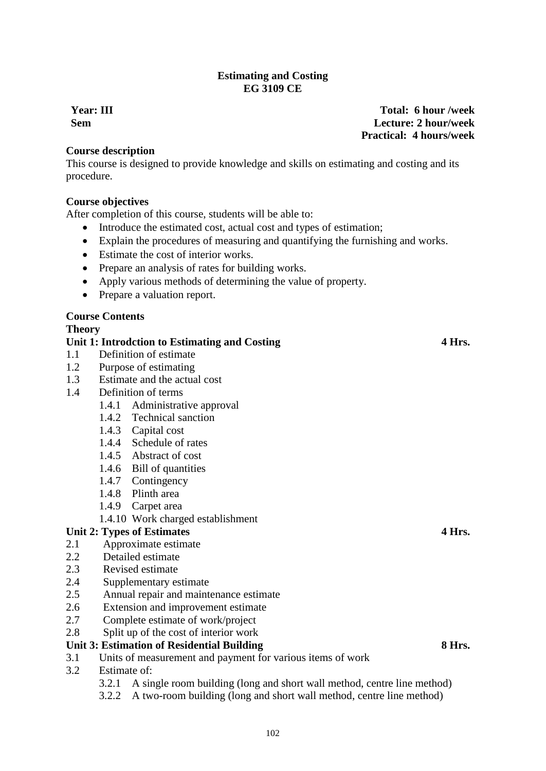### **Estimating and Costing EG 3109 CE**

**Sem**

### **Course description**

This course is designed to provide knowledge and skills on estimating and costing and its procedure.

### **Course objectives**

After completion of this course, students will be able to:

- Introduce the estimated cost, actual cost and types of estimation;
- Explain the procedures of measuring and quantifying the furnishing and works.
- Estimate the cost of interior works.
- Prepare an analysis of rates for building works.
- Apply various methods of determining the value of property.
- Prepare a valuation report.

#### **Course Contents**

#### **Theory**

#### Unit 1: Introdction to Estimating and Costing **1996 4 Arts.**

- 1.1 Definition of estimate
- 1.2 Purpose of estimating
- 1.3 Estimate and the actual cost
- 1.4 Definition of terms
	- 1.4.1 Administrative approval
	- 1.4.2 Technical sanction
	- 1.4.3 Capital cost
	- 1.4.4 Schedule of rates
	- 1.4.5 Abstract of cost
	- 1.4.6 Bill of quantities
	- 1.4.7 Contingency
	- 1.4.8 Plinth area
	- 1.4.9 Carpet area
	- 1.4.10 Work charged establishment

#### **Unit 2: Types of Estimates 4 Hrs.**

- 2.1 Approximate estimate
- 2.2 Detailed estimate
- 2.3 Revised estimate
- 2.4 Supplementary estimate
- 2.5 Annual repair and maintenance estimate
- 2.6 Extension and improvement estimate
- 2.7 Complete estimate of work/project
- 2.8 Split up of the cost of interior work

# **Unit 3: Estimation of Residential Building 8 Hrs.**

- 3.1 Units of measurement and payment for various items of work
- 3.2 Estimate of:
	- 3.2.1 A single room building (long and short wall method, centre line method)
	- 3.2.2 A two-room building (long and short wall method, centre line method)

# **Year: III Total: 6 hour /week Lecture: 2 hour/week Practical: 4 hours/week**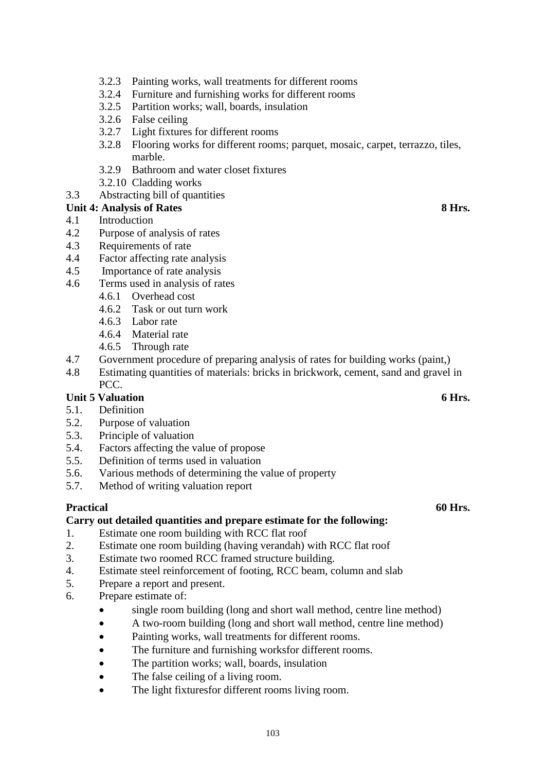- 3.2.3 Painting works, wall treatments for different rooms
- 3.2.4 Furniture and furnishing works for different rooms
- 3.2.5 Partition works; wall, boards, insulation
- 3.2.6 False ceiling
- 3.2.7 Light fixtures for different rooms
- 3.2.8 Flooring works for different rooms; parquet, mosaic, carpet, terrazzo, tiles, marble.
- 3.2.9 Bathroom and water closet fixtures
- 3.2.10 Cladding works
- 3.3 Abstracting bill of quantities

# **Unit 4: Analysis of Rates 8 Hrs.**

- 4.1 Introduction
- 4.2 Purpose of analysis of rates
- 4.3 Requirements of rate
- 4.4 Factor affecting rate analysis
- 4.5 Importance of rate analysis
- 4.6 Terms used in analysis of rates
	- 4.6.1 Overhead cost
	- 4.6.2 Task or out turn work
	- 4.6.3 Labor rate
	- 4.6.4 Material rate
	- 4.6.5 Through rate
- 4.7 Government procedure of preparing analysis of rates for building works (paint,)
- 4.8 Estimating quantities of materials: bricks in brickwork, cement, sand and gravel in PCC.

# **Unit 5 Valuation 6 Hrs.**

- 5.1. Definition
- 5.2. Purpose of valuation
- 5.3. Principle of valuation
- 5.4. Factors affecting the value of propose
- 5.5. Definition of terms used in valuation
- 5.6. Various methods of determining the value of property
- 5.7. Method of writing valuation report

#### **Practical 60 Hrs.**

# **Carry out detailed quantities and prepare estimate for the following:**

- 1. Estimate one room building with RCC flat roof
- 2. Estimate one room building (having verandah) with RCC flat roof
- 3. Estimate two roomed RCC framed structure building.
- 4. Estimate steel reinforcement of footing, RCC beam, column and slab
- 5. Prepare a report and present.
- 6. Prepare estimate of:
	- single room building (long and short wall method, centre line method)
	- A two-room building (long and short wall method, centre line method)
	- Painting works, wall treatments for different rooms.
	- The furniture and furnishing worksfor different rooms.
	- The partition works; wall, boards, insulation
	- The false ceiling of a living room.
	- The light fixturesfor different rooms living room.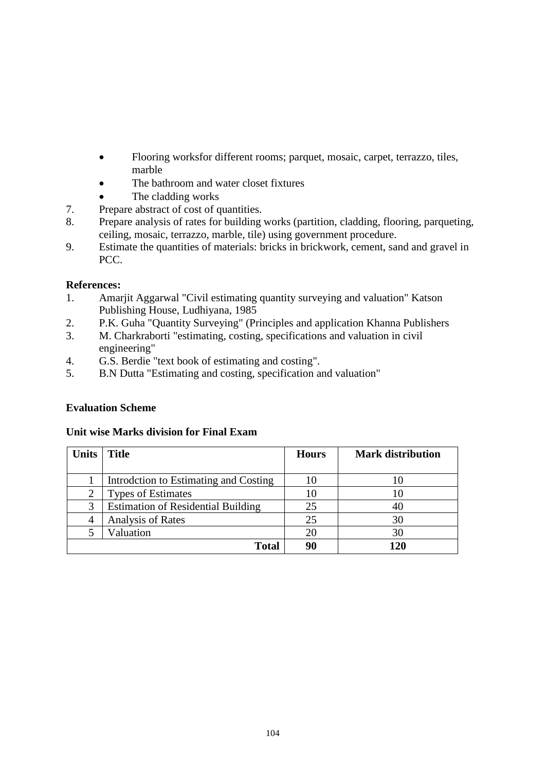- Flooring worksfor different rooms; parquet, mosaic, carpet, terrazzo, tiles, marble
- The bathroom and water closet fixtures
- The cladding works
- 7. Prepare abstract of cost of quantities.
- 8. Prepare analysis of rates for building works (partition, cladding, flooring, parqueting, ceiling, mosaic, terrazzo, marble, tile) using government procedure.
- 9. Estimate the quantities of materials: bricks in brickwork, cement, sand and gravel in PCC.

# **References:**

- 1. Amarjit Aggarwal "Civil estimating quantity surveying and valuation" Katson Publishing House, Ludhiyana, 1985
- 2. P.K. Guha "Quantity Surveying" (Principles and application Khanna Publishers
- 3. M. Charkraborti "estimating, costing, specifications and valuation in civil engineering"
- 4. G.S. Berdie "text book of estimating and costing".
- 5. B.N Dutta "Estimating and costing, specification and valuation"

#### **Evaluation Scheme**

| <b>Units</b> | <b>Title</b>                              | <b>Hours</b> | <b>Mark distribution</b> |
|--------------|-------------------------------------------|--------------|--------------------------|
|              |                                           |              |                          |
|              | Introdction to Estimating and Costing     |              |                          |
| 2            | <b>Types of Estimates</b>                 | 10           |                          |
|              | <b>Estimation of Residential Building</b> | 25           |                          |
| 4            | Analysis of Rates                         | 25           | 30                       |
|              | Valuation                                 | 20           | 30                       |
|              | <b>Total</b>                              | 90           | 120                      |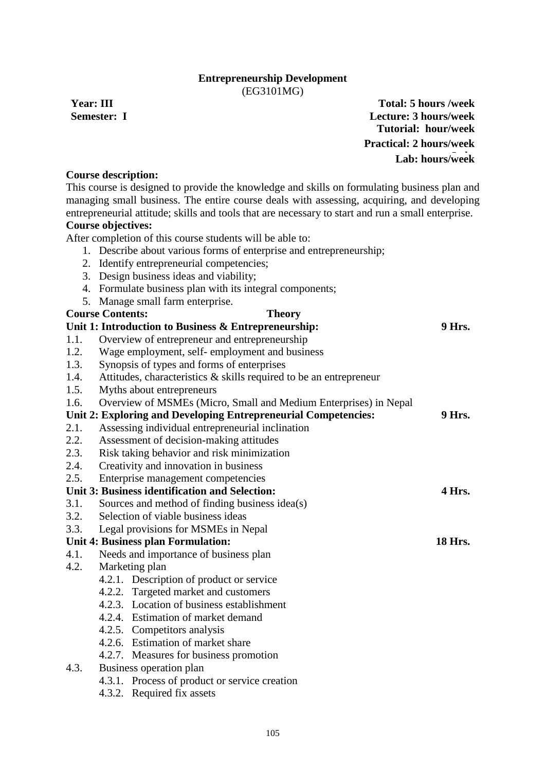#### **Entrepreneurship Development** (EG3101MG)

**Year: III Total: 5 hours /week Semester: I Lecture: 3 hours/week Tutorial: hour/week Practical: 2 hours/week Lab Lab: : hours/week**

#### **Course description:**

This course is designed to provide the knowledge and skills on formulating business plan and managing small business. The entire course deals with assessing, acquiring, and developing entrepreneurial attitude; skills and tools that are necessary to start and run a small enterprise.

# **Course objectives:**

After completion of this course students will be able to:

- 1. Describe about various forms of enterprise and entrepreneurship;
- 2. Identify entrepreneurial competencies;
- 3. Design business ideas and viability;
- 4. Formulate business plan with its integral components;
- 5. Manage small farm enterprise.

### **Course Contents: Theory Unit 1: Introduction to Business & Entrepreneurship: 9 Hrs.** 1.1. Overview of entrepreneur and entrepreneurship 1.2. Wage employment, self- employment and business 1.3. Synopsis of types and forms of enterprises 1.4. Attitudes, characteristics & skills required to be an entrepreneur 1.5. Myths about entrepreneurs 1.6. Overview of MSMEs (Micro, Small and Medium Enterprises) in Nepal **Unit 2: Exploring and Developing Entrepreneurial Competencies: 9 Hrs.** 2.1. Assessing individual entrepreneurial inclination 2.2. Assessment of decision-making attitudes 2.3. Risk taking behavior and risk minimization 2.4. Creativity and innovation in business 2.5. Enterprise management competencies **Unit 3: Business identification and Selection: 4 Hrs.** 3.1. Sources and method of finding business idea(s) 3.2. Selection of viable business ideas 3.3. Legal provisions for MSMEs in Nepal **Unit 4: Business plan Formulation: 18 Hrs.** 4.1. Needs and importance of business plan 4.2. Marketing plan 4.2.1. Description of product or service 4.2.2. Targeted market and customers 4.2.3. Location of business establishment 4.2.4. Estimation of market demand 4.2.5. Competitors analysis 4.2.6. Estimation of market share 4.2.7. Measures for business promotion 4.3. Business operation plan

- 4.3.1. Process of product or service creation
	- 4.3.2. Required fix assets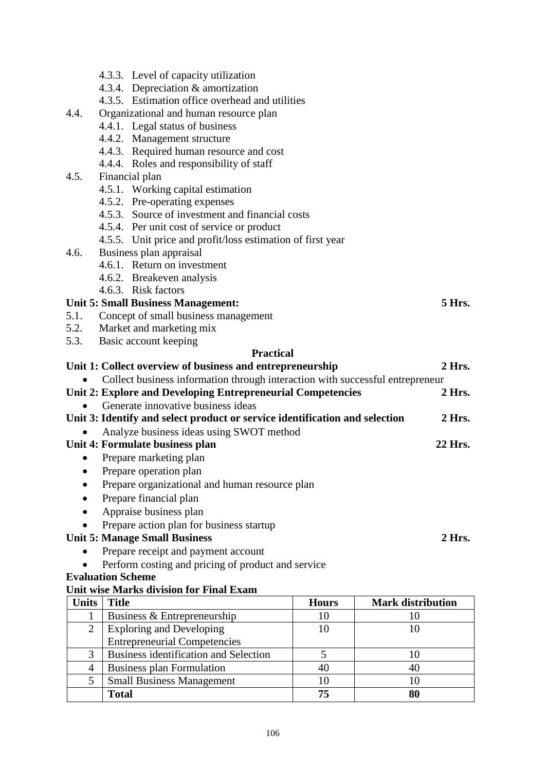|                                                                                              |                                                    | 4.3.3. Level of capacity utilization                                        |              |                          |  |  |  |  |
|----------------------------------------------------------------------------------------------|----------------------------------------------------|-----------------------------------------------------------------------------|--------------|--------------------------|--|--|--|--|
|                                                                                              | 4.3.4. Depreciation & amortization                 |                                                                             |              |                          |  |  |  |  |
|                                                                                              | 4.3.5. Estimation office overhead and utilities    |                                                                             |              |                          |  |  |  |  |
| 4.4.                                                                                         | Organizational and human resource plan             |                                                                             |              |                          |  |  |  |  |
|                                                                                              | 4.4.1. Legal status of business                    |                                                                             |              |                          |  |  |  |  |
|                                                                                              |                                                    | 4.4.2. Management structure                                                 |              |                          |  |  |  |  |
|                                                                                              |                                                    | 4.4.3. Required human resource and cost                                     |              |                          |  |  |  |  |
|                                                                                              |                                                    | 4.4.4. Roles and responsibility of staff                                    |              |                          |  |  |  |  |
| 4.5.                                                                                         | Financial plan                                     |                                                                             |              |                          |  |  |  |  |
|                                                                                              | 4.5.1. Working capital estimation                  |                                                                             |              |                          |  |  |  |  |
|                                                                                              |                                                    | 4.5.2. Pre-operating expenses                                               |              |                          |  |  |  |  |
|                                                                                              |                                                    | 4.5.3. Source of investment and financial costs                             |              |                          |  |  |  |  |
|                                                                                              |                                                    | 4.5.4. Per unit cost of service or product                                  |              |                          |  |  |  |  |
|                                                                                              |                                                    | 4.5.5. Unit price and profit/loss estimation of first year                  |              |                          |  |  |  |  |
| 4.6.                                                                                         | Business plan appraisal                            |                                                                             |              |                          |  |  |  |  |
|                                                                                              |                                                    | 4.6.1. Return on investment                                                 |              |                          |  |  |  |  |
|                                                                                              |                                                    | 4.6.2. Breakeven analysis                                                   |              |                          |  |  |  |  |
|                                                                                              | 4.6.3. Risk factors                                |                                                                             |              |                          |  |  |  |  |
|                                                                                              |                                                    | <b>Unit 5: Small Business Management:</b>                                   |              | <b>5 Hrs.</b>            |  |  |  |  |
|                                                                                              | 5.1. Concept of small business management          |                                                                             |              |                          |  |  |  |  |
|                                                                                              | 5.2. Market and marketing mix                      |                                                                             |              |                          |  |  |  |  |
| 5.3.                                                                                         | Basic account keeping                              |                                                                             |              |                          |  |  |  |  |
| <b>Practical</b>                                                                             |                                                    |                                                                             |              |                          |  |  |  |  |
| $2$ Hrs.<br>Unit 1: Collect overview of business and entrepreneurship                        |                                                    |                                                                             |              |                          |  |  |  |  |
| Collect business information through interaction with successful entrepreneur                |                                                    |                                                                             |              |                          |  |  |  |  |
| Unit 2: Explore and Developing Entrepreneurial Competencies<br>$2$ Hrs.                      |                                                    |                                                                             |              |                          |  |  |  |  |
| Generate innovative business ideas                                                           |                                                    |                                                                             |              |                          |  |  |  |  |
|                                                                                              |                                                    | Unit 3: Identify and select product or service identification and selection |              | $2$ Hrs.                 |  |  |  |  |
|                                                                                              |                                                    | Analyze business ideas using SWOT method                                    |              |                          |  |  |  |  |
| Unit 4: Formulate business plan<br>22 Hrs.                                                   |                                                    |                                                                             |              |                          |  |  |  |  |
| Prepare marketing plan<br>$\bullet$                                                          |                                                    |                                                                             |              |                          |  |  |  |  |
| Prepare operation plan<br>$\bullet$                                                          |                                                    |                                                                             |              |                          |  |  |  |  |
|                                                                                              | Prepare organizational and human resource plan     |                                                                             |              |                          |  |  |  |  |
|                                                                                              | Prepare financial plan                             |                                                                             |              |                          |  |  |  |  |
|                                                                                              | Appraise business plan                             |                                                                             |              |                          |  |  |  |  |
|                                                                                              |                                                    |                                                                             |              |                          |  |  |  |  |
| Prepare action plan for business startup<br><b>Unit 5: Manage Small Business</b><br>$2$ Hrs. |                                                    |                                                                             |              |                          |  |  |  |  |
|                                                                                              |                                                    |                                                                             |              |                          |  |  |  |  |
|                                                                                              | Prepare receipt and payment account                |                                                                             |              |                          |  |  |  |  |
|                                                                                              | Perform costing and pricing of product and service |                                                                             |              |                          |  |  |  |  |
| <b>Evaluation Scheme</b><br>Unit wise Marks division for Final Exam                          |                                                    |                                                                             |              |                          |  |  |  |  |
| Units                                                                                        | <b>Title</b>                                       |                                                                             | <b>Hours</b> | <b>Mark distribution</b> |  |  |  |  |
| $\mathbf{I}$                                                                                 |                                                    |                                                                             | 10           | 10                       |  |  |  |  |
| 2                                                                                            |                                                    | Business & Entrepreneurship<br><b>Exploring and Developing</b>              | 10           | 10                       |  |  |  |  |
|                                                                                              |                                                    | <b>Entrepreneurial Competencies</b>                                         |              |                          |  |  |  |  |
|                                                                                              |                                                    |                                                                             |              |                          |  |  |  |  |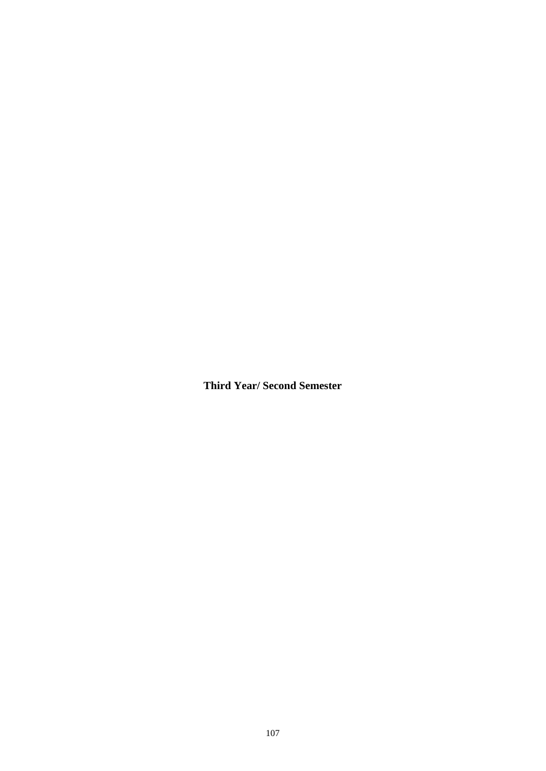**Third Year/ Second Semester**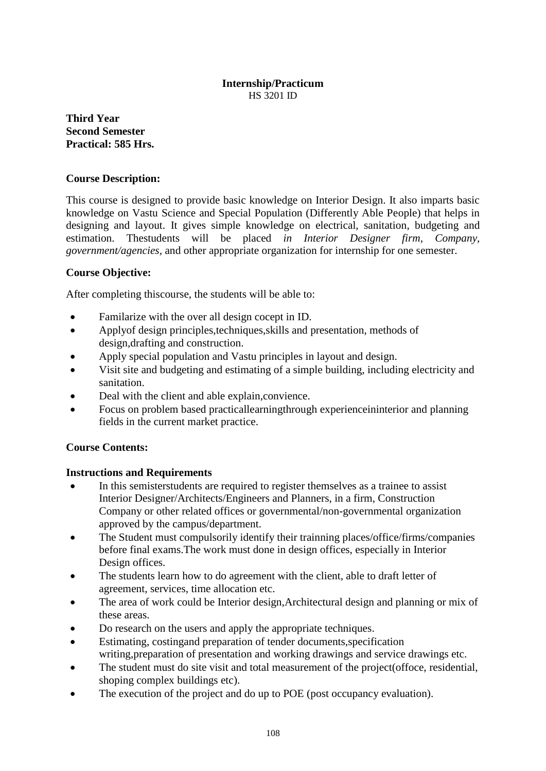### **Internship/Practicum** HS 3201 ID

**Third Year Second Semester**

# **Course Description:**

**Practical: 585 Hrs.**

This course is designed to provide basic knowledge on Interior Design. It also imparts basic knowledge on Vastu Science and Special Population (Differently Able People) that helps in designing and layout. It gives simple knowledge on electrical, sanitation, budgeting and estimation. Thestudents will be placed *in Interior Designer firm, Company, government/agencies,* and other appropriate organization for internship for one semester.

# **Course Objective:**

After completing thiscourse, the students will be able to:

- Familarize with the over all design cocept in ID.
- Applyof design principles,techniques,skills and presentation, methods of design,drafting and construction.
- Apply special population and Vastu principles in layout and design.
- Visit site and budgeting and estimating of a simple building, including electricity and sanitation.
- Deal with the client and able explain,convience.
- Focus on problem based practicallearningthrough experienceininterior and planning fields in the current market practice.

# **Course Contents:**

# **Instructions and Requirements**

- In this semisterstudents are required to register themselves as a trainee to assist Interior Designer/Architects/Engineers and Planners, in a firm, Construction Company or other related offices or governmental/non-governmental organization approved by the campus/department.
- The Student must compulsorily identify their trainning places/office/firms/companies before final exams.The work must done in design offices, especially in Interior Design offices.
- The students learn how to do agreement with the client, able to draft letter of agreement, services, time allocation etc.
- The area of work could be Interior design, Architectural design and planning or mix of these areas.
- Do research on the users and apply the appropriate techniques.
- Estimating, costingand preparation of tender documents,specification writing,preparation of presentation and working drawings and service drawings etc.
- The student must do site visit and total measurement of the project(offoce, residential, shoping complex buildings etc).
- The execution of the project and do up to POE (post occupancy evaluation).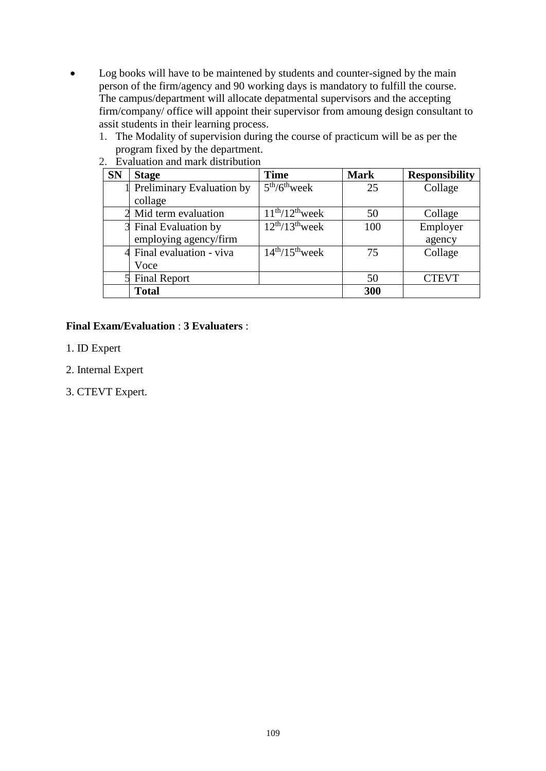- Log books will have to be maintened by students and counter-signed by the main person of the firm/agency and 90 working days is mandatory to fulfill the course. The campus/department will allocate depatmental supervisors and the accepting firm/company/ office will appoint their supervisor from amoung design consultant to assit students in their learning process.
	- 1. The Modality of supervision during the course of practicum will be as per the program fixed by the department.

| <b>SN</b> | <b>Stage</b>              | <b>Time</b>      | <b>Mark</b> | <b>Responsibility</b> |
|-----------|---------------------------|------------------|-------------|-----------------------|
|           | Preliminary Evaluation by | $5th/6th$ week   | 25          | Collage               |
|           | collage                   |                  |             |                       |
|           | 2 Mid term evaluation     | $11th/12th$ week | 50          | Collage               |
|           | 3 Final Evaluation by     | $12th/13th$ week | 100         | Employer              |
|           | employing agency/firm     |                  |             | agency                |
|           | 4 Final evaluation - viva | $14th/15th$ week | 75          | Collage               |
|           | Voce                      |                  |             |                       |
|           | <b>Final Report</b>       |                  | 50          | <b>CTEVT</b>          |
|           | <b>Total</b>              |                  | 300         |                       |

2. Evaluation and mark distribution

# **Final Exam/Evaluation** : **3 Evaluaters** :

- 1. ID Expert
- 2. Internal Expert
- 3. CTEVT Expert.